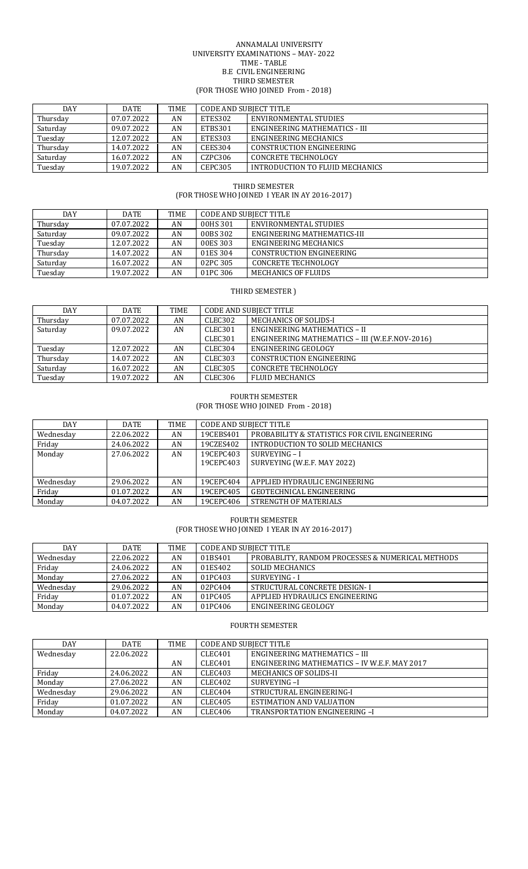#### ANNAMALAI UNIVERSITY UNIVERSITY EXAMINATIONS – MAY- 2022 TIME - TABLE B.E CIVIL ENGINEERING THIRD SEMESTER (FOR THOSE WHO JOINED From - 2018)

| DAY      | <b>DATE</b> | TIME | CODE AND SUBJECT TITLE |                                 |
|----------|-------------|------|------------------------|---------------------------------|
| Thursday | 07.07.2022  | AN   | ETES302                | ENVIRONMENTAL STUDIES           |
| Saturday | 09.07.2022  | AN   | ETBS301                | ENGINEERING MATHEMATICS - III   |
| Tuesday  | 12.07.2022  | AN   | ETES303                | ENGINEERING MECHANICS           |
| Thursday | 14.07.2022  | AN   | CEES304                | <b>CONSTRUCTION ENGINEERING</b> |
| Saturday | 16.07.2022  | AN   | CZPC306                | CONCRETE TECHNOLOGY             |
| Tuesday  | 19.07.2022  | AN   | CEPC305                | INTRODUCTION TO FLUID MECHANICS |

# THIRD SEMESTER (FOR THOSE WHO JOINED I YEAR IN AY 2016-2017)

| <b>DAY</b> | <b>DATE</b> | TIME | <b>CODE AND SUBJECT TITLE</b> |                                 |
|------------|-------------|------|-------------------------------|---------------------------------|
| Thursday   | 07.07.2022  | AN   | 00HS 301                      | ENVIRONMENTAL STUDIES           |
| Saturday   | 09.07.2022  | AN   | 00BS 302                      | ENGINEERING MATHEMATICS-III     |
| Tuesday    | 12.07.2022  | AN   | 00ES 303                      | ENGINEERING MECHANICS           |
| Thursday   | 14.07.2022  | AN   | 01ES 304                      | <b>CONSTRUCTION ENGINEERING</b> |
| Saturday   | 16.07.2022  | AN   | 02PC 305                      | <b>CONCRETE TECHNOLOGY</b>      |
| Tuesday    | 19.07.2022  | AN   | 01PC 306                      | MECHANICS OF FLUIDS             |

# THIRD SEMESTER )

| DAY      | DATE       | <b>TIME</b> | <b>CODE AND SUBJECT TITLE</b> |                                                |
|----------|------------|-------------|-------------------------------|------------------------------------------------|
| Thursday | 07.07.2022 | AN          | CLEC302                       | MECHANICS OF SOLIDS-I                          |
| Saturday | 09.07.2022 | AN          | CLEC <sub>301</sub>           | ENGINEERING MATHEMATICS - II                   |
|          |            |             | CLEC301                       | ENGINEERING MATHEMATICS - III (W.E.F.NOV-2016) |
| Tuesday  | 12.07.2022 | AN          | CLEC304                       | ENGINEERING GEOLOGY                            |
| Thursday | 14.07.2022 | AN          | CLEC303                       | <b>CONSTRUCTION ENGINEERING</b>                |
| Saturday | 16.07.2022 | AN          | CLEC305                       | <b>CONCRETE TECHNOLOGY</b>                     |
| Tuesday  | 19.07.2022 | AN          | CLEC306                       | <b>FLUID MECHANICS</b>                         |

# FOURTH SEMESTER

(FOR THOSE WHO JOINED From - 2018)

| DAY       | DATE       | TIME | <b>CODE AND SUBJECT TITLE</b> |                                                |
|-----------|------------|------|-------------------------------|------------------------------------------------|
| Wednesday | 22.06.2022 | AN   | 19CEBS401                     | PROBABILITY & STATISTICS FOR CIVIL ENGINEERING |
| Friday    | 24.06.2022 | AN   | 19CZES402                     | INTRODUCTION TO SOLID MECHANICS                |
| Monday    | 27.06.2022 | AN   | 19CEPC403                     | SURVEYING - I                                  |
|           |            |      | 19CEPC403                     | SURVEYING (W.E.F. MAY 2022)                    |
|           |            |      |                               |                                                |
| Wednesday | 29.06.2022 | AN   | 19CEPC404                     | APPLIED HYDRAULIC ENGINEERING                  |
| Friday    | 01.07.2022 | AN   | 19CEPC405                     | <b>GEOTECHNICAL ENGINEERING</b>                |
| Monday    | 04.07.2022 | AN   | 19CEPC406                     | STRENGTH OF MATERIALS                          |

FOURTH SEMESTER (FOR THOSE WHO JOINED I YEAR IN AY 2016-2017)

| DAY       | <b>DATE</b> | TIME | <b>CODE AND SUBJECT TITLE</b> |                                                  |
|-----------|-------------|------|-------------------------------|--------------------------------------------------|
| Wednesdav | 22.06.2022  | AN   | 01BS401                       | PROBABLITY, RANDOM PROCESSES & NUMERICAL METHODS |
| Friday    | 24.06.2022  | AN   | 01ES402                       | SOLID MECHANICS                                  |
| Monday    | 27.06.2022  | AN   | 01PC403                       | SURVEYING - I                                    |
| Wednesday | 29.06.2022  | AN   | 02PC404                       | STRUCTURAL CONCRETE DESIGN-I                     |
| Friday    | 01.07.2022  | AN   | 01PC405                       | APPLIED HYDRAULICS ENGINEERING                   |
| Monday    | 04.07.2022  | AN   | 01PC406                       | ENGINEERING GEOLOGY                              |

# FOURTH SEMESTER

| <b>DAY</b> | <b>DATE</b> | TIME | <b>CODE AND SUBJECT TITLE</b> |                                              |
|------------|-------------|------|-------------------------------|----------------------------------------------|
| Wednesday  | 22.06.2022  |      | CLEC401                       | ENGINEERING MATHEMATICS - III                |
|            |             | AN   | CLEC401                       | ENGINEERING MATHEMATICS - IV W.E.F. MAY 2017 |
| Friday     | 24.06.2022  | AN   | CLEC403                       | <b>MECHANICS OF SOLIDS-II</b>                |
| Monday     | 27.06.2022  | AN   | CLEC402                       | SURVEYING-I                                  |
| Wednesdav  | 29.06.2022  | AN   | CLEC404                       | STRUCTURAL ENGINEERING-I                     |
| Friday     | 01.07.2022  | AN   | CLEC405                       | <b>ESTIMATION AND VALUATION</b>              |
| Monday     | 04.07.2022  | AN   | CLEC406                       | TRANSPORTATION ENGINEERING -I                |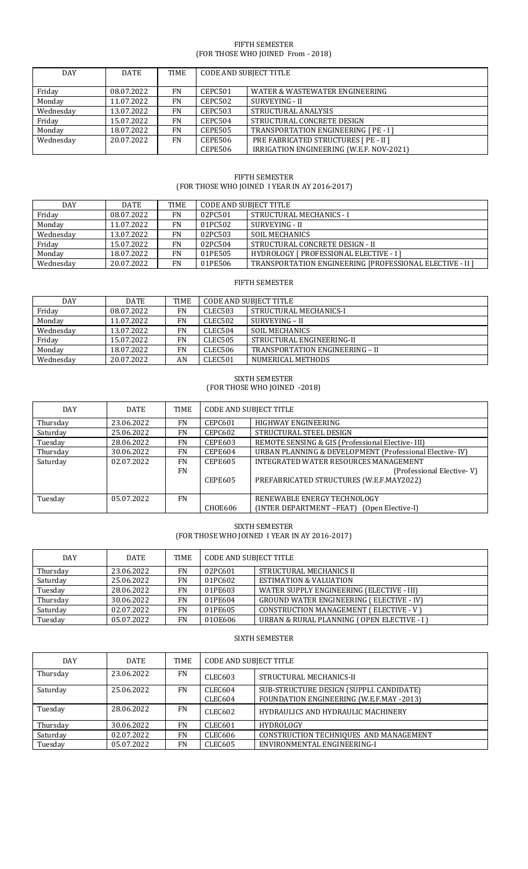## FIFTH SEMESTER (FOR THOSE WHO JOINED From - 2018)

| <b>DAY</b> | <b>DATE</b> | <b>TIME</b> | <b>CODE AND SUBJECT TITLE</b> |                                          |
|------------|-------------|-------------|-------------------------------|------------------------------------------|
| Friday     | 08.07.2022  | FN          | CEPC501                       | WATER & WASTEWATER ENGINEERING           |
| Monday     | 11.07.2022  | FN          | CEPC502                       | SURVEYING - II                           |
| Wednesday  | 13.07.2022  | FN          | CEPC503                       | STRUCTURAL ANALYSIS                      |
| Friday     | 15.07.2022  | FN          | CEPC504                       | STRUCTURAL CONCRETE DESIGN               |
| Monday     | 18.07.2022  | FN          | <b>CEPE505</b>                | TRANSPORTATION ENGINEERING [ PE - I ]    |
| Wednesday  | 20.07.2022  | FN          | <b>CEPE506</b>                | PRE FABRICATED STRUCTURES [ PE - II ]    |
|            |             |             | <b>CEPE506</b>                | IRRIGATION ENGINEERING (W.E.F. NOV-2021) |

# FIFTH SEMESTER (FOR THOSE WHO JOINED I YEAR IN AY 2016-2017)

| <b>DAY</b> | <b>DATE</b> | TIME      | <b>CODE AND SUBJECT TITLE</b> |                                                          |
|------------|-------------|-----------|-------------------------------|----------------------------------------------------------|
| Friday     | 08.07.2022  | FN        | 02PC501                       | STRUCTURAL MECHANICS - I                                 |
| Monday     | 11.07.2022  | <b>FN</b> | 01PC502                       | SURVEYING - II                                           |
| Wednesday  | 13.07.2022  | <b>FN</b> | 02PC503                       | SOIL MECHANICS                                           |
| Friday     | 15.07.2022  | FN        | 02PC504                       | STRUCTURAL CONCRETE DESIGN - II                          |
| Monday     | 18.07.2022  | FN        | 01PE505                       | <b>HYDROLOGY [ PROFESSIONAL ELECTIVE - I]</b>            |
| Wednesday  | 20.07.2022  | FN        | 01PE506                       | TRANSPORTATION ENGINEERING [PROFESSIONAL ELECTIVE - II ] |

# FIFTH SEMESTER

| <b>DAY</b> | <b>DATE</b> | <b>TIME</b> | <b>CODE AND SUBJECT TITLE</b> |                                 |
|------------|-------------|-------------|-------------------------------|---------------------------------|
| Friday     | 08.07.2022  | <b>FN</b>   | CLEC503                       | STRUCTURAL MECHANICS-I          |
| Monday     | 11.07.2022  | FN          | CLEC502                       | SURVEYING – II                  |
| Wednesdav  | 13.07.2022  | FN          | CLEC504                       | SOIL MECHANICS                  |
| Friday     | 15.07.2022  | FN          | CLEC505                       | STRUCTURAL ENGINEERING-II       |
| Monday     | 18.07.2022  | <b>FN</b>   | CLEC506                       | TRANSPORTATION ENGINEERING - II |
| Wednesdav  | 20.07.2022  | AN          | CLEC501                       | NUMERICAL METHODS               |

## SIXTH SEMESTER (FOR THOSE WHO JOINED -2018)

| DAY      | <b>DATE</b> | TIME                   | <b>CODE AND SUBJECT TITLE</b>    |                                                                                                                |
|----------|-------------|------------------------|----------------------------------|----------------------------------------------------------------------------------------------------------------|
| Thursday | 23.06.2022  | <b>FN</b>              | <b>CEPC601</b>                   | HIGHWAY ENGINEERING                                                                                            |
| Saturday | 25.06.2022  | <b>FN</b>              | CEPC602                          | STRUCTURAL STEEL DESIGN                                                                                        |
| Tuesday  | 28.06.2022  | <b>FN</b>              | CEPE603                          | REMOTE SENSING & GIS (Professional Elective-III)                                                               |
| Thursday | 30.06.2022  | <b>FN</b>              | <b>CEPE604</b>                   | URBAN PLANNING & DEVELOPMENT (Professional Elective-IV)                                                        |
| Saturday | 02.07.2022  | <b>FN</b><br><b>FN</b> | <b>CEPE605</b><br><b>CEPE605</b> | INTEGRATED WATER RESOURCES MANAGEMENT<br>(Professional Elective-V)<br>PREFABRICATED STRUCTURES (W.E.F.MAY2022) |
| Tuesday  | 05.07.2022  | <b>FN</b>              | <b>CHOE606</b>                   | RENEWABLE ENERGY TECHNOLOGY<br>(INTER DEPARTMENT -FEAT) (Open Elective-I)                                      |

# SIXTH SEMESTER (FOR THOSE WHO JOINED I YEAR IN AY 2016-2017)

| <b>DAY</b> | <b>DATE</b> | <b>TIME</b> | <b>CODE AND SUBJECT TITLE</b> |                                                 |
|------------|-------------|-------------|-------------------------------|-------------------------------------------------|
| Thursday   | 23.06.2022  | <b>FN</b>   | 02PC601                       | STRUCTURAL MECHANICS II                         |
| Saturday   | 25.06.2022  | FN          | 01PC602                       | <b>ESTIMATION &amp; VALUATION</b>               |
| Tuesday    | 28.06.2022  | FN          | 01PE603                       | WATER SUPPLY ENGINEERING (ELECTIVE - III)       |
| Thursday   | 30.06.2022  | FN          | 01PE604                       | <b>GROUND WATER ENGINEERING (ELECTIVE - IV)</b> |
| Saturday   | 02.07.2022  | FN          | 01PE605                       | <b>CONSTRUCTION MANAGEMENT (ELECTIVE - V)</b>   |
| Tuesday    | 05.07.2022  | FN          | 010E606                       | URBAN & RURAL PLANNING (OPEN ELECTIVE - I)      |

# SIXTH SEMESTER

| DAY      | <b>DATE</b> | TIME      | <b>CODE AND SUBJECT TITLE</b> |                                           |
|----------|-------------|-----------|-------------------------------|-------------------------------------------|
| Thursday | 23.06.2022  | <b>FN</b> | <b>CLEC603</b>                | STRUCTURAL MECHANICS-II                   |
| Saturday | 25.06.2022  | <b>FN</b> | CLEC604                       | SUB-STRUCTURE DESIGN (SUPPLI. CANDIDATE)  |
|          |             |           | CLEC604                       | FOUNDATION ENGINEERING (W.E.F.MAY -2013)  |
| Tuesday  | 28.06.2022  | <b>FN</b> | CLEC602                       | <b>HYDRAULICS AND HYDRAULIC MACHINERY</b> |
| Thursday | 30.06.2022  | FN        | CLEC601                       | <b>HYDROLOGY</b>                          |
| Saturday | 02.07.2022  | <b>FN</b> | CLEC606                       | CONSTRUCTION TECHNIQUES AND MANAGEMENT    |
| Tuesday  | 05.07.2022  | FN        | <b>CLEC605</b>                | ENVIRONMENTAL ENGINEERING-I               |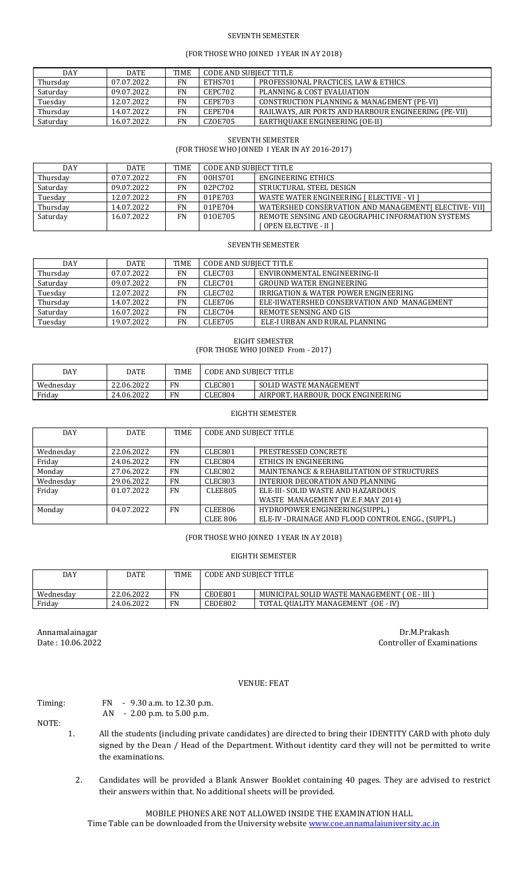## SEVENTH SEMESTER

## (FOR THOSE WHO JOINED I YEAR IN AY 2018)

| <b>DAY</b> | <b>DATE</b> | <b>TIME</b> | CODE AND SUBJECT TITLE |                                                      |
|------------|-------------|-------------|------------------------|------------------------------------------------------|
| Thursday   | 07.07.2022  | FN          | ETHS701                | PROFESSIONAL PRACTICES, LAW & ETHICS                 |
| Saturday   | 09.07.2022  | FN.         | CEPC702                | PLANNING & COST EVALUATION                           |
| Tuesday    | 12.07.2022  | FN          | CEPE703                | CONSTRUCTION PLANNING & MANAGEMENT (PE-VI)           |
| Thursday   | 14.07.2022  | FN          | CEPE704                | RAILWAYS, AIR PORTS AND HARBOUR ENGINEERING (PE-VII) |
| Saturday   | 16.07.2022  | FN          | CZOE705                | EARTHOUAKE ENGINEERING (OE-II)                       |

#### SEVENTH SEMESTER

(FOR THOSE WHO JOINED I YEAR IN AY 2016-2017)

| <b>DAY</b> | <b>DATE</b> | <b>TIME</b> | CODE AND SUBJECT TITLE |                                                      |
|------------|-------------|-------------|------------------------|------------------------------------------------------|
| Thursday   | 07.07.2022  | FN          | 00HS701                | ENGINEERING ETHICS                                   |
| Saturday   | 09.07.2022  | <b>FN</b>   | 02PC702                | STRUCTURAL STEEL DESIGN                              |
| Tuesday    | 12.07.2022  | FN          | 01PE703                | WASTE WATER ENGINEERING I ELECTIVE - VI I            |
| Thursday   | 14.07.2022  | FN          | 01PE704                | WATERSHED CONSERVATION AND MANAGEMENT [ELECTIVE-VII] |
| Saturday   | 16.07.2022  | FN          | 010E705                | REMOTE SENSING AND GEOGRAPHIC INFORMATION SYSTEMS    |
|            |             |             |                        | [ OPEN ELECTIVE - II ]                               |

#### SEVENTH SEMESTER

| <b>DAY</b> | DATE       | <b>TIME</b> | CODE AND SUBIECT TITLE |                                                 |
|------------|------------|-------------|------------------------|-------------------------------------------------|
| Thursday   | 07.07.2022 | <b>FN</b>   | CLEC703                | ENVIRONMENTAL ENGINEERING-II                    |
| Saturday   | 09.07.2022 | FN          | CLEC701                | <b>GROUND WATER ENGINEERING</b>                 |
| Tuesday    | 12.07.2022 | <b>FN</b>   | CLEC702                | <b>IRRIGATION &amp; WATER POWER ENGINEERING</b> |
| Thursday   | 14.07.2022 | <b>FN</b>   | CLEE706                | ELE-HWATERSHED CONSERVATION AND MANAGEMENT      |
| Saturday   | 16.07.2022 | <b>FN</b>   | CLEC704                | REMOTE SENSING AND GIS                          |
| Tuesday    | 19.07.2022 | FN          | CLEE705                | ELE-I URBAN AND RURAL PLANNING                  |

EIGHT SEMESTER (FOR THOSE WHO JOINED From - 2017)

| DAY       | DATE       | <b>TIME</b> | <b>CODE AND SUBJECT TITLE</b> |                                    |
|-----------|------------|-------------|-------------------------------|------------------------------------|
| Wednesday | 22.06.2022 | FN          | CLEC801                       | SOLID WASTE MANAGEMENT             |
| Friday    | 24.06.2022 | FN          | CLEC804                       | AIRPORT, HARBOUR, DOCK ENGINEERING |

#### EIGHTH SEMESTER

| <b>DAY</b> | <b>DATE</b> | <b>TIME</b> | <b>CODE AND SUBJECT TITLE</b> |                                                   |
|------------|-------------|-------------|-------------------------------|---------------------------------------------------|
|            |             |             |                               |                                                   |
| Wednesday  | 22.06.2022  | <b>FN</b>   | CLEC801                       | PRESTRESSED CONCRETE                              |
| Friday     | 24.06.2022  | <b>FN</b>   | CLEC804                       | ETHICS IN ENGINEERING                             |
| Monday     | 27.06.2022  | <b>FN</b>   | CLEC802                       | MAINTENANCE & REHABILITATION OF STRUCTURES        |
| Wednesday  | 29.06.2022  | <b>FN</b>   | CLEC803                       | INTERIOR DECORATION AND PLANNING                  |
| Friday     | 01.07.2022  | <b>FN</b>   | CLEE805                       | ELE-III- SOLID WASTE AND HAZARDOUS                |
|            |             |             |                               | WASTE MANAGEMENT (W.E.F.MAY 2014)                 |
| Monday     | 04.07.2022  | <b>FN</b>   | CLEE806                       | HYDROPOWER ENGINEERING(SUPPL.)                    |
|            |             |             | <b>CLEE 806</b>               | ELE-IV-DRAINAGE AND FLOOD CONTROL ENGG., (SUPPL.) |

#### (FOR THOSE WHO JOINED I YEAR IN AY 2018)

#### EIGHTH SEMESTER

| DAY       | DATE       | <b>TIME</b> | <b>CODE AND SUBJECT TITLE</b> |                                             |
|-----------|------------|-------------|-------------------------------|---------------------------------------------|
| Wednesday | 22.06.2022 | FN          | CEOE801                       | MUNICIPAL SOLID WASTE MANAGEMENT (OE - III) |
| Friday    | 24.06.2022 | FN          | CEOE802                       | TOTAL QUALITY MANAGEMENT (OE - IV)          |

Annamalainagar Dr.M.Prakash Date : 10.06.2022 Controller of Examinations

#### VENUE: FEAT

## Timing: FN - 9.30 a.m. to 12.30 p.m.

AN - 2.00 p.m. to 5.00 p.m.

NOTE:

- 1. All the students (including private candidates) are directed to bring their IDENTITY CARD with photo duly signed by the Dean / Head of the Department. Without identity card they will not be permitted to write the examinations.
	- 2. Candidates will be provided a Blank Answer Booklet containing 40 pages. They are advised to restrict their answers within that. No additional sheets will be provided.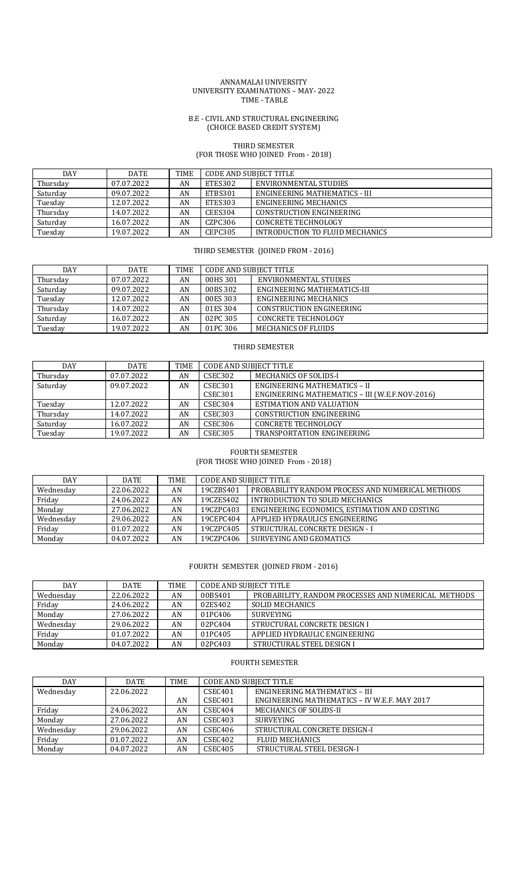#### ANNAMALAI UNIVERSITY UNIVERSITY EXAMINATIONS – MAY- 2022 TIME - TABLE

#### B.E - CIVIL AND STRUCTURAL ENGINEERING (CHOICE BASED CREDIT SYSTEM)

## THIRD SEMESTER (FOR THOSE WHO JOINED From - 2018)

| <b>DAY</b> | <b>DATE</b> | <b>TIME</b> | CODE AND SUBIECT TITLE |                                 |
|------------|-------------|-------------|------------------------|---------------------------------|
| Thursday   | 07.07.2022  | AN          | ETES302                | ENVIRONMENTAL STUDIES           |
| Saturday   | 09.07.2022  | AN          | ETBS301                | ENGINEERING MATHEMATICS - III   |
| Tuesday    | 12.07.2022  | AN          | ETES303                | ENGINEERING MECHANICS           |
| Thursday   | 14.07.2022  | AN          | <b>CEES304</b>         | CONSTRUCTION ENGINEERING        |
| Saturday   | 16.07.2022  | AN          | CZPC306                | CONCRETE TECHNOLOGY             |
| Tuesday    | 19.07.2022  | AN          | <b>CEPC305</b>         | INTRODUCTION TO FLUID MECHANICS |

# THIRD SEMESTER (JOINED FROM - 2016)

| <b>DAY</b> | DATE       | TIME | CODE AND SUBJECT TITLE |                                 |
|------------|------------|------|------------------------|---------------------------------|
| Thursday   | 07.07.2022 | AN   | 00HS 301               | ENVIRONMENTAL STUDIES           |
| Saturday   | 09.07.2022 | AN   | 00BS 302               | ENGINEERING MATHEMATICS-III     |
| Tuesday    | 12.07.2022 | AN   | 00ES 303               | ENGINEERING MECHANICS           |
| Thursday   | 14.07.2022 | AN   | 01ES 304               | <b>CONSTRUCTION ENGINEERING</b> |
| Saturday   | 16.07.2022 | AN   | 02PC 305               | <b>CONCRETE TECHNOLOGY</b>      |
| Tuesday    | 19.07.2022 | AN   | 01PC 306               | MECHANICS OF FLUIDS             |

# THIRD SEMESTER

| DAY      | <b>DATE</b> | TIME | <b>CODE AND SUBJECT TITLE</b> |                                                |
|----------|-------------|------|-------------------------------|------------------------------------------------|
| Thursday | 07.07.2022  | AN   | CSEC302                       | MECHANICS OF SOLIDS-I                          |
| Saturday | 09.07.2022  | AN   | CSEC <sub>301</sub>           | ENGINEERING MATHEMATICS - II                   |
|          |             |      | CSEC301                       | ENGINEERING MATHEMATICS - III (W.E.F.NOV-2016) |
| Tuesday  | 12.07.2022  | AN   | CSEC <sub>304</sub>           | ESTIMATION AND VALUATION                       |
| Thursday | 14.07.2022  | AN   | CSEC303                       | <b>CONSTRUCTION ENGINEERING</b>                |
| Saturday | 16.07.2022  | AN   | CSEC306                       | <b>CONCRETE TECHNOLOGY</b>                     |
| Tuesday  | 19.07.2022  | AN   | <b>CSEC305</b>                | TRANSPORTATION ENGINEERING                     |

#### FOURTH SEMESTER (FOR THOSE WHO JOINED From - 2018)

| <b>DAY</b> | <b>DATE</b> | TIME | <b>CODE AND SUBJECT TITLE</b> |                                                  |
|------------|-------------|------|-------------------------------|--------------------------------------------------|
| Wednesday  | 22.06.2022  | AN   | 19CZBS401                     | PROBABILITY RANDOM PROCESS AND NUMERICAL METHODS |
| Friday     | 24.06.2022  | AN   | 19CZES402                     | INTRODUCTION TO SOLID MECHANICS                  |
| Monday     | 27.06.2022  | AN   | 19CZPC403                     | ENGINEERING ECONOMICS, ESTIMATION AND COSTING    |
| Wednesday  | 29.06.2022  | AN   | 19CEPC404                     | APPLIED HYDRAULICS ENGINEERING                   |
| Friday     | 01.07.2022  | AN   | 19CZPC405                     | STRUCTURAL CONCRETE DESIGN - I                   |
| Monday     | 04.07.2022  | AN   | 19CZPC406                     | SURVEYING AND GEOMATICS                          |

## FOURTH SEMESTER (JOINED FROM - 2016)

| <b>DAY</b> | <b>DATE</b> | <b>TIME</b> | <b>CODE AND SUBJECT TITLE</b> |                                                     |
|------------|-------------|-------------|-------------------------------|-----------------------------------------------------|
| Wednesday  | 22.06.2022  | AN          | 00BS401                       | PROBABILITY. RANDOM PROCESSES AND NUMERICAL METHODS |
| Friday     | 24.06.2022  | AN          | 02ES402                       | <b>SOLID MECHANICS</b>                              |
| Monday     | 27.06.2022  | AN          | 01PC406                       | <b>SURVEYING</b>                                    |
| Wednesday  | 29.06.2022  | AN          | 02PC404                       | STRUCTURAL CONCRETE DESIGN I                        |
| Friday     | 01.07.2022  | AN          | 01PC405                       | APPLIED HYDRAULIC ENGINEERING                       |
| Monday     | 04.07.2022  | AN          | 02PC403                       | STRUCTURAL STEEL DESIGN I                           |

# FOURTH SEMESTER

| <b>DAY</b> | <b>DATE</b> | <b>TIME</b> | CODE AND SUBJECT TITLE |                                              |
|------------|-------------|-------------|------------------------|----------------------------------------------|
| Wednesday  | 22.06.2022  |             | CSEC <sub>401</sub>    | ENGINEERING MATHEMATICS - III                |
|            |             | AN          | CSEC <sub>401</sub>    | ENGINEERING MATHEMATICS - IV W.E.F. MAY 2017 |
| Friday     | 24.06.2022  | AN          | CSEC404                | MECHANICS OF SOLIDS-II                       |
| Monday     | 27.06.2022  | AN          | CSEC403                | <b>SURVEYING</b>                             |
| Wednesdav  | 29.06.2022  | AN          | CSEC406                | STRUCTURAL CONCRETE DESIGN-I                 |
| Friday     | 01.07.2022  | AN          | CSEC402                | <b>FLUID MECHANICS</b>                       |
| Monday     | 04.07.2022  | AN          | <b>CSEC405</b>         | STRUCTURAL STEEL DESIGN-I                    |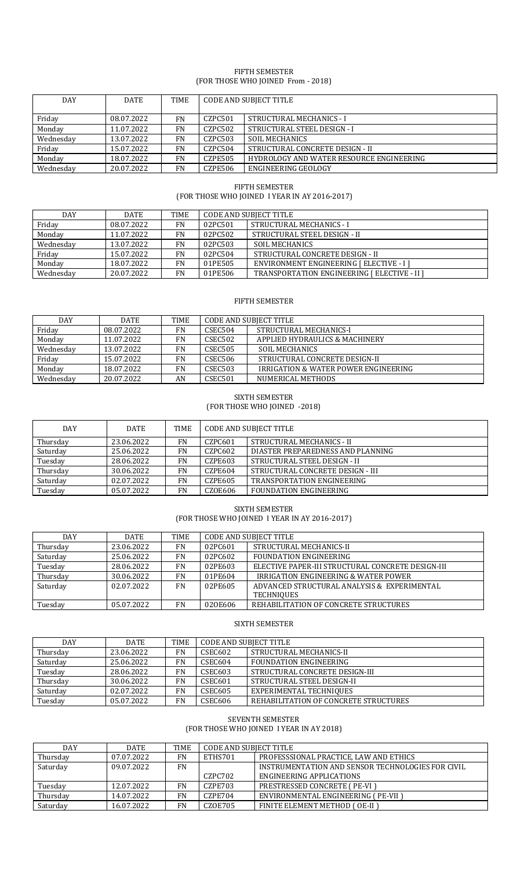## FIFTH SEMESTER (FOR THOSE WHO JOINED From - 2018)

| <b>DAY</b> | <b>DATE</b> | TIME      | <b>CODE AND SUBJECT TITLE</b> |                                          |
|------------|-------------|-----------|-------------------------------|------------------------------------------|
| Friday     | 08.07.2022  | FN        | CZPC501                       | STRUCTURAL MECHANICS - I                 |
| Monday     | 11.07.2022  | FN        | CZPC502                       | STRUCTURAL STEEL DESIGN - I              |
| Wednesday  | 13.07.2022  | FN        | CZPC503                       | <b>SOIL MECHANICS</b>                    |
| Friday     | 15.07.2022  | <b>FN</b> | CZPC504                       | STRUCTURAL CONCRETE DESIGN - II          |
| Monday     | 18.07.2022  | <b>FN</b> | CZPE505                       | HYDROLOGY AND WATER RESOURCE ENGINEERING |
| Wednesdav  | 20.07.2022  | <b>FN</b> | CZPE506                       | ENGINEERING GEOLOGY                      |

# FIFTH SEMESTER (FOR THOSE WHO JOINED I YEAR IN AY 2016-2017)

| DAY       | <b>DATE</b> | <b>TIME</b> | CODE AND SUBIECT TITLE |                                              |
|-----------|-------------|-------------|------------------------|----------------------------------------------|
| Friday    | 08.07.2022  | FN          | 02PC501                | STRUCTURAL MECHANICS - I                     |
| Monday    | 11.07.2022  | FN          | 02PC502                | STRUCTURAL STEEL DESIGN - II                 |
| Wednesdav | 13.07.2022  | <b>FN</b>   | 02PC503                | <b>SOIL MECHANICS</b>                        |
| Friday    | 15.07.2022  | FN          | 02PC504                | STRUCTURAL CONCRETE DESIGN - II              |
| Monday    | 18.07.2022  | FN          | 01PE505                | ENVIRONMENT ENGINEERING [ ELECTIVE - I ]     |
| Wednesday | 20.07.2022  | FN          | 01PE506                | TRANSPORTATION ENGINEERING [ ELECTIVE - II ] |

## FIFTH SEMESTER

| <b>DAY</b> | <b>DATE</b> | <b>TIME</b> | <b>CODE AND SUBJECT TITLE</b> |                                                 |
|------------|-------------|-------------|-------------------------------|-------------------------------------------------|
| Friday     | 08.07.2022  | <b>FN</b>   | CSEC504                       | STRUCTURAL MECHANICS-I                          |
| Monday     | 11.07.2022  | <b>FN</b>   | CSEC502                       | APPLIED HYDRAULICS & MACHINERY                  |
| Wednesday  | 13.07.2022  | <b>FN</b>   | <b>CSEC505</b>                | SOIL MECHANICS                                  |
| Friday     | 15.07.2022  | <b>FN</b>   | <b>CSEC506</b>                | STRUCTURAL CONCRETE DESIGN-II                   |
| Monday     | 18.07.2022  | <b>FN</b>   | <b>CSEC503</b>                | <b>IRRIGATION &amp; WATER POWER ENGINEERING</b> |
| Wednesday  | 20.07.2022  | AN          | CSEC <sub>501</sub>           | NUMERICAL METHODS                               |

# SIXTH SEMESTER (FOR THOSE WHO JOINED -2018)

| <b>DAY</b> | DATE       | <b>TIME</b> | <b>CODE AND SUBJECT TITLE</b> |                                   |
|------------|------------|-------------|-------------------------------|-----------------------------------|
| Thursdav   | 23.06.2022 | <b>FN</b>   | CZPC601                       | STRUCTURAL MECHANICS - II         |
| Saturday   | 25.06.2022 | FN          | CZPC602                       | DIASTER PREPAREDNESS AND PLANNING |
| Tuesday    | 28.06.2022 | FN          | <b>CZPE603</b>                | STRUCTURAL STEEL DESIGN - II      |
| Thursday   | 30.06.2022 | FN          | <b>CZPE604</b>                | STRUCTURAL CONCRETE DESIGN - III  |
| Saturday   | 02.07.2022 | FN          | CZPE605                       | <b>TRANSPORTATION ENGINEERING</b> |
| Tuesday    | 05.07.2022 | FN          | CZ0E606                       | <b>FOUNDATION ENGINEERING</b>     |

SIXTH SEMESTER (FOR THOSE WHO JOINED I YEAR IN AY 2016-2017)

| <b>DAY</b> | <b>DATE</b> | <b>TIME</b> | <b>CODE AND SUBJECT TITLE</b> |                                                   |
|------------|-------------|-------------|-------------------------------|---------------------------------------------------|
| Thursday   | 23.06.2022  | <b>FN</b>   | 02PC601                       | STRUCTURAL MECHANICS-II                           |
| Saturday   | 25.06.2022  | <b>FN</b>   | 02PC602                       | FOUNDATION ENGINEERING                            |
| Tuesday    | 28.06.2022  | <b>FN</b>   | 02PE603                       | ELECTIVE PAPER-III STRUCTURAL CONCRETE DESIGN-III |
| Thursday   | 30.06.2022  | <b>FN</b>   | 01PE604                       | <b>IRRIGATION ENGINEERING &amp; WATER POWER</b>   |
| Saturday   | 02.07.2022  | <b>FN</b>   | 02PE605                       | ADVANCED STRUCTURAL ANALYSIS & EXPERIMENTAL       |
|            |             |             |                               | <b>TECHNIOUES</b>                                 |
| Tuesday    | 05.07.2022  | <b>FN</b>   | 020E606                       | REHABILITATION OF CONCRETE STRUCTURES             |

## SIXTH SEMESTER

| DAY      | <b>DATE</b> | <b>TIME</b> | <b>CODE AND SUBJECT TITLE</b> |                                       |
|----------|-------------|-------------|-------------------------------|---------------------------------------|
| Thursday | 23.06.2022  | <b>FN</b>   | CSEC602                       | STRUCTURAL MECHANICS-II               |
| Saturday | 25.06.2022  | <b>FN</b>   | CSEC604                       | FOUNDATION ENGINEERING                |
| Tuesday  | 28.06.2022  | <b>FN</b>   | CSEC603                       | STRUCTURAL CONCRETE DESIGN-III        |
| Thursday | 30.06.2022  | <b>FN</b>   | CSEC601                       | STRUCTURAL STEEL DESIGN-II            |
| Saturday | 02.07.2022  | <b>FN</b>   | CSEC605                       | EXPERIMENTAL TECHNIQUES               |
| Tuesday  | 05.07.2022  | <b>FN</b>   | CSEC606                       | REHABILITATION OF CONCRETE STRUCTURES |

# SEVENTH SEMESTER

(FOR THOSE WHO JOINED I YEAR IN AY 2018)

| <b>DAY</b> | <b>DATE</b> | <b>TIME</b> | <b>CODE AND SUBJECT TITLE</b> |                                                   |
|------------|-------------|-------------|-------------------------------|---------------------------------------------------|
| Thursday   | 07.07.2022  | FN          | ETHS701                       | PROFESSSIONAL PRACTICE, LAW AND ETHICS            |
| Saturday   | 09.07.2022  | <b>FN</b>   |                               | INSTRUMENTATION AND SENSOR TECHNOLOGIES FOR CIVIL |
|            |             |             | CZPC702                       | ENGINEERING APPLICATIONS                          |
| Tuesday    | 12.07.2022  | FN          | CZPE703                       | <b>PRESTRESSED CONCRETE (PE-VI)</b>               |
| Thursday   | 14.07.2022  | <b>FN</b>   | CZPE704                       | ENVIRONMENTAL ENGINEERING (PE-VII)                |
| Saturday   | 16.07.2022  | <b>FN</b>   | <b>CZOE705</b>                | FINITE ELEMENT METHOD (OE-II)                     |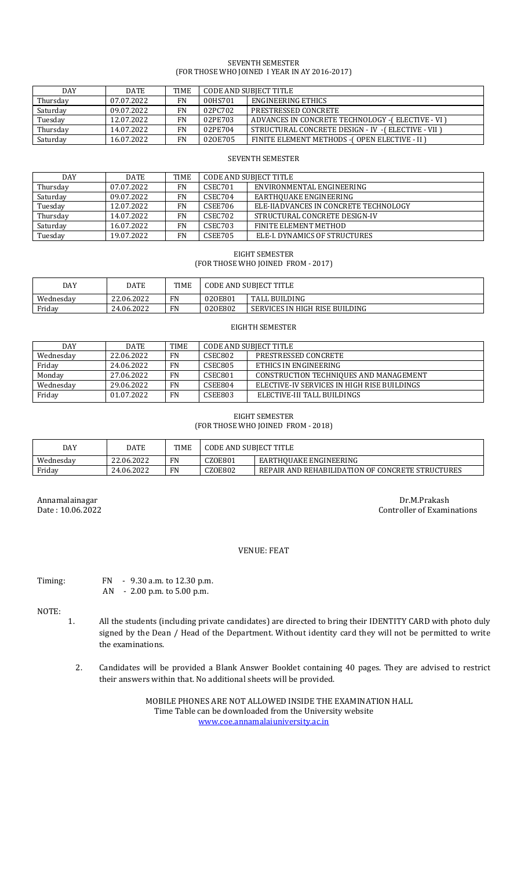## SEVENTH SEMESTER (FOR THOSE WHO JOINED I YEAR IN AY 2016-2017)

| DAY      | <b>DATE</b> | <b>TIME</b> | CODE AND SUBIECT TITLE |                                                   |
|----------|-------------|-------------|------------------------|---------------------------------------------------|
| Thursday | 07.07.2022  | FN          | 00HS701                | ENGINEERING ETHICS                                |
| Saturday | 09.07.2022  | FN          | 02PC702                | PRESTRESSED CONCRETE                              |
| Tuesday  | 12.07.2022  | FN          | 02PE703                | ADVANCES IN CONCRETE TECHNOLOGY -(ELECTIVE - VI)  |
| Thursday | 14.07.2022  | <b>FN</b>   | 02PE704                | STRUCTURAL CONCRETE DESIGN - IV -(ELECTIVE - VII) |
| Saturday | 16.07.2022  | FN          | 020E705                | FINITE ELEMENT METHODS - (OPEN ELECTIVE - II)     |

#### SEVENTH SEMESTER

| <b>DAY</b> | <b>DATE</b> | <b>TIME</b> | CODE AND SUBJECT TITLE |                                      |
|------------|-------------|-------------|------------------------|--------------------------------------|
| Thursday   | 07.07.2022  | <b>FN</b>   | CSEC701                | ENVIRONMENTAL ENGINEERING            |
| Saturday   | 09.07.2022  | <b>FN</b>   | CSEC704                | EARTHOUAKE ENGINEERING               |
| Tuesday    | 12.07.2022  | FN          | CSEE706                | ELE-HADVANCES IN CONCRETE TECHNOLOGY |
| Thursday   | 14.07.2022  | <b>FN</b>   | CSEC702                | STRUCTURAL CONCRETE DESIGN-IV        |
| Saturday   | 16.07.2022  | FN          | CSEC703                | FINITE ELEMENT METHOD                |
| Tuesday    | 19.07.2022  | FN          | <b>CSEE705</b>         | ELE-I. DYNAMICS OF STRUCTURES        |

EIGHT SEMESTER (FOR THOSE WHO JOINED FROM - 2017)

| DAY       | DATE       | <b>TIME</b> | <b>CODE AND SUBJECT TITLE</b> |                                |
|-----------|------------|-------------|-------------------------------|--------------------------------|
| Wednesday | 22.06.2022 | <b>FN</b>   | 020E801                       | <b>TALL BUILDING</b>           |
| Friday    | 24.06.2022 | FN          | 020E802                       | SERVICES IN HIGH RISE BUILDING |

#### EIGHTH SEMESTER

| <b>DAY</b> | <b>DATE</b> | <b>TIME</b> | CODE AND SUBJECT TITLE |                                             |
|------------|-------------|-------------|------------------------|---------------------------------------------|
| Wednesday  | 22.06.2022  | <b>FN</b>   | CSEC802                | PRESTRESSED CONCRETE                        |
| Friday     | 24.06.2022  | FN          | CSEC805                | ETHICS IN ENGINEERING                       |
| Monday     | 27.06.2022  | FN          | CSEC801                | CONSTRUCTION TECHNIOUES AND MANAGEMENT      |
| Wednesday  | 29.06.2022  | FN          | CSEE804                | ELECTIVE-IV SERVICES IN HIGH RISE BUILDINGS |
| Friday     | 01.07.2022  | <b>FN</b>   | CSEE803                | ELECTIVE-III TALL BUILDINGS                 |

#### EIGHT SEMESTER (FOR THOSE WHO JOINED FROM - 2018)

| DAY       | DATE       | <b>TIME</b> | <b>CODE AND SUBIECT TITLE</b> |                                                  |
|-----------|------------|-------------|-------------------------------|--------------------------------------------------|
| Wednesday | 22.06.2022 | FN          | <b>CZOE801</b>                | EARTHOUAKE ENGINEERING                           |
| Friday    | 24.06.2022 | <b>FN</b>   | CZOE802                       | REPAIR AND REHABILIDATION OF CONCRETE STRUCTURES |

Annamalainagar Dr.M.Prakash Dr.M.Prakash Dr.M.Prakash Dr.M.Prakash Dr.M.Prakash Dr.M.Prakash Dr.M.Prakash Dr.M Controller of Examinations

## VENUE: FEAT

Timing: FN - 9.30 a.m. to 12.30 p.m. AN - 2.00 p.m. to 5.00 p.m.

NOTE:

- 1. All the students (including private candidates) are directed to bring their IDENTITY CARD with photo duly signed by the Dean / Head of the Department. Without identity card they will not be permitted to write the examinations.
	- 2. Candidates will be provided a Blank Answer Booklet containing 40 pages. They are advised to restrict their answers within that. No additional sheets will be provided.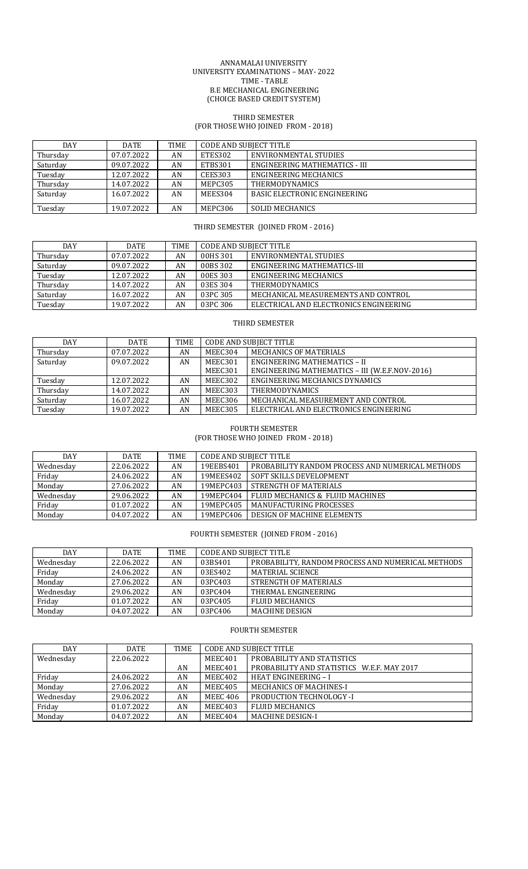#### ANNAMALAI UNIVERSITY UNIVERSITY EXAMINATIONS – MAY- 2022 TIME - TABLE B.E MECHANICAL ENGINEERING (CHOICE BASED CREDIT SYSTEM)

#### THIRD SEMESTER (FOR THOSE WHO JOINED FROM - 2018)

| <b>DAY</b> | <b>DATE</b> | <b>TIME</b> | <b>CODE AND SUBJECT TITLE</b> |                                     |
|------------|-------------|-------------|-------------------------------|-------------------------------------|
| Thursday   | 07.07.2022  | AN          | ETES302                       | ENVIRONMENTAL STUDIES               |
| Saturday   | 09.07.2022  | AN          | ETBS301                       | ENGINEERING MATHEMATICS - III       |
| Tuesday    | 12.07.2022  | AN          | CEES303                       | ENGINEERING MECHANICS               |
| Thursday   | 14.07.2022  | AN          | MEPC305                       | <b>THERMODYNAMICS</b>               |
| Saturday   | 16.07.2022  | AN          | MEES304                       | <b>BASIC ELECTRONIC ENGINEERING</b> |
| Tuesday    | 19.07.2022  | AN          | MEPC306                       | SOLID MECHANICS                     |

# THIRD SEMESTER (JOINED FROM - 2016)

| DAY      | DATE       | <b>TIME</b> | <b>CODE AND SUBJECT TITLE</b> |                                        |
|----------|------------|-------------|-------------------------------|----------------------------------------|
| Thursday | 07.07.2022 | AN          | 00HS 301                      | ENVIRONMENTAL STUDIES                  |
| Saturday | 09.07.2022 | AN          | 00BS 302                      | ENGINEERING MATHEMATICS-III            |
| Tuesday  | 12.07.2022 | AN          | 00ES 303                      | ENGINEERING MECHANICS                  |
| Thursday | 14.07.2022 | AN          | 03ES 304                      | <b>THERMODYNAMICS</b>                  |
| Saturday | 16.07.2022 | AN          | 03PC 305                      | MECHANICAL MEASUREMENTS AND CONTROL    |
| Tuesday  | 19.07.2022 | AN          | 03PC 306                      | ELECTRICAL AND ELECTRONICS ENGINEERING |

# THIRD SEMESTER

| DAY      | <b>DATE</b> | TIME | <b>CODE AND SUBJECT TITLE</b> |                                                |
|----------|-------------|------|-------------------------------|------------------------------------------------|
| Thursday | 07.07.2022  | AN   | MEEC304                       | MECHANICS OF MATERIALS                         |
| Saturday | 09.07.2022  | AN   | MEEC301                       | <b>ENGINEERING MATHEMATICS - II</b>            |
|          |             |      | MEEC301                       | ENGINEERING MATHEMATICS - III (W.E.F.NOV-2016) |
| Tuesday  | 12.07.2022  | AN   | MEEC302                       | ENGINEERING MECHANICS DYNAMICS                 |
| Thursday | 14.07.2022  | AN   | MEEC303                       | <b>THERMODYNAMICS</b>                          |
| Saturday | 16.07.2022  | AN   | MEEC306                       | MECHANICAL MEASUREMENT AND CONTROL             |
| Tuesday  | 19.07.2022  | AN   | MEEC305                       | ELECTRICAL AND ELECTRONICS ENGINEERING         |

# FOURTH SEMESTER

(FOR THOSE WHO JOINED FROM - 2018)

| DAY       | <b>DATE</b> | <b>TIME</b> | <b>CODE AND SUBJECT TITLE</b> |                                                  |  |
|-----------|-------------|-------------|-------------------------------|--------------------------------------------------|--|
| Wednesday | 22.06.2022  | AN          | 19EEBS401                     | PROBABILITY RANDOM PROCESS AND NUMERICAL METHODS |  |
| Friday    | 24.06.2022  | AN          | 19MEES402                     | <b>SOFT SKILLS DEVELOPMENT</b>                   |  |
| Monday    | 27.06.2022  | AN          | 19MEPC403                     | STRENGTH OF MATERIALS                            |  |
| Wednesday | 29.06.2022  | AN          | 19MEPC404                     | FLUID MECHANICS & FLUID MACHINES                 |  |
| Friday    | 01.07.2022  | AN          | 19MEPC405                     | MANUFACTURING PROCESSES                          |  |
| Monday    | 04.07.2022  | AN          | 19MEPC406                     | DESIGN OF MACHINE ELEMENTS                       |  |

# FOURTH SEMESTER (JOINED FROM - 2016)

| DAY       | <b>DATE</b> | <b>TIME</b> | <b>CODE AND SUBJECT TITLE</b> |                                                   |
|-----------|-------------|-------------|-------------------------------|---------------------------------------------------|
| Wednesdav | 22.06.2022  | AN          | 03BS401                       | PROBABILITY, RANDOM PROCESS AND NUMERICAL METHODS |
| Friday    | 24.06.2022  | AN          | 03ES402                       | MATERIAL SCIENCE                                  |
| Monday    | 27.06.2022  | AN          | 03PC403                       | STRENGTH OF MATERIALS                             |
| Wednesdav | 29.06.2022  | AN          | 03PC404                       | THERMAL ENGINEERING                               |
| Friday    | 01.07.2022  | AN          | 03PC405                       | <b>FLUID MECHANICS</b>                            |
| Monday    | 04.07.2022  | AN          | 03PC406                       | <b>MACHINE DESIGN</b>                             |

# FOURTH SEMESTER

| DAY       | DATE       | TIME | <b>CODE AND SUBJECT TITLE</b> |                                            |  |
|-----------|------------|------|-------------------------------|--------------------------------------------|--|
| Wednesday | 22.06.2022 |      | MEEC401                       | PROBABILITY AND STATISTICS                 |  |
|           |            | AN   | MEEC401                       | PROBABILITY AND STATISTICS W.E.F. MAY 2017 |  |
| Friday    | 24.06.2022 | AN   | MEEC402                       | <b>HEAT ENGINEERING - I</b>                |  |
| Monday    | 27.06.2022 | AN   | MEEC405                       | <b>MECHANICS OF MACHINES-I</b>             |  |
| Wednesday | 29.06.2022 | AN   | <b>MEEC 406</b>               | <b>PRODUCTION TECHNOLOGY -I</b>            |  |
| Friday    | 01.07.2022 | AN   | MEEC403                       | <b>FLUID MECHANICS</b>                     |  |
| Monday    | 04.07.2022 | AN   | MEEC404                       | <b>MACHINE DESIGN-I</b>                    |  |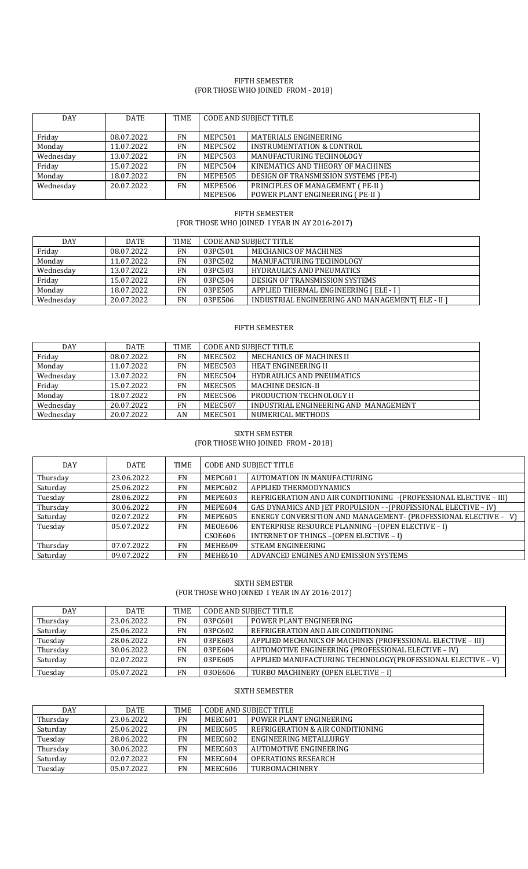#### FIFTH SEMESTER (FOR THOSE WHO JOINED FROM - 2018)

| <b>DAY</b> | <b>DATE</b> | <b>TIME</b> | <b>CODE AND SUBJECT TITLE</b> |                                        |
|------------|-------------|-------------|-------------------------------|----------------------------------------|
|            |             |             |                               |                                        |
|            |             |             |                               |                                        |
| Friday     | 08.07.2022  | <b>FN</b>   | MEPC501                       | <b>MATERIALS ENGINEERING</b>           |
| Monday     | 11.07.2022  | <b>FN</b>   | MEPC502                       | INSTRUMENTATION & CONTROL              |
| Wednesday  | 13.07.2022  | <b>FN</b>   | MEPC503                       | MANUFACTURING TECHNOLOGY               |
| Friday     | 15.07.2022  | <b>FN</b>   | MEPC504                       | KINEMATICS AND THEORY OF MACHINES      |
| Monday     | 18.07.2022  | <b>FN</b>   | MEPE505                       | DESIGN OF TRANSMISSION SYSTEMS (PE-I)  |
| Wednesday  | 20.07.2022  | <b>FN</b>   | MEPE506                       | PRINCIPLES OF MANAGEMENT (PE-II)       |
|            |             |             | MEPE506                       | <b>POWER PLANT ENGINEERING (PE-II)</b> |

#### FIFTH SEMESTER (FOR THOSE WHO JOINED I YEAR IN AY 2016-2017)

| <b>DAY</b> | DATE       | <b>TIME</b> | CODE AND SUBJECT TITLE |                                                   |
|------------|------------|-------------|------------------------|---------------------------------------------------|
| Friday     | 08.07.2022 | FN          | 03PC501                | MECHANICS OF MACHINES                             |
| Monday     | 11.07.2022 | FN          | 03PC502                | MANUFACTURING TECHNOLOGY                          |
| Wednesday  | 13.07.2022 | FN          | 03PC503                | <b>HYDRAULICS AND PNEUMATICS</b>                  |
| Friday     | 15.07.2022 | <b>FN</b>   | 03PC504                | DESIGN OF TRANSMISSION SYSTEMS                    |
| Monday     | 18.07.2022 | <b>FN</b>   | 03PE505                | APPLIED THERMAL ENGINEERING [ ELE - I ]           |
| Wednesday  | 20.07.2022 | <b>FN</b>   | 03PE506                | INDUSTRIAL ENGINEERING AND MANAGEMENT [ELE - II ] |

## FIFTH SEMESTER

| DAY       | DATE       | TIME      | <b>CODE AND SUBJECT TITLE</b> |                                       |
|-----------|------------|-----------|-------------------------------|---------------------------------------|
| Friday    | 08.07.2022 | <b>FN</b> | MEEC502                       | <b>MECHANICS OF MACHINES II</b>       |
| Monday    | 11.07.2022 | <b>FN</b> | MEEC503                       | <b>HEAT ENGINEERING II</b>            |
| Wednesday | 13.07.2022 | <b>FN</b> | MEEC504                       | <b>HYDRAULICS AND PNEUMATICS</b>      |
| Friday    | 15.07.2022 | <b>FN</b> | MEEC505                       | <b>MACHINE DESIGN-II</b>              |
| Monday    | 18.07.2022 | <b>FN</b> | MEEC506                       | PRODUCTION TECHNOLOGY II              |
| Wednesday | 20.07.2022 | <b>FN</b> | MEEC507                       | INDUSTRIAL ENGINEERING AND MANAGEMENT |
| Wednesday | 20.07.2022 | AN        | MEEC501                       | NUMERICAL METHODS                     |

# SIXTH SEMESTER (FOR THOSE WHO JOINED FROM - 2018)

| <b>DAY</b> | <b>DATE</b> | <b>TIME</b> | <b>CODE AND SUBJECT TITLE</b> |                                                                    |
|------------|-------------|-------------|-------------------------------|--------------------------------------------------------------------|
| Thursday   | 23.06.2022  | <b>FN</b>   | MEPC601                       | AUTOMATION IN MANUFACTURING                                        |
| Saturday   | 25.06.2022  | <b>FN</b>   | MEPC602                       | APPLIED THERMODYNAMICS                                             |
| Tuesday    | 28.06.2022  | <b>FN</b>   | MEPE603                       | REFRIGERATION AND AIR CONDITIONING - (PROFESSIONAL ELECTIVE - III) |
| Thursday   | 30.06.2022  | <b>FN</b>   | MEPE604                       | GAS DYNAMICS AND JET PROPULSION - - (PROFESSIONAL ELECTIVE - IV)   |
| Saturday   | 02.07.2022  | FN          | MEPE605                       | ENERGY CONVERSITION AND MANAGEMENT- (PROFESSIONAL ELECTIVE - V)    |
| Tuesday    | 05.07.2022  | <b>FN</b>   | MEOE606                       | ENTERPRISE RESOURCE PLANNING - (OPEN ELECTIVE - I)                 |
|            |             |             | <b>CSOE606</b>                | INTERNET OF THINGS - (OPEN ELECTIVE - I)                           |
| Thursday   | 07.07.2022  | <b>FN</b>   | MEHE609                       | STEAM ENGINEERING                                                  |
| Saturday   | 09.07.2022  | <b>FN</b>   | MEHE610                       | ADVANCED ENGINES AND EMISSION SYSTEMS                              |

# SIXTH SEMESTER (FOR THOSE WHO JOINED I YEAR IN AY 2016-2017)

| <b>DAY</b> | <b>DATE</b> | TIME      | CODE AND SUBJECT TITLE |                                                              |
|------------|-------------|-----------|------------------------|--------------------------------------------------------------|
| Thursday   | 23.06.2022  | <b>FN</b> | 03PC601                | POWER PLANT ENGINEERING                                      |
| Saturday   | 25.06.2022  | <b>FN</b> | 03PC602                | REFRIGERATION AND AIR CONDITIONING                           |
| Tuesday    | 28.06.2022  | <b>FN</b> | 03PE603                | APPLIED MECHANICS OF MACHINES (PROFESSIONAL ELECTIVE - III)  |
| Thursday   | 30.06.2022  | <b>FN</b> | 03PE604                | AUTOMOTIVE ENGINEERING (PROFESSIONAL ELECTIVE - IV)          |
| Saturday   | 02.07.2022  | <b>FN</b> | 03PE605                | APPLIED MANUFACTURING TECHNOLOGY (PROFESSIONAL ELECTIVE - V) |
| Tuesday    | 05.07.2022  | <b>FN</b> | 030E606                | TURBO MACHINERY (OPEN ELECTIVE - I)                          |

# SIXTH SEMESTER

| <b>DAY</b> | <b>DATE</b> | TIME      | <b>CODE AND SUBJECT TITLE</b> |                                  |
|------------|-------------|-----------|-------------------------------|----------------------------------|
| Thursday   | 23.06.2022  | <b>FN</b> | MEEC601                       | POWER PLANT ENGINEERING          |
| Saturday   | 25.06.2022  | <b>FN</b> | MEEC605                       | REFRIGERATION & AIR CONDITIONING |
| Tuesday    | 28.06.2022  | FN        | MEEC602                       | ENGINEERING METALLURGY           |
| Thursday   | 30.06.2022  | FN        | MEEC603                       | AUTOMOTIVE ENGINEERING           |
| Saturday   | 02.07.2022  | FN        | MEEC604                       | <b>OPERATIONS RESEARCH</b>       |
| Tuesday    | 05.07.2022  | FN        | MEEC606                       | TURBOMACHINERY                   |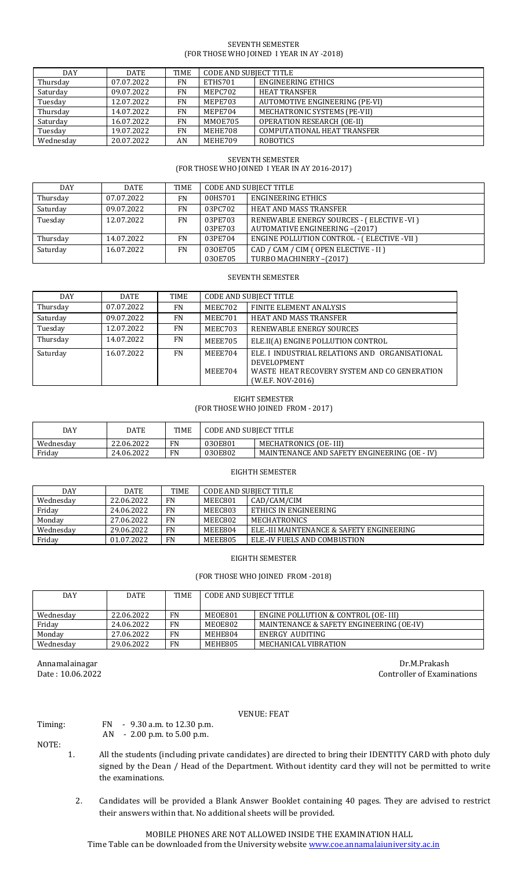#### SEVENTH SEMESTER (FOR THOSE WHO JOINED I YEAR IN AY -2018)

| DAY       | <b>DATE</b> | <b>TIME</b> | <b>CODE AND SUBJECT TITLE</b> |                                    |
|-----------|-------------|-------------|-------------------------------|------------------------------------|
| Thursday  | 07.07.2022  | <b>FN</b>   | ETHS701                       | <b>ENGINEERING ETHICS</b>          |
| Saturday  | 09.07.2022  | <b>FN</b>   | MEPC702                       | <b>HEAT TRANSFER</b>               |
| Tuesday   | 12.07.2022  | <b>FN</b>   | MEPE703                       | AUTOMOTIVE ENGINEERING (PE-VI)     |
| Thursday  | 14.07.2022  | <b>FN</b>   | MEPE704                       | MECHATRONIC SYSTEMS (PE-VII)       |
| Saturday  | 16.07.2022  | <b>FN</b>   | MMOE705                       | <b>OPERATION RESEARCH (OE-II)</b>  |
| Tuesday   | 19.07.2022  | <b>FN</b>   | MEHE708                       | <b>COMPUTATIONAL HEAT TRANSFER</b> |
| Wednesday | 20.07.2022  | AN          | MEHE709                       | <b>ROBOTICS</b>                    |

# SEVENTH SEMESTER (FOR THOSE WHO JOINED I YEAR IN AY 2016-2017)

| <b>DAY</b> | <b>DATE</b> | TIME      | <b>CODE AND SUBJECT TITLE</b> |                                                   |
|------------|-------------|-----------|-------------------------------|---------------------------------------------------|
| Thursday   | 07.07.2022  | <b>FN</b> | 00HS701                       | ENGINEERING ETHICS                                |
| Saturday   | 09.07.2022  | <b>FN</b> | 03PC702                       | HEAT AND MASS TRANSFER                            |
| Tuesday    | 12.07.2022  | <b>FN</b> | 03PE703                       | RENEWABLE ENERGY SOURCES - (ELECTIVE -VI)         |
|            |             |           | 03PE703                       | <b>AUTOMATIVE ENGINEERING -(2017)</b>             |
| Thursday   | 14.07.2022  | <b>FN</b> | 03PE704                       | <b>ENGINE POLLUTION CONTROL - (ELECTIVE -VII)</b> |
| Saturday   | 16.07.2022  | <b>FN</b> | 030E705                       | CAD / CAM / CIM ( OPEN ELECTIVE - II )            |
|            |             |           | 030E705                       | TURBO MACHINERY-(2017)                            |

#### SEVENTH SEMESTER

| <b>DAY</b> | <b>DATE</b> | TIME      | <b>CODE AND SUBJECT TITLE</b> |                                                                                                                                           |
|------------|-------------|-----------|-------------------------------|-------------------------------------------------------------------------------------------------------------------------------------------|
| Thursday   | 07.07.2022  | FN        | MEEC702                       | FINITE ELEMENT ANALYSIS                                                                                                                   |
| Saturday   | 09.07.2022  | <b>FN</b> | MEEC701                       | <b>HEAT AND MASS TRANSFER</b>                                                                                                             |
| Tuesday    | 12.07.2022  | <b>FN</b> | MEEC703                       | RENEWABLE ENERGY SOURCES                                                                                                                  |
| Thursday   | 14.07.2022  | FN        | MEEE705                       | ELE.II(A) ENGINE POLLUTION CONTROL                                                                                                        |
| Saturday   | 16.07.2022  | <b>FN</b> | MEEE704<br>MEEE704            | ELE. I INDUSTRIAL RELATIONS AND ORGANISATIONAL<br><b>DEVELOPMENT</b><br>WASTE HEAT RECOVERY SYSTEM AND CO GENERATION<br>(W.E.F. NOV-2016) |

## EIGHT SEMESTER (FOR THOSE WHO JOINED FROM - 2017)

| DAY       | DATE       | <b>TIME</b> | <b>CODE AND SUBJECT TITLE</b> |                                                    |
|-----------|------------|-------------|-------------------------------|----------------------------------------------------|
| Wednesdav | 22.06.2022 | FN          | 030E801                       | MECHATRONICS (OE-III)                              |
| Friday    | 24.06.2022 | <b>FN</b>   | 030E802                       | MAINTENANCE AND SAFETY ENGINEERING (OE - 1<br>. IV |

#### EIGHTH SEMESTER

| <b>DAY</b> | <b>DATE</b> | <b>TIME</b> | CODE AND SUBIECT TITLE |                                           |
|------------|-------------|-------------|------------------------|-------------------------------------------|
| Wednesday  | 22.06.2022  | FN          | MEEC801                | CAD/CAM/CIM                               |
| Friday     | 24.06.2022  | FN.         | MEEC803                | ETHICS IN ENGINEERING                     |
| Monday     | 27.06.2022  | FN          | MEEC802                | <b>MECHATRONICS</b>                       |
| Wednesday  | 29.06.2022  | <b>FN</b>   | MEEE804                | ELE.-III MAINTENANCE & SAFETY ENGINEERING |
| Friday     | 01.07.2022  | FN          | MEEE805                | ELE.-IV FUELS AND COMBUSTION              |

#### EIGHTH SEMESTER

## (FOR THOSE WHO JOINED FROM -2018)

| <b>DAY</b> | <b>DATE</b> | <b>TIME</b> | CODE AND SUBJECT TITLE |                                          |
|------------|-------------|-------------|------------------------|------------------------------------------|
|            |             |             |                        |                                          |
| Wednesday  | 22.06.2022  | <b>FN</b>   | MEOE801                | ENGINE POLLUTION & CONTROL (OE-III)      |
| Friday     | 24.06.2022  | FN          | MEOE802                | MAINTENANCE & SAFETY ENGINEERING (OE-IV) |
| Monday     | 27.06.2022  | <b>FN</b>   | MEHE804                | ENERGY AUDITING                          |
| Wednesday  | 29.06.2022  | <b>FN</b>   | MEHE805                | MECHANICAL VIBRATION                     |

Annamalainagar Dr.M.Prakash Date : 10.06.2022 Controller of Examinations

# VENUE: FEAT

## Timing: FN - 9.30 a.m. to 12.30 p.m.

AN - 2.00 p.m. to 5.00 p.m.

NOTE:

- 1. All the students (including private candidates) are directed to bring their IDENTITY CARD with photo duly signed by the Dean / Head of the Department. Without identity card they will not be permitted to write the examinations.
	- 2. Candidates will be provided a Blank Answer Booklet containing 40 pages. They are advised to restrict their answers within that. No additional sheets will be provided.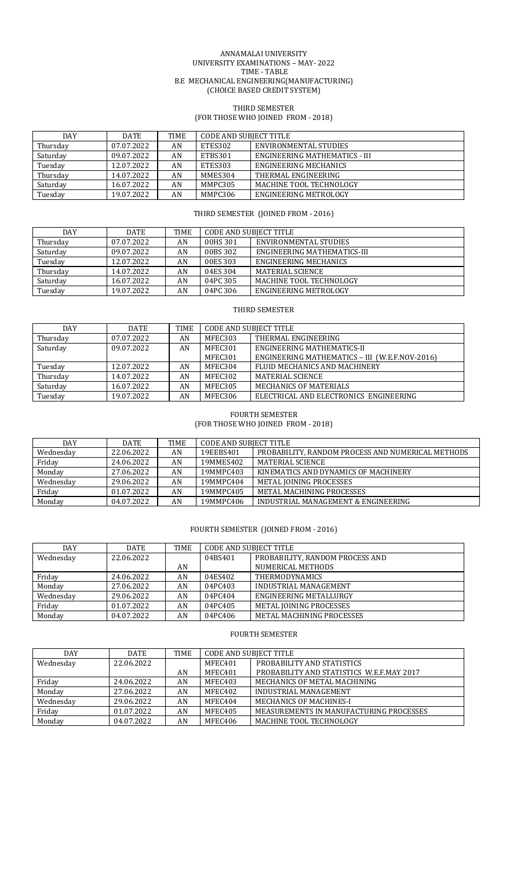#### ANNAMALAI UNIVERSITY UNIVERSITY EXAMINATIONS – MAY- 2022 TIME - TABLE B.E MECHANICAL ENGINEERING(MANUFACTURING) (CHOICE BASED CREDIT SYSTEM)

## THIRD SEMESTER (FOR THOSE WHO JOINED FROM - 2018)

| DAY      | <b>DATE</b> | <b>TIME</b> | CODE AND SUBJECT TITLE |                               |  |
|----------|-------------|-------------|------------------------|-------------------------------|--|
| Thursday | 07.07.2022  | AN          | ETES302                | ENVIRONMENTAL STUDIES         |  |
| Saturday | 09.07.2022  | AN          | ETBS301                | ENGINEERING MATHEMATICS - III |  |
| Tuesday  | 12.07.2022  | AN          | ETES303                | ENGINEERING MECHANICS         |  |
| Thursday | 14.07.2022  | AN          | MMES304                | THERMAL ENGINEERING           |  |
| Saturday | 16.07.2022  | AN          | MMPC305                | MACHINE TOOL TECHNOLOGY       |  |
| Tuesday  | 19.07.2022  | AN          | MMPC306                | ENGINEERING METROLOGY         |  |

## THIRD SEMESTER (JOINED FROM - 2016)

| DAY      | DATE       | TIME | CODE AND SUBIECT TITLE |                             |
|----------|------------|------|------------------------|-----------------------------|
| Thursday | 07.07.2022 | AN   | 00HS 301               | ENVIRONMENTAL STUDIES       |
| Saturday | 09.07.2022 | AN   | 00BS 302               | ENGINEERING MATHEMATICS-III |
| Tuesday  | 12.07.2022 | AN   | 00ES 303               | ENGINEERING MECHANICS       |
| Thursday | 14.07.2022 | AN   | 04ES 304               | MATERIAL SCIENCE            |
| Saturday | 16.07.2022 | AN   | 04PC 305               | MACHINE TOOL TECHNOLOGY     |
| Tuesday  | 19.07.2022 | AN   | 04PC 306               | ENGINEERING METROLOGY       |

## THIRD SEMESTER

| DAY      | <b>DATE</b> | TIME | <b>CODE AND SUBIECT TITLE</b> |                                                |
|----------|-------------|------|-------------------------------|------------------------------------------------|
| Thursday | 07.07.2022  | AN   | MFEC303                       | THERMAL ENGINEERING                            |
| Saturday | 09.07.2022  | AN   | MFEC301                       | ENGINEERING MATHEMATICS-II                     |
|          |             |      | MFEC301                       | ENGINEERING MATHEMATICS - III (W.E.F.NOV-2016) |
| Tuesday  | 12.07.2022  | AN   | MFEC304                       | FLUID MECHANICS AND MACHINERY                  |
| Thursday | 14.07.2022  | AN   | MFEC302                       | MATERIAL SCIENCE                               |
| Saturday | 16.07.2022  | AN   | MFEC305                       | <b>MECHANICS OF MATERIALS</b>                  |
| Tuesday  | 19.07.2022  | AN   | MFEC306                       | ELECTRICAL AND ELECTRONICS ENGINEERING         |

## FOURTH SEMESTER (FOR THOSE WHO JOINED FROM - 2018)

| DAY       | <b>DATE</b> | <b>TIME</b> | <b>CODE AND SUBJECT TITLE</b> |                                                   |
|-----------|-------------|-------------|-------------------------------|---------------------------------------------------|
| Wednesday | 22.06.2022  | AN          | 19EEBS401                     | PROBABILITY, RANDOM PROCESS AND NUMERICAL METHODS |
| Friday    | 24.06.2022  | AN          | 19MMES402                     | MATERIAL SCIENCE                                  |
| Monday    | 27.06.2022  | AN          | 19MMPC403                     | KINEMATICS AND DYNAMICS OF MACHINERY              |
| Wednesday | 29.06.2022  | AN          | 19MMPC404                     | METAL JOINING PROCESSES                           |
| Friday    | 01.07.2022  | AN          | 19MMPC405                     | METAL MACHINING PROCESSES                         |
| Monday    | 04.07.2022  | AN          | 19MMPC406                     | INDUSTRIAL MANAGEMENT & ENGINEERING               |

# FOURTH SEMESTER (JOINED FROM - 2016)

| DAY       | <b>DATE</b> | TIME | <b>CODE AND SUBJECT TITLE</b> |                                 |
|-----------|-------------|------|-------------------------------|---------------------------------|
| Wednesday | 22.06.2022  |      | 04BS401                       | PROBABILITY, RANDOM PROCESS AND |
|           |             | AN   |                               | NUMERICAL METHODS               |
| Friday    | 24.06.2022  | AN   | 04ES402                       | <b>THERMODYNAMICS</b>           |
| Monday    | 27.06.2022  | AN   | 04PC403                       | INDUSTRIAL MANAGEMENT           |
| Wednesday | 29.06.2022  | AN   | 04PC404                       | ENGINEERING METALLURGY          |
| Friday    | 01.07.2022  | AN   | 04PC405                       | METAL JOINING PROCESSES         |
| Monday    | 04.07.2022  | AN   | 04PC406                       | METAL MACHINING PROCESSES       |

#### FOURTH SEMESTER

| <b>DAY</b> | <b>DATE</b> | <b>TIME</b> | <b>CODE AND SUBJECT TITLE</b> |                                           |
|------------|-------------|-------------|-------------------------------|-------------------------------------------|
| Wednesday  | 22.06.2022  |             | MFEC401                       | PROBABILITY AND STATISTICS                |
|            |             | AN          | MFEC401                       | PROBABILITY AND STATISTICS W.E.F.MAY 2017 |
| Friday     | 24.06.2022  | AN          | MFEC403                       | MECHANICS OF METAL MACHINING              |
| Monday     | 27.06.2022  | AN          | MFEC402                       | INDUSTRIAL MANAGEMENT                     |
| Wednesday  | 29.06.2022  | AN          | MFEC404                       | <b>MECHANICS OF MACHINES-I</b>            |
| Friday     | 01.07.2022  | AN          | MFEC405                       | MEASUREMENTS IN MANUFACTURING PROCESSES   |
| Monday     | 04.07.2022  | AN          | MFEC406                       | MACHINE TOOL TECHNOLOGY                   |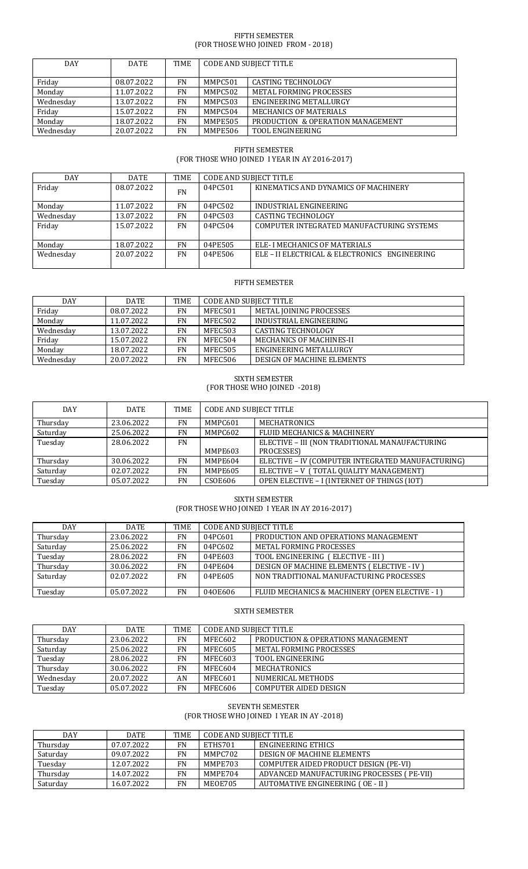#### FIFTH SEMESTER (FOR THOSE WHO JOINED FROM - 2018)

| <b>DAY</b> | <b>DATE</b> | TIME      | <b>CODE AND SUBJECT TITLE</b> |                                   |
|------------|-------------|-----------|-------------------------------|-----------------------------------|
| Friday     | 08.07.2022  | <b>FN</b> | MMPC501                       | <b>CASTING TECHNOLOGY</b>         |
| Monday     | 11.07.2022  | <b>FN</b> | MMPC502                       | <b>METAL FORMING PROCESSES</b>    |
| Wednesday  | 13.07.2022  | FN        | MMPC503                       | ENGINEERING METALLURGY            |
| Friday     | 15.07.2022  | <b>FN</b> | MMPC504                       | <b>MECHANICS OF MATERIALS</b>     |
| Monday     | 18.07.2022  | FN        | MMPE505                       | PRODUCTION & OPERATION MANAGEMENT |
| Wednesdav  | 20.07.2022  | FN        | MMPE506                       | TOOL ENGINEERING                  |

# FIFTH SEMESTER (FOR THOSE WHO JOINED I YEAR IN AY 2016-2017)

| DAY       | DATE       | TIME      | CODE AND SUBJECT TITLE |                                               |
|-----------|------------|-----------|------------------------|-----------------------------------------------|
| Friday    | 08.07.2022 | <b>FN</b> | 04PC501                | KINEMATICS AND DYNAMICS OF MACHINERY          |
| Monday    | 11.07.2022 | FN        | 04PC502                | INDUSTRIAL ENGINEERING                        |
| Wednesday | 13.07.2022 | <b>FN</b> | 04PC503                | <b>CASTING TECHNOLOGY</b>                     |
| Friday    | 15.07.2022 | <b>FN</b> | 04PC504                | COMPUTER INTEGRATED MANUFACTURING SYSTEMS     |
| Monday    | 18.07.2022 | <b>FN</b> | 04PE505                | ELE- I MECHANICS OF MATERIALS                 |
| Wednesday | 20.07.2022 | <b>FN</b> | 04PE506                | ELE - II ELECTRICAL & ELECTRONICS ENGINEERING |

## FIFTH SEMESTER

| <b>DAY</b> | <b>DATE</b> | TIME | CODE AND SUBIECT TITLE |                            |  |
|------------|-------------|------|------------------------|----------------------------|--|
| Friday     | 08.07.2022  | FN   | MFEC501                | METAL JOINING PROCESSES    |  |
| Monday     | 11.07.2022  | FN   | MFEC502                | INDUSTRIAL ENGINEERING     |  |
| Wednesday  | 13.07.2022  | FN   | MFEC503                | <b>CASTING TECHNOLOGY</b>  |  |
| Friday     | 15.07.2022  | FN   | MFEC504                | MECHANICS OF MACHINES-II   |  |
| Monday     | 18.07.2022  | FN   | MFEC505                | ENGINEERING METALLURGY     |  |
| Wednesday  | 20.07.2022  | FN   | MFEC506                | DESIGN OF MACHINE ELEMENTS |  |

#### SIXTH SEMESTER (FOR THOSE WHO JOINED -2018)

| <b>DAY</b> | <b>DATE</b> | <b>TIME</b> | <b>CODE AND SUBJECT TITLE</b> |                                                   |
|------------|-------------|-------------|-------------------------------|---------------------------------------------------|
| Thursday   | 23.06.2022  | <b>FN</b>   | MMPC601                       | <b>MECHATRONICS</b>                               |
| Saturday   | 25.06.2022  | FN          | MMPC602                       | FLUID MECHANICS & MACHINERY                       |
| Tuesday    | 28.06.2022  | <b>FN</b>   |                               | ELECTIVE - III (NON TRADITIONAL MANAUFACTURING    |
|            |             |             | MMPE603                       | PROCESSES)                                        |
| Thursday   | 30.06.2022  | <b>FN</b>   | MMPE604                       | ELECTIVE - IV (COMPUTER INTEGRATED MANUFACTURING) |
| Saturday   | 02.07.2022  | <b>FN</b>   | MMPE605                       | ELECTIVE - V (TOTAL QUALITY MANAGEMENT)           |
| Tuesday    | 05.07.2022  | <b>FN</b>   | <b>CSOE606</b>                | OPEN ELECTIVE - I (INTERNET OF THINGS (IOT)       |

# SIXTH SEMESTER

(FOR THOSE WHO JOINED I YEAR IN AY 2016-2017)

| DAY      | <b>DATE</b> | TIME      | <b>CODE AND SUBJECT TITLE</b> |                                                 |
|----------|-------------|-----------|-------------------------------|-------------------------------------------------|
| Thursday | 23.06.2022  | FN        | 04PC601                       | PRODUCTION AND OPERATIONS MANAGEMENT            |
| Saturday | 25.06.2022  | FN        | 04PC602                       | METAL FORMING PROCESSES                         |
| Tuesday  | 28.06.2022  | FN        | 04PE603                       | TOOL ENGINEERING (ELECTIVE - III)               |
| Thursday | 30.06.2022  | FN        | 04PE604                       | DESIGN OF MACHINE ELEMENTS (ELECTIVE - IV)      |
| Saturday | 02.07.2022  | FN        | 04PE605                       | NON TRADITIONAL MANUFACTURING PROCESSES         |
|          |             |           |                               |                                                 |
| Tuesday  | 05.07.2022  | <b>FN</b> | 040E606                       | FLUID MECHANICS & MACHINERY (OPEN ELECTIVE - I) |

## SIXTH SEMESTER

| <b>DAY</b> | DATE       | TIME      | <b>CODE AND SUBJECT TITLE</b> |                                    |
|------------|------------|-----------|-------------------------------|------------------------------------|
| Thursday   | 23.06.2022 | <b>FN</b> | MFEC602                       | PRODUCTION & OPERATIONS MANAGEMENT |
| Saturday   | 25.06.2022 | FN        | MFEC605                       | METAL FORMING PROCESSES            |
| Tuesday    | 28.06.2022 | FN        | MFEC603                       | <b>TOOL ENGINEERING</b>            |
| Thursday   | 30.06.2022 | FN        | MFEC604                       | <b>MECHATRONICS</b>                |
| Wednesday  | 20.07.2022 | AN        | MFEC601                       | NUMERICAL METHODS                  |
| Tuesday    | 05.07.2022 | FN        | MFEC606                       | <b>COMPUTER AIDED DESIGN</b>       |

#### SEVENTH SEMESTER (FOR THOSE WHO JOINED I YEAR IN AY -2018)

| DAY      | <b>DATE</b> | TIME | CODE AND SUBIECT TITLE |                                           |
|----------|-------------|------|------------------------|-------------------------------------------|
| Thursday | 07.07.2022  | FN   | ETHS701                | ENGINEERING ETHICS                        |
| Saturday | 09.07.2022  | FN   | MMPC702                | DESIGN OF MACHINE ELEMENTS                |
| Tuesday  | 12.07.2022  | FN   | MMPE703                | COMPUTER AIDED PRODUCT DESIGN (PE-VI)     |
| Thursday | 14.07.2022  | FN   | MMPE704                | ADVANCED MANUFACTURING PROCESSES (PE-VII) |
| Saturday | 16.07.2022  | FN   | MEOE705                | AUTOMATIVE ENGINEERING (OE - II)          |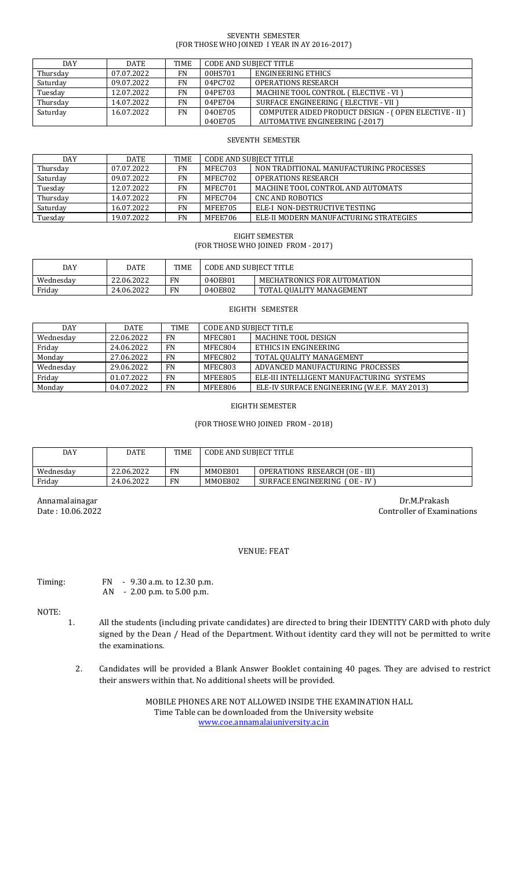#### SEVENTH SEMESTER (FOR THOSE WHO JOINED I YEAR IN AY 2016-2017)

| <b>DAY</b> | <b>DATE</b> | TIME      | CODE AND SUBIECT TITLE |                                                      |
|------------|-------------|-----------|------------------------|------------------------------------------------------|
| Thursday   | 07.07.2022  | FN        | 00HS701                | ENGINEERING ETHICS                                   |
| Saturday   | 09.07.2022  | <b>FN</b> | 04PC702                | <b>OPERATIONS RESEARCH</b>                           |
| Tuesday    | 12.07.2022  | FN        | 04PE703                | MACHINE TOOL CONTROL (ELECTIVE - VI)                 |
| Thursday   | 14.07.2022  | FN        | 04PE704                | SURFACE ENGINEERING (ELECTIVE - VII )                |
| Saturday   | 16.07.2022  | <b>FN</b> | 040E705                | COMPUTER AIDED PRODUCT DESIGN - (OPEN ELECTIVE - II) |
|            |             |           | 040E705                | <b>AUTOMATIVE ENGINEERING (-2017)</b>                |

#### SEVENTH SEMESTER

| DAY      | <b>DATE</b> | <b>TIME</b> | CODE AND SUBIECT TITLE |                                         |
|----------|-------------|-------------|------------------------|-----------------------------------------|
| Thursday | 07.07.2022  | FN          | MFEC703                | NON TRADITIONAL MANUFACTURING PROCESSES |
| Saturday | 09.07.2022  | FN          | MFEC702                | <b>OPERATIONS RESEARCH</b>              |
| Tuesday  | 12.07.2022  | FN          | MFEC701                | MACHINE TOOL CONTROL AND AUTOMATS       |
| Thursday | 14.07.2022  | FN          | MFEC704                | CNC AND ROBOTICS                        |
| Saturday | 16.07.2022  | FN          | MFEE705                | ELE-I NON-DESTRUCTIVE TESTING           |
| Tuesday  | 19.07.2022  | FN          | MFEE706                | ELE-II MODERN MANUFACTURING STRATEGIES  |

EIGHT SEMESTER (FOR THOSE WHO JOINED FROM - 2017)

| DAY       | DATE       | <b>TIME</b> | CODE AND SUBIECT TITLE |                             |
|-----------|------------|-------------|------------------------|-----------------------------|
| Wednesdav | 22.06.2022 | FN          | 040E801                | MECHATRONICS FOR AUTOMATION |
| Friday    | 24.06.2022 | FN          | 040E802                | TOTAL OUALITY MANAGEMENT    |

#### EIGHTH SEMESTER

| DAY       | <b>DATE</b> | TIME      | <b>CODE AND SUBJECT TITLE</b> |                                              |
|-----------|-------------|-----------|-------------------------------|----------------------------------------------|
| Wednesday | 22.06.2022  | <b>FN</b> | MFEC801                       | <b>MACHINE TOOL DESIGN</b>                   |
| Friday    | 24.06.2022  | FN        | MFEC804                       | ETHICS IN ENGINEERING                        |
| Monday    | 27.06.2022  | FN        | MFEC802                       | TOTAL OUALITY MANAGEMENT                     |
| Wednesday | 29.06.2022  | FN        | MFEC803                       | ADVANCED MANUFACTURING PROCESSES             |
| Friday    | 01.07.2022  | <b>FN</b> | MFEE805                       | ELE-III INTELLIGENT MANUFACTURING SYSTEMS    |
| Monday    | 04.07.2022  | <b>FN</b> | MFEE806                       | ELE-IV SURFACE ENGINEERING (W.E.F. MAY 2013) |

## EIGHTH SEMESTER

## (FOR THOSE WHO JOINED FROM - 2018)

| DAY       | DATE       | <b>TIME</b> | CODE AND SUBIECT TITLE |                                                 |
|-----------|------------|-------------|------------------------|-------------------------------------------------|
| Wednesday | 22.06.2022 | FN          | MMOE801                | OPERATIONS RESEARCH (OE - III)                  |
| Friday    | 24.06.2022 | FN          | MMOE802                | SURFACE ENGINEERING (<br>1 OE - IV <sup>-</sup> |

Annamalainagar Dr.M.Prakash Date : 10.06.2022 Controller of Examinations

# VENUE: FEAT

Timing: FN - 9.30 a.m. to 12.30 p.m. AN - 2.00 p.m. to 5.00 p.m.

NOTE:

- 1. All the students (including private candidates) are directed to bring their IDENTITY CARD with photo duly signed by the Dean / Head of the Department. Without identity card they will not be permitted to write the examinations.
	- 2. Candidates will be provided a Blank Answer Booklet containing 40 pages. They are advised to restrict their answers within that. No additional sheets will be provided.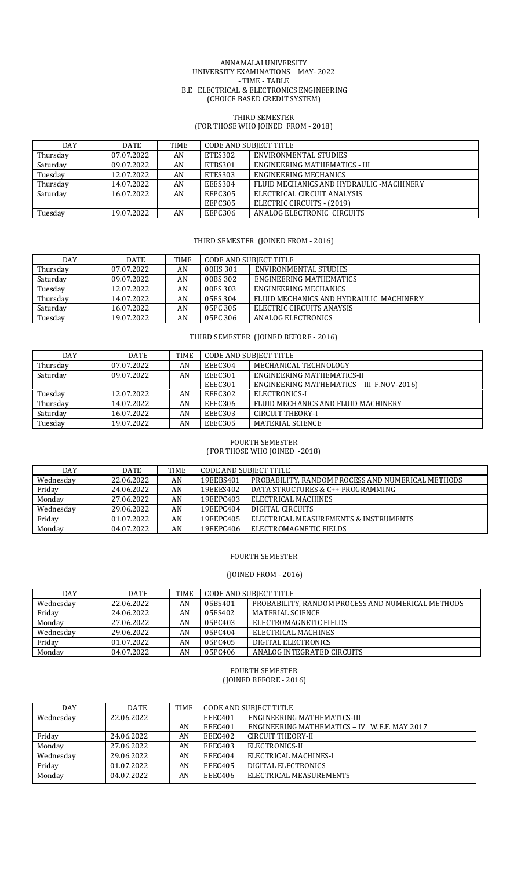#### ANNAMALAI UNIVERSITY UNIVERSITY EXAMINATIONS – MAY- 2022 - TIME - TABLE B.E ELECTRICAL & ELECTRONICS ENGINEERING (CHOICE BASED CREDIT SYSTEM)

## THIRD SEMESTER (FOR THOSE WHO JOINED FROM - 2018)

| DAY      | DATE       | TIME | CODE AND SUBJECT TITLE           |                                          |  |
|----------|------------|------|----------------------------------|------------------------------------------|--|
| Thursday | 07.07.2022 | AN   | ETES302<br>ENVIRONMENTAL STUDIES |                                          |  |
| Saturday | 09.07.2022 | AN   | ETBS301                          | ENGINEERING MATHEMATICS - III            |  |
| Tuesday  | 12.07.2022 | AN   | ETES303                          | ENGINEERING MECHANICS                    |  |
| Thursday | 14.07.2022 | AN   | EEES304                          | FLUID MECHANICS AND HYDRAULIC -MACHINERY |  |
| Saturday | 16.07.2022 | AN   | <b>EEPC305</b>                   | ELECTRICAL CIRCUIT ANALYSIS              |  |
|          |            |      | EEPC305                          | ELECTRIC CIRCUITS - (2019)               |  |
| Tuesday  | 19.07.2022 | AN   | EEPC306                          | ANALOG ELECTRONIC CIRCUITS               |  |

## THIRD SEMESTER (JOINED FROM - 2016)

| <b>DAY</b> | DATE       | <b>TIME</b> | <b>CODE AND SUBJECT TITLE</b>     |                                         |  |
|------------|------------|-------------|-----------------------------------|-----------------------------------------|--|
| Thursday   | 07.07.2022 | AN          | ENVIRONMENTAL STUDIES<br>00HS 301 |                                         |  |
| Saturday   | 09.07.2022 | AN          | 00BS 302                          | ENGINEERING MATHEMATICS                 |  |
| Tuesday    | 12.07.2022 | AN          | 00ES 303                          | ENGINEERING MECHANICS                   |  |
| Thursday   | 14.07.2022 | AN          | 05ES 304                          | FLUID MECHANICS AND HYDRAULIC MACHINERY |  |
| Saturday   | 16.07.2022 | AN          | 05PC 305                          | ELECTRIC CIRCUITS ANAYSIS               |  |
| Tuesday    | 19.07.2022 | AN          | 05PC 306                          | ANALOG ELECTRONICS                      |  |

THIRD SEMESTER (JOINED BEFORE - 2016)

| DAY      | DATE       | <b>TIME</b> | <b>CODE AND SUBIECT TITLE</b> |                                           |  |
|----------|------------|-------------|-------------------------------|-------------------------------------------|--|
| Thursday | 07.07.2022 | AN          | EEEC304                       | MECHANICAL TECHNOLOGY                     |  |
| Saturday | 09.07.2022 | AN          | EEEC301                       | ENGINEERING MATHEMATICS-II                |  |
|          |            |             | EEEC301                       | ENGINEERING MATHEMATICS - III F.NOV-2016) |  |
| Tuesday  | 12.07.2022 | AN          | EEEC302                       | ELECTRONICS-I                             |  |
| Thursday | 14.07.2022 | AN          | EEEC306                       | FLUID MECHANICS AND FLUID MACHINERY       |  |
| Saturday | 16.07.2022 | AN          | EEEC303                       | <b>CIRCUIT THEORY-I</b>                   |  |
| Tuesday  | 19.07.2022 | AN          | EEEC305                       | MATERIAL SCIENCE                          |  |

#### FOURTH SEMESTER (FOR THOSE WHO JOINED -2018)

| DAY       | DATE       | TIME | CODE AND SUBIECT TITLE |                                                   |  |  |
|-----------|------------|------|------------------------|---------------------------------------------------|--|--|
| Wednesday | 22.06.2022 | AN   | 19EEBS401              | PROBABILITY, RANDOM PROCESS AND NUMERICAL METHODS |  |  |
| Friday    | 24.06.2022 | AN   | 19EEES402              | DATA STRUCTURES & C++ PROGRAMMING                 |  |  |
| Monday    | 27.06.2022 | AN   | 19EEPC403              | ELECTRICAL MACHINES                               |  |  |
| Wednesday | 29.06.2022 | AN   | 19EEPC404              | DIGITAL CIRCUITS                                  |  |  |
| Friday    | 01.07.2022 | AN   | 19EEPC405              | ELECTRICAL MEASUREMENTS & INSTRUMENTS             |  |  |
| Monday    | 04.07.2022 | AN   | 19EEPC406              | ELECTROMAGNETIC FIELDS                            |  |  |

## FOURTH SEMESTER

# (JOINED FROM - 2016)

| <b>DAY</b> | <b>DATE</b> | <b>TIME</b> | <b>CODE AND SUBJECT TITLE</b>                                |                            |  |
|------------|-------------|-------------|--------------------------------------------------------------|----------------------------|--|
| Wednesdav  | 22.06.2022  | AN          | PROBABILITY, RANDOM PROCESS AND NUMERICAL METHODS<br>05BS401 |                            |  |
| Fridav     | 24.06.2022  | AN          | MATERIAL SCIENCE<br>05ES402                                  |                            |  |
| Monday     | 27.06.2022  | AN          | 05PC403                                                      | ELECTROMAGNETIC FIELDS     |  |
| Wednesday  | 29.06.2022  | AN          | 05PC404                                                      | ELECTRICAL MACHINES        |  |
| Friday     | 01.07.2022  | AN          | 05PC405                                                      | DIGITAL ELECTRONICS        |  |
| Monday     | 04.07.2022  | AN          | 05PC406                                                      | ANALOG INTEGRATED CIRCUITS |  |

#### FOURTH SEMESTER (JOINED BEFORE - 2016)

| DAY       | <b>DATE</b> | <b>TIME</b> | <b>CODE AND SUBJECT TITLE</b>          |                                              |  |
|-----------|-------------|-------------|----------------------------------------|----------------------------------------------|--|
| Wednesday | 22.06.2022  |             | ENGINEERING MATHEMATICS-III<br>EEEC401 |                                              |  |
|           |             | AN          | EEEC401                                | ENGINEERING MATHEMATICS - IV W.E.F. MAY 2017 |  |
| Friday    | 24.06.2022  | AN          | EEEC402                                | CIRCUIT THEORY-II                            |  |
| Monday    | 27.06.2022  | AN          | EEEC403                                | ELECTRONICS-II                               |  |
| Wednesday | 29.06.2022  | AN          | EEEC404                                | ELECTRICAL MACHINES-I                        |  |
| Friday    | 01.07.2022  | AN          | EEEC405                                | DIGITAL ELECTRONICS                          |  |
| Monday    | 04.07.2022  | AN          | EEEC406                                | ELECTRICAL MEASUREMENTS                      |  |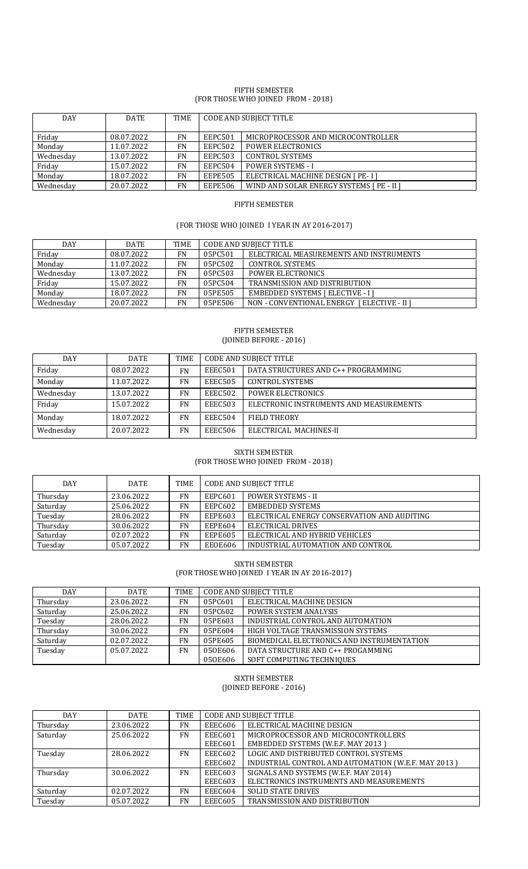#### FIFTH SEMESTER (FOR THOSE WHO JOINED FROM - 2018)

| DAY       | <b>DATE</b> | <b>TIME</b> | <b>CODE AND SUBJECT TITLE</b> |                                           |  |
|-----------|-------------|-------------|-------------------------------|-------------------------------------------|--|
|           | 08.07.2022  | <b>FN</b>   | EEPC501                       | MICROPROCESSOR AND MICROCONTROLLER        |  |
| Friday    |             |             |                               |                                           |  |
| Monday    | 11.07.2022  | FN          | EEPC502                       | <b>POWER ELECTRONICS</b>                  |  |
| Wednesday | 13.07.2022  | <b>FN</b>   | <b>EEPC503</b>                | <b>CONTROL SYSTEMS</b>                    |  |
| Friday    | 15.07.2022  | <b>FN</b>   | EEPC504                       | <b>POWER SYSTEMS - I</b>                  |  |
| Monday    | 18.07.2022  | <b>FN</b>   | <b>EEPE505</b>                | ELECTRICAL MACHINE DESIGN [ PE- I ]       |  |
| Wednesday | 20.07.2022  | <b>FN</b>   | <b>EEPE506</b>                | WIND AND SOLAR ENERGY SYSTEMS [ PE - II ] |  |

## FIFTH SEMESTER

# (FOR THOSE WHO JOINED I YEAR IN AY 2016-2017)

| <b>DAY</b> | DATE       | TIME      | <b>CODE AND SUBJECT TITLE</b> |                                             |  |
|------------|------------|-----------|-------------------------------|---------------------------------------------|--|
| Friday     | 08.07.2022 | <b>FN</b> | 05PC501                       | ELECTRICAL MEASUREMENTS AND INSTRUMENTS     |  |
| Monday     | 11.07.2022 | <b>FN</b> | 05PC502                       | <b>CONTROL SYSTEMS</b>                      |  |
| Wednesday  | 13.07.2022 | <b>FN</b> | 05PC503                       | <b>POWER ELECTRONICS</b>                    |  |
| Friday     | 15.07.2022 | <b>FN</b> | 05PC504                       | TRANSMISSION AND DISTRIBUTION               |  |
| Monday     | 18.07.2022 | <b>FN</b> | 05PE505                       | <b>EMBEDDED SYSTEMS [ ELECTIVE - I ]</b>    |  |
| Wednesday  | 20.07.2022 | FN        | 05PE506                       | NON - CONVENTIONAL ENERGY   ELECTIVE - II ] |  |

#### FIFTH SEMESTER (JOINED BEFORE - 2016)

| DAY       | <b>DATE</b> | <b>TIME</b> | <b>CODE AND SUBJECT TITLE</b>                  |                                         |  |
|-----------|-------------|-------------|------------------------------------------------|-----------------------------------------|--|
| Friday    | 08.07.2022  | <b>FN</b>   | DATA STRUCTURES AND C++ PROGRAMMING<br>EEEC501 |                                         |  |
| Monday    | 11.07.2022  | <b>FN</b>   | EEEC505                                        | CONTROL SYSTEMS                         |  |
| Wednesday | 13.07.2022  | <b>FN</b>   | EEEC502                                        | <b>POWER ELECTRONICS</b>                |  |
| Friday    | 15.07.2022  | <b>FN</b>   | EEEC503                                        | ELECTRONIC INSTRUMENTS AND MEASUREMENTS |  |
| Monday    | 18.07.2022  | <b>FN</b>   | EEEC504                                        | <b>FIELD THEORY</b>                     |  |
| Wednesday | 20.07.2022  | FN          | EEEC506                                        | ELECTRICAL MACHINES-II                  |  |

#### SIXTH SEMESTER (FOR THOSE WHO JOINED FROM - 2018)

| <b>DAY</b> | DATE       | <b>TIME</b> | <b>CODE AND SUBJECT TITLE</b>      |                                             |  |
|------------|------------|-------------|------------------------------------|---------------------------------------------|--|
| Thursday   | 23.06.2022 | FN          | EEPC601                            | <b>POWER SYSTEMS - II</b>                   |  |
| Saturday   | 25.06.2022 | FN          | <b>EMBEDDED SYSTEMS</b><br>EEPC602 |                                             |  |
| Tuesday    | 28.06.2022 | FN          | <b>EEPE603</b>                     | ELECTRICAL ENERGY CONSERVATION AND AUDITING |  |
| Thursday   | 30.06.2022 | FN          | EEPE604                            | ELECTRICAL DRIVES                           |  |
| Saturday   | 02.07.2022 | FN          | <b>EEPE605</b>                     | ELECTRICAL AND HYBRID VEHICLES              |  |
| Tuesday    | 05.07.2022 | FN          | EEOE606                            | INDUSTRIAL AUTOMATION AND CONTROL           |  |

SIXTH SEMESTER

(FOR THOSE WHO JOINED I YEAR IN AY 2016-2017)

| DAY      | <b>DATE</b> | <b>TIME</b> | <b>CODE AND SUBJECT TITLE</b>                |                                            |
|----------|-------------|-------------|----------------------------------------------|--------------------------------------------|
| Thursday | 23.06.2022  | FN          | 05PC601                                      | ELECTRICAL MACHINE DESIGN                  |
| Saturday | 25.06.2022  | FN          | 05PC602                                      | <b>POWER SYSTEM ANALYSIS</b>               |
| Tuesday  | 28.06.2022  | FN          | 05PE603                                      | INDUSTRIAL CONTROL AND AUTOMATION          |
| Thursday | 30.06.2022  | FN          | 05PE604                                      | HIGH VOLTAGE TRANSMISSION SYSTEMS          |
| Saturday | 02.07.2022  | FN          | 05PE605                                      | BIOMEDICAL ELECTRONICS AND INSTRUMENTATION |
| Tuesday  | 05.07.2022  | FN          | DATA STRUCTURE AND C++ PROGAMMING<br>050E606 |                                            |
|          |             |             | SOFT COMPUTING TECHNIQUES<br>050E606         |                                            |

# SIXTH SEMESTER

| (JOINED BEFORE - 2016) |  |  |
|------------------------|--|--|
|                        |  |  |

| <b>DAY</b> | <b>DATE</b> | <b>TIME</b> |                | <b>CODE AND SUBJECT TITLE</b>                       |
|------------|-------------|-------------|----------------|-----------------------------------------------------|
| Thursday   | 23.06.2022  | FN          | EEEC606        | ELECTRICAL MACHINE DESIGN                           |
| Saturday   | 25.06.2022  | FN          | <b>EEEC601</b> | MICROPROCESSOR AND MICROCONTROLLERS                 |
|            |             |             | EEEC601        | <b>EMBEDDED SYSTEMS (W.E.F. MAY 2013)</b>           |
| Tuesday    | 28.06.2022  | FN.         | EEEC602        | LOGIC AND DISTRIBUTED CONTROL SYSTEMS               |
|            |             |             | EEEC602        | INDUSTRIAL CONTROL AND AUTOMATION (W.E.F. MAY 2013) |
| Thursday   | 30.06.2022  | FN          | EEEC603        | SIGNALS AND SYSTEMS (W.E.F. MAY 2014)               |
|            |             |             | EEEC603        | ELECTRONICS INSTRUMENTS AND MEASUREMENTS            |
| Saturday   | 02.07.2022  | <b>FN</b>   | EEEC604        | <b>SOLID STATE DRIVES</b>                           |
| Tuesday    | 05.07.2022  | <b>FN</b>   | EEEC605        | TRANSMISSION AND DISTRIBUTION                       |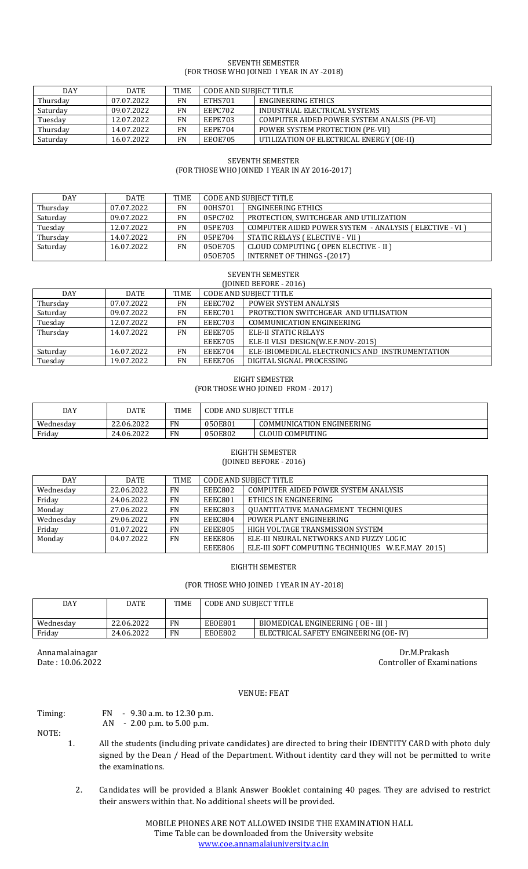## SEVENTH SEMESTER (FOR THOSE WHO JOINED I YEAR IN AY -2018)

| <b>DAY</b> | <b>DATE</b> | <b>TIME</b> | CODE AND SUBIECT TITLE |                                             |
|------------|-------------|-------------|------------------------|---------------------------------------------|
| Thursday   | 07.07.2022  | FN          | ETHS701                | ENGINEERING ETHICS                          |
| Saturday   | 09.07.2022  | FN          | EEPC702                | INDUSTRIAL ELECTRICAL SYSTEMS               |
| Tuesday    | 12.07.2022  | FN          | EEPE703                | COMPUTER AIDED POWER SYSTEM ANALSIS (PE-VI) |
| Thursday   | 14.07.2022  | FN          | EEPE704                | POWER SYSTEM PROTECTION (PE-VII)            |
| Saturday   | 16.07.2022  | FN          | EEOE705                | UTILIZATION OF ELECTRICAL ENERGY (OE-II)    |

# SEVENTH SEMESTER (FOR THOSE WHO JOINED I YEAR IN AY 2016-2017)

| <b>DAY</b> | <b>DATE</b> | <b>TIME</b> | CODE AND SUBJECT TITLE |                                                          |
|------------|-------------|-------------|------------------------|----------------------------------------------------------|
| Thursday   | 07.07.2022  | FN          | 00HS701                | ENGINEERING ETHICS                                       |
| Saturday   | 09.07.2022  | <b>FN</b>   | 05PC702                | PROTECTION, SWITCHGEAR AND UTILIZATION                   |
| Tuesday    | 12.07.2022  | FN          | 05PE703                | COMPUTER AIDED POWER SYSTEM - ANALYSIS ( ELECTIVE - VI ) |
| Thursday   | 14.07.2022  | <b>FN</b>   | 05PE704                | STATIC RELAYS ( ELECTIVE - VII )                         |
| Saturday   | 16.07.2022  | FN          | 050E705                | CLOUD COMPUTING (OPEN ELECTIVE - II )                    |
|            |             |             | 050E705                | <b>INTERNET OF THINGS - (2017)</b>                       |

# SEVENTH SEMESTER

| (JOINED BEFORE - 2016) |             |             |         |                                                 |  |
|------------------------|-------------|-------------|---------|-------------------------------------------------|--|
| DAY                    | <b>DATE</b> | <b>TIME</b> |         | <b>CODE AND SUBJECT TITLE</b>                   |  |
| Thursday               | 07.07.2022  | <b>FN</b>   | EEEC702 | <b>POWER SYSTEM ANALYSIS</b>                    |  |
| Saturday               | 09.07.2022  | FN          | EEEC701 | PROTECTION SWITCHGEAR AND UTILISATION           |  |
| Tuesday                | 12.07.2022  | <b>FN</b>   | EEEC703 | <b>COMMUNICATION ENGINEERING</b>                |  |
| Thursday               | 14.07.2022  | <b>FN</b>   | EEEE705 | ELE-II STATIC RELAYS                            |  |
|                        |             |             | EEEE705 | ELE-II VLSI DESIGN(W.E.F.NOV-2015)              |  |
| Saturday               | 16.07.2022  | FN          | EEEE704 | ELE-IBIOMEDICAL ELECTRONICS AND INSTRUMENTATION |  |
| Tuesday                | 19.07.2022  | <b>FN</b>   | EEEE706 | DIGITAL SIGNAL PROCESSING                       |  |

# EIGHT SEMESTER (FOR THOSE WHO JOINED FROM - 2017)

| DAY       | DATE       | TIME      | <b>CODE AND SUBIECT TITLE</b> |                           |
|-----------|------------|-----------|-------------------------------|---------------------------|
| Wednesdav | 22.06.2022 | <b>FN</b> | 050E801                       | COMMUNICATION ENGINEERING |
| Friday    | 24.06.2022 | <b>FN</b> | 050E802                       | CLOUD COMPUTING           |

## EIGHTH SEMESTER (JOINED BEFORE - 2016)

| <b>DAY</b> | <b>DATE</b> | <b>TIME</b> | <b>CODE AND SUBJECT TITLE</b> |                                                   |
|------------|-------------|-------------|-------------------------------|---------------------------------------------------|
| Wednesday  | 22.06.2022  | <b>FN</b>   | EEEC802                       | COMPUTER AIDED POWER SYSTEM ANALYSIS              |
| Friday     | 24.06.2022  | <b>FN</b>   | EEEC801                       | ETHICS IN ENGINEERING                             |
| Monday     | 27.06.2022  | <b>FN</b>   | EEEC803                       | <b>OUANTITATIVE MANAGEMENT TECHNIQUES</b>         |
| Wednesday  | 29.06.2022  | <b>FN</b>   | EEEC804                       | POWER PLANT ENGINEERING                           |
| Friday     | 01.07.2022  | <b>FN</b>   | <b>EEEE805</b>                | HIGH VOLTAGE TRANSMISSION SYSTEM                  |
| Monday     | 04.07.2022  | <b>FN</b>   | EEEE806                       | ELE-III NEURAL NETWORKS AND FUZZY LOGIC           |
|            |             |             | EEEE806                       | ELE-III SOFT COMPUTING TECHNIQUES W.E.F.MAY 2015) |

EIGHTH SEMESTER

# (FOR THOSE WHO JOINED I YEAR IN AY -2018)

| DAY       | DATE       | <b>TIME</b> | <b>CODE AND SUBJECT TITLE</b> |                                       |
|-----------|------------|-------------|-------------------------------|---------------------------------------|
| Wednesday | 22.06.2022 | FN          | EEOE801                       | BIOMEDICAL ENGINEERING (OE - III )    |
| Friday    | 24.06.2022 | FN          | EEOE802                       | ELECTRICAL SAFETY ENGINEERING (OE-IV) |

Annamalainagar Dr.M.Prakash Dr.M.Prakash Dr.M.Prakash Dr.M.Prakash Dr.M.Prakash Dr.M.Prakash Dr.M.Prakash Dr.M.Prakash Dr.M.Prakash Date : 10.06.2022 Controller of Examinations

# VENUE: FEAT

# Timing: FN - 9.30 a.m. to 12.30 p.m.<br>AN - 2.00 p.m. to 5.00 p.m.

- 2.00 p.m. to 5.00 p.m.

- NOTE:
	- 1. All the students (including private candidates) are directed to bring their IDENTITY CARD with photo duly signed by the Dean / Head of the Department. Without identity card they will not be permitted to write the examinations.
		- 2. Candidates will be provided a Blank Answer Booklet containing 40 pages. They are advised to restrict their answers within that. No additional sheets will be provided.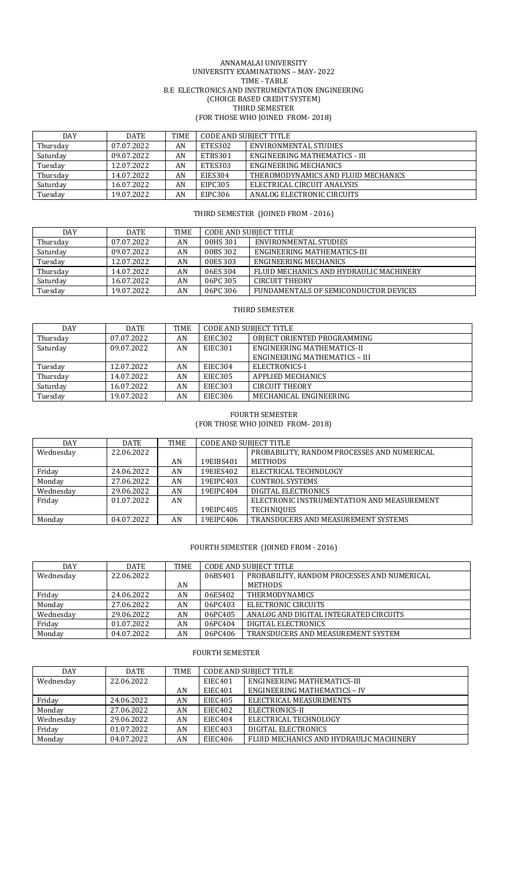#### ANNAMALAI UNIVERSITY UNIVERSITY EXAMINATIONS – MAY- 2022 TIME - TABLE B.E ELECTRONICS AND INSTRUMENTATION ENGINEERING (CHOICE BASED CREDIT SYSTEM) THIRD SEMESTER (FOR THOSE WHO JOINED FROM- 2018)

| <b>DAY</b> | <b>DATE</b> | TIME | <b>CODE AND SUBJECT TITLE</b> |                                     |
|------------|-------------|------|-------------------------------|-------------------------------------|
| Thursday   | 07.07.2022  | AN   | ETES302                       | ENVIRONMENTAL STUDIES               |
| Saturday   | 09.07.2022  | AN   | ETBS301                       | ENGINEERING MATHEMATICS - III       |
| Tuesday    | 12.07.2022  | AN   | ETES303                       | ENGINEERING MECHANICS               |
| Thursday   | 14.07.2022  | AN   | <b>EIES304</b>                | THEROMODYNAMICS AND FLUID MECHANICS |
| Saturday   | 16.07.2022  | AN   | EIPC305                       | ELECTRICAL CIRCUIT ANALYSIS         |
| Tuesday    | 19.07.2022  | AN   | EIPC306                       | ANALOG ELECTRONIC CIRCUITS          |

## THIRD SEMESTER (JOINED FROM - 2016)

| <b>DAY</b> | DATE       | <b>TIME</b> | <b>CODE AND SUBJECT TITLE</b> |                                         |
|------------|------------|-------------|-------------------------------|-----------------------------------------|
| Thursday   | 07.07.2022 | AN          | 00HS 301                      | ENVIRONMENTAL STUDIES                   |
| Saturday   | 09.07.2022 | AN          | 00BS 302                      | ENGINEERING MATHEMATICS-III             |
| Tuesday    | 12.07.2022 | AN          | 00ES 303                      | ENGINEERING MECHANICS                   |
| Thursday   | 14.07.2022 | AN          | 06ES 304                      | FLUID MECHANICS AND HYDRAULIC MACHINERY |
| Saturday   | 16.07.2022 | AN          | 06PC 305                      | <b>CIRCUIT THEORY</b>                   |
| Tuesday    | 19.07.2022 | AN          | 06PC 306                      | FUNDAMENTALS OF SEMICONDUCTOR DEVICES   |

## THIRD SEMESTER

| DAY      | DATE       | <b>TIME</b> | <b>CODE AND SUBJECT TITLE</b> |                               |
|----------|------------|-------------|-------------------------------|-------------------------------|
| Thursday | 07.07.2022 | AN          | EIEC302                       | OBIECT ORIENTED PROGRAMMING   |
| Saturday | 09.07.2022 | AN          | EIEC301                       | ENGINEERING MATHEMATICS-II    |
|          |            |             |                               | ENGINEERING MATHEMATICS - III |
| Tuesday  | 12.07.2022 | AN          | EIEC304                       | ELECTRONICS-I                 |
| Thursday | 14.07.2022 | AN          | EIEC305                       | <b>APPLIED MECHANICS</b>      |
| Saturday | 16.07.2022 | AN          | EIEC303                       | <b>CIRCUIT THEORY</b>         |
| Tuesday  | 19.07.2022 | AN          | EIEC306                       | MECHANICAL ENGINEERING        |

#### FOURTH SEMESTER (FOR THOSE WHO JOINED FROM- 2018)

| DAY       | DATE       | <b>TIME</b> | <b>CODE AND SUBJECT TITLE</b> |                                             |
|-----------|------------|-------------|-------------------------------|---------------------------------------------|
| Wednesday | 22.06.2022 |             |                               | PROBABILITY, RANDOM PROCESSES AND NUMERICAL |
|           |            | AN          | 19EIBS401                     | <b>METHODS</b>                              |
| Friday    | 24.06.2022 | AN          | 19EIES402                     | ELECTRICAL TECHNOLOGY                       |
| Monday    | 27.06.2022 | AN          | 19EIPC403                     | <b>CONTROL SYSTEMS</b>                      |
| Wednesday | 29.06.2022 | AN          | 19EIPC404                     | DIGITAL ELECTRONICS                         |
| Friday    | 01.07.2022 | AN          |                               | ELECTRONIC INSTRUMENTATION AND MEASUREMENT  |
|           |            |             | 19EIPC405                     | <b>TECHNIQUES</b>                           |
| Monday    | 04.07.2022 | AN          | 19EIPC406                     | TRANSDUCERS AND MEASUREMENT SYSTEMS         |

# FOURTH SEMESTER (JOINED FROM - 2016)

| <b>DAY</b> | <b>DATE</b> | TIME | <b>CODE AND SUBJECT TITLE</b> |                                             |
|------------|-------------|------|-------------------------------|---------------------------------------------|
| Wednesday  | 22.06.2022  |      | 06BS401                       | PROBABILITY. RANDOM PROCESSES AND NUMERICAL |
|            |             | AN   |                               | <b>METHODS</b>                              |
| Friday     | 24.06.2022  | AN   | 06ES402                       | <b>THERMODYNAMICS</b>                       |
| Monday     | 27.06.2022  | AN   | 06PC403                       | ELECTRONIC CIRCUITS                         |
| Wednesday  | 29.06.2022  | AN   | 06PC405                       | ANALOG AND DIGITAL INTEGRATED CIRCUITS      |
| Friday     | 01.07.2022  | AN   | 06PC404                       | DIGITAL ELECTRONICS                         |
| Monday     | 04.07.2022  | AN   | 06PC406                       | TRANSDUCERS AND MEASUREMENT SYSTEM          |

## FOURTH SEMESTER

| <b>DAY</b> | <b>DATE</b> | TIME | <b>CODE AND SUBJECT TITLE</b> |                                         |
|------------|-------------|------|-------------------------------|-----------------------------------------|
| Wednesday  | 22.06.2022  |      | EIEC401                       | ENGINEERING MATHEMATICS-III             |
|            |             | AN   | EIEC401                       | <b>ENGINEERING MATHEMATICS - IV</b>     |
| Friday     | 24.06.2022  | AN   | EIEC405                       | ELECTRICAL MEASUREMENTS                 |
| Monday     | 27.06.2022  | AN   | EIEC402                       | ELECTRONICS-II                          |
| Wednesday  | 29.06.2022  | AN   | EIEC404                       | ELECTRICAL TECHNOLOGY                   |
| Friday     | 01.07.2022  | AN   | EIEC403                       | DIGITAL ELECTRONICS                     |
| Monday     | 04.07.2022  | AN   | EIEC406                       | FLUID MECHANICS AND HYDRAULIC MACHINERY |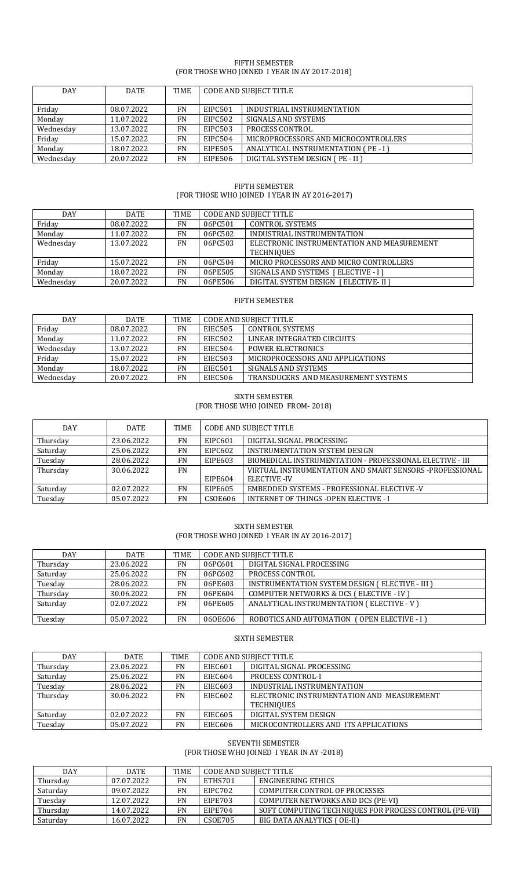#### FIFTH SEMESTER (FOR THOSE WHO JOINED I YEAR IN AY 2017-2018)

| <b>DAY</b> | <b>DATE</b> | TIME      | <b>CODE AND SUBJECT TITLE</b> |                                      |  |
|------------|-------------|-----------|-------------------------------|--------------------------------------|--|
| Friday     | 08.07.2022  | <b>FN</b> | EIPC501                       | INDUSTRIAL INSTRUMENTATION           |  |
| Monday     | 11.07.2022  | FN        | <b>EIPC502</b>                | SIGNALS AND SYSTEMS                  |  |
| Wednesday  | 13.07.2022  | <b>FN</b> | <b>EIPC503</b>                | <b>PROCESS CONTROL</b>               |  |
| Friday     | 15.07.2022  | FN        | EIPC504                       | MICROPROCESSORS AND MICROCONTROLLERS |  |
| Monday     | 18.07.2022  | <b>FN</b> | <b>EIPE505</b>                | ANALYTICAL INSTRUMENTATION (PE-I)    |  |
| Wednesday  | 20.07.2022  | FN        | EIPE506                       | DIGITAL SYSTEM DESIGN (PE - II)      |  |

# FIFTH SEMESTER (FOR THOSE WHO JOINED I YEAR IN AY 2016-2017)

| <b>DAY</b> | DATE       | TIME      | <b>CODE AND SUBJECT TITLE</b> |                                            |
|------------|------------|-----------|-------------------------------|--------------------------------------------|
| Friday     | 08.07.2022 | FN        | 06PC501                       | <b>CONTROL SYSTEMS</b>                     |
| Monday     | 11.07.2022 | FN        | 06PC502                       | INDUSTRIAL INSTRUMENTATION                 |
| Wednesday  | 13.07.2022 | <b>FN</b> | 06PC503                       | ELECTRONIC INSTRUMENTATION AND MEASUREMENT |
|            |            |           |                               | TECHNIQUES                                 |
| Fridav     | 15.07.2022 | <b>FN</b> | 06PC504                       | MICRO PROCESSORS AND MICRO CONTROLLERS     |
| Monday     | 18.07.2022 | <b>FN</b> | 06PE505                       | SIGNALS AND SYSTEMS [ ELECTIVE - I ]       |
| Wednesday  | 20.07.2022 | FN        | 06PE506                       | DIGITAL SYSTEM DESIGN [ ELECTIVE- II ]     |

# FIFTH SEMESTER

| DAY       | <b>DATE</b> | <b>TIME</b> | CODE AND SUBIECT TITLE |                                     |
|-----------|-------------|-------------|------------------------|-------------------------------------|
| Friday    | 08.07.2022  | FN          | EIEC505                | <b>CONTROL SYSTEMS</b>              |
| Monday    | 11.07.2022  | FN          | EIEC502                | LINEAR INTEGRATED CIRCUITS          |
| Wednesday | 13.07.2022  | FN          | EIEC504                | <b>POWER ELECTRONICS</b>            |
| Friday    | 15.07.2022  | FN          | <b>EIEC503</b>         | MICROPROCESSORS AND APPLICATIONS    |
| Monday    | 18.07.2022  | FN          | EIEC501                | SIGNALS AND SYSTEMS                 |
| Wednesdav | 20.07.2022  | FN          | EIEC506                | TRANSDUCERS AND MEASUREMENT SYSTEMS |

## SIXTH SEMESTER

(FOR THOSE WHO JOINED FROM- 2018)

| <b>DAY</b> | <b>DATE</b> | <b>TIME</b> | <b>CODE AND SUBJECT TITLE</b> |                                                          |
|------------|-------------|-------------|-------------------------------|----------------------------------------------------------|
| Thursday   | 23.06.2022  | <b>FN</b>   | EIPC601                       | DIGITAL SIGNAL PROCESSING                                |
| Saturday   | 25.06.2022  | <b>FN</b>   | EIPC602                       | INSTRUMENTATION SYSTEM DESIGN                            |
| Tuesday    | 28.06.2022  | <b>FN</b>   | EIPE603                       | BIOMEDICAL INSTRUMENTATION - PROFESSIONAL ELECTIVE - III |
| Thursday   | 30.06.2022  | <b>FN</b>   |                               | VIRTUAL INSTRUMENTATION AND SMART SENSORS-PROFESSIONAL   |
|            |             |             | EIPE604                       | <b>ELECTIVE -IV</b>                                      |
| Saturday   | 02.07.2022  | <b>FN</b>   | EIPE605                       | EMBEDDED SYSTEMS - PROFESSIONAL ELECTIVE -V              |
| Tuesday    | 05.07.2022  | <b>FN</b>   | <b>CSOE606</b>                | <b>INTERNET OF THINGS -OPEN ELECTIVE - I</b>             |

SIXTH SEMESTER (FOR THOSE WHO JOINED I YEAR IN AY 2016-2017)

| <b>DAY</b> | DATE       | <b>TIME</b> | <b>CODE AND SUBJECT TITLE</b> |                                                    |
|------------|------------|-------------|-------------------------------|----------------------------------------------------|
| Thursday   | 23.06.2022 | <b>FN</b>   | 06PC601                       | DIGITAL SIGNAL PROCESSING                          |
| Saturday   | 25.06.2022 | <b>FN</b>   | 06PC602                       | PROCESS CONTROL                                    |
| Tuesday    | 28.06.2022 | <b>FN</b>   | 06PE603                       | INSTRUMENTATION SYSTEM DESIGN ( ELECTIVE - III )   |
| Thursday   | 30.06.2022 | <b>FN</b>   | 06PE604                       | <b>COMPUTER NETWORKS &amp; DCS (ELECTIVE - IV)</b> |
| Saturday   | 02.07.2022 | FN          | 06PE605                       | ANALYTICAL INSTRUMENTATION (ELECTIVE - V)          |
|            |            |             |                               |                                                    |
| Tuesday    | 05.07.2022 | <b>FN</b>   | 060E606                       | ROBOTICS AND AUTOMATION (OPEN ELECTIVE - I)        |

## SIXTH SEMESTER

| <b>DAY</b> | <b>DATE</b> | <b>TIME</b> | <b>CODE AND SUBJECT TITLE</b> |                                            |
|------------|-------------|-------------|-------------------------------|--------------------------------------------|
| Thursday   | 23.06.2022  | <b>FN</b>   | <b>EIEC601</b>                | DIGITAL SIGNAL PROCESSING                  |
| Saturday   | 25.06.2022  | <b>FN</b>   | EIEC604                       | <b>PROCESS CONTROL-I</b>                   |
| Tuesday    | 28.06.2022  | <b>FN</b>   | <b>EIEC603</b>                | INDUSTRIAL INSTRUMENTATION                 |
| Thursday   | 30.06.2022  | <b>FN</b>   | EIEC602                       | ELECTRONIC INSTRUMENTATION AND MEASUREMENT |
|            |             |             |                               | <b>TECHNIQUES</b>                          |
| Saturday   | 02.07.2022  | <b>FN</b>   | <b>EIEC605</b>                | DIGITAL SYSTEM DESIGN                      |
| Tuesday    | 05.07.2022  | <b>FN</b>   | <b>EIEC606</b>                | MICROCONTROLLERS AND ITS APPLICATIONS      |

#### SEVENTH SEMESTER (FOR THOSE WHO JOINED I YEAR IN AY -2018)

| <b>DAY</b> | <b>DATE</b> | <b>TIME</b> | CODE AND SUBJECT TITLE |                                                        |
|------------|-------------|-------------|------------------------|--------------------------------------------------------|
| Thursday   | 07.07.2022  | FN          | ETHS701                | ENGINEERING ETHICS                                     |
| Saturday   | 09.07.2022  | FN          | EIPC702                | COMPUTER CONTROL OF PROCESSES                          |
| Tuesday    | 12.07.2022  | FN          | EIPE703                | COMPUTER NETWORKS AND DCS (PE-VI)                      |
| Thursday   | 14.07.2022  | FN          | EIPE704                | SOFT COMPUTING TECHNIQUES FOR PROCESS CONTROL (PE-VII) |
| Saturday   | 16.07.2022  | FN          | <b>CSOE705</b>         | BIG DATA ANALYTICS (OE-II)                             |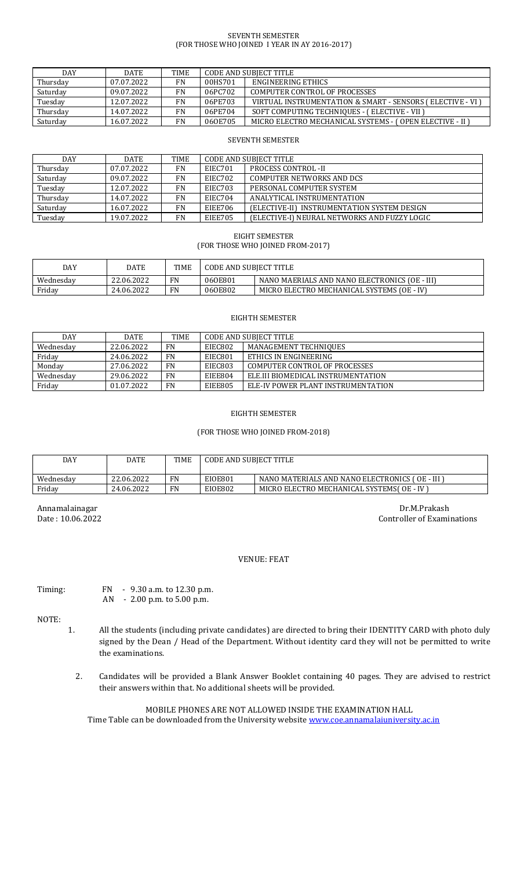#### SEVENTH SEMESTER (FOR THOSE WHO JOINED I YEAR IN AY 2016-2017)

| <b>DAY</b> | <b>DATE</b> | <b>TIME</b> | CODE AND SUBJECT TITLE |                                                           |
|------------|-------------|-------------|------------------------|-----------------------------------------------------------|
| Thursday   | 07.07.2022  | FN          | 00HS701                | ENGINEERING ETHICS                                        |
| Saturday   | 09.07.2022  | FN          | 06PC702                | COMPUTER CONTROL OF PROCESSES                             |
| Tuesday    | 12.07.2022  | <b>FN</b>   | 06PE703                | VIRTUAL INSTRUMENTATION & SMART - SENSORS (ELECTIVE - VI) |
| Thursday   | 14.07.2022  | <b>FN</b>   | 06PE704                | SOFT COMPUTING TECHNIQUES - (ELECTIVE - VII)              |
| Saturday   | 16.07.2022  | <b>FN</b>   | 060E705                | MICRO ELECTRO MECHANICAL SYSTEMS - (OPEN ELECTIVE - II)   |

#### SEVENTH SEMESTER

| <b>DAY</b> | <b>DATE</b> | <b>TIME</b> | <b>CODE AND SUBJECT TITLE</b> |                                              |
|------------|-------------|-------------|-------------------------------|----------------------------------------------|
| Thursday   | 07.07.2022  | <b>FN</b>   | EIEC701                       | <b>PROCESS CONTROL-II</b>                    |
| Saturday   | 09.07.2022  | <b>FN</b>   | EIEC702                       | COMPUTER NETWORKS AND DCS                    |
| Tuesday    | 12.07.2022  | <b>FN</b>   | EIEC703                       | PERSONAL COMPUTER SYSTEM                     |
| Thursday   | 14.07.2022  | <b>FN</b>   | EIEC704                       | ANALYTICAL INSTRUMENTATION                   |
| Saturday   | 16.07.2022  | <b>FN</b>   | EIEE706                       | (ELECTIVE-II) INSTRUMENTATION SYSTEM DESIGN  |
| Tuesday    | 19.07.2022  | <b>FN</b>   | EIEE705                       | (ELECTIVE-I) NEURAL NETWORKS AND FUZZY LOGIC |

EIGHT SEMESTER (FOR THOSE WHO JOINED FROM-2017)

| DAY       | DATE       | <b>TIME</b> | CODE AND SUBJECT TITLE |                                               |
|-----------|------------|-------------|------------------------|-----------------------------------------------|
| Wednesday | 22.06.2022 | <b>FN</b>   | 060E801                | NANO MAERIALS AND NANO ELECTRONICS (OE - III) |
| Friday    | 24.06.2022 | <b>FN</b>   | 060E802                | MICRO ELECTRO MECHANICAL SYSTEMS (OE - IV)    |

#### EIGHTH SEMESTER

| <b>DAY</b> | <b>DATE</b> | <b>TIME</b> | <b>CODE AND SUBJECT TITLE</b> |                                     |
|------------|-------------|-------------|-------------------------------|-------------------------------------|
| Wednesday  | 22.06.2022  | <b>FN</b>   | EIEC802                       | MANAGEMENT TECHNIQUES               |
| Friday     | 24.06.2022  | FN          | EIEC801                       | ETHICS IN ENGINEERING               |
| Monday     | 27.06.2022  | <b>FN</b>   | EIEC803                       | COMPUTER CONTROL OF PROCESSES       |
| Wednesdav  | 29.06.2022  | FN          | EIEE804                       | ELE. III BIOMEDICAL INSTRUMENTATION |
| Friday     | 01.07.2022  | <b>FN</b>   | EIEE805                       | ELE-IV POWER PLANT INSTRUMENTATION  |

## EIGHTH SEMESTER

# (FOR THOSE WHO JOINED FROM-2018)

| DAY       | DATE       | <b>TIME</b> | <b>CODE AND SUBJECT TITLE</b> |                                               |
|-----------|------------|-------------|-------------------------------|-----------------------------------------------|
| Wednesday | 22.06.2022 | FN          | <b>EIOE801</b>                | NANO MATERIALS AND NANO ELECTRONICS (OE - III |
| Friday    | 24.06.2022 | FN          | <b>EIOE802</b>                | MICRO ELECTRO MECHANICAL SYSTEMS( OE - IV )   |

Annamalainagar Dr.M.Prakash Dr.M.Prakash Dr.M.Prakash Dr.M.Prakash Dr.M.Prakash Dr.M.Prakash Dr.M.Prakash Dr.M Controller of Examinations

#### VENUE: FEAT

Timing: FN - 9.30 a.m. to 12.30 p.m. AN - 2.00 p.m. to 5.00 p.m.

NOTE:

- 1. All the students (including private candidates) are directed to bring their IDENTITY CARD with photo duly signed by the Dean / Head of the Department. Without identity card they will not be permitted to write the examinations.
	- 2. Candidates will be provided a Blank Answer Booklet containing 40 pages. They are advised to restrict their answers within that. No additional sheets will be provided.

MOBILE PHONES ARE NOT ALLOWED INSIDE THE EXAMINATION HALL Time Table can be downloaded from the University website [www.coe.annamalaiuniversity.ac.in](http://www.coe.annamalaiuniversity.ac.in/)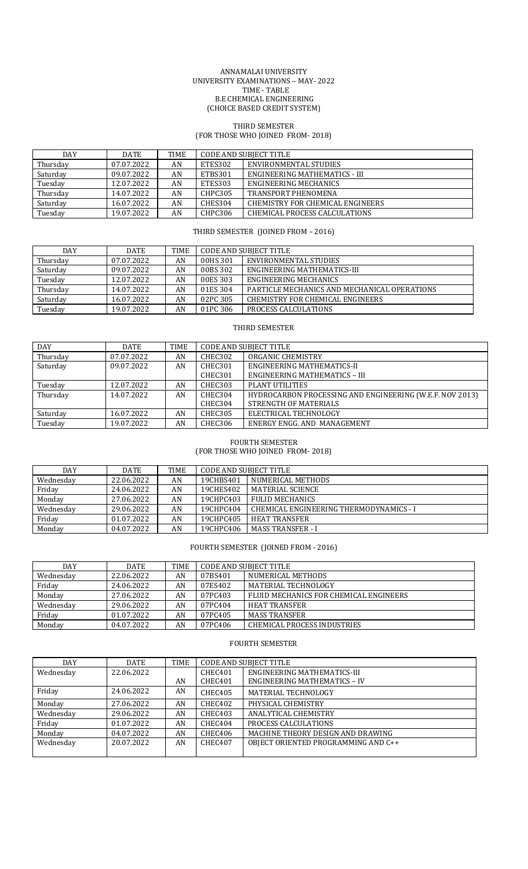#### ANNAMALAI UNIVERSITY UNIVERSITY EXAMINATIONS – MAY- 2022 TIME - TABLE B.E CHEMICAL ENGINEERING (CHOICE BASED CREDIT SYSTEM)

#### THIRD SEMESTER (FOR THOSE WHO JOINED FROM- 2018)

| DAY      | <b>DATE</b> | <b>TIME</b> | CODE AND SUBJECT TITLE |                                  |
|----------|-------------|-------------|------------------------|----------------------------------|
| Thursday | 07.07.2022  | AN          | ETES302                | ENVIRONMENTAL STUDIES            |
| Saturday | 09.07.2022  | AN          | ETBS301                | ENGINEERING MATHEMATICS - III    |
| Tuesday  | 12.07.2022  | AN          | ETES303                | ENGINEERING MECHANICS            |
| Thursday | 14.07.2022  | AN          | CHPC305                | <b>TRANSPORT PHENOMENA</b>       |
| Saturday | 16.07.2022  | AN          | CHES304                | CHEMISTRY FOR CHEMICAL ENGINEERS |
| Tuesday  | 19.07.2022  | AN          | CHPC306                | CHEMICAL PROCESS CALCULATIONS    |

## THIRD SEMESTER (JOINED FROM – 2016)

| <b>DAY</b> | DATE       | <b>TIME</b> | <b>CODE AND SUBJECT TITLE</b> |                                              |
|------------|------------|-------------|-------------------------------|----------------------------------------------|
| Thursday   | 07.07.2022 | AN          | 00HS 301                      | ENVIRONMENTAL STUDIES                        |
| Saturday   | 09.07.2022 | AN          | 00BS 302                      | ENGINEERING MATHEMATICS-III                  |
| Tuesday    | 12.07.2022 | AN          | 00ES 303                      | ENGINEERING MECHANICS                        |
| Thursday   | 14.07.2022 | AN          | 01ES 304                      | PARTICLE MECHANICS AND MECHANICAL OPERATIONS |
| Saturday   | 16.07.2022 | AN          | 02PC 305                      | CHEMISTRY FOR CHEMICAL ENGINEERS             |
| Tuesday    | 19.07.2022 | AN          | 01PC 306                      | PROCESS CALCULATIONS                         |

#### THIRD SEMESTER

| <b>DAY</b> | <b>DATE</b> | <b>TIME</b> | <b>CODE AND SUBJECT TITLE</b> |                                                          |
|------------|-------------|-------------|-------------------------------|----------------------------------------------------------|
| Thursday   | 07.07.2022  | AN          | CHEC302                       | ORGANIC CHEMISTRY                                        |
| Saturday   | 09.07.2022  | AN          | CHEC301                       | ENGINEERING MATHEMATICS-II                               |
|            |             |             | CHEC301                       | <b>ENGINEERING MATHEMATICS - III</b>                     |
| Tuesday    | 12.07.2022  | AN          | CHEC303                       | PLANT UTILITIES                                          |
| Thursday   | 14.07.2022  | AN          | CHEC304                       | HYDROCARBON PROCESSING AND ENGINEERING (W.E.F. NOV 2013) |
|            |             |             | CHEC304                       | STRENGTH OF MATERIALS                                    |
| Saturday   | 16.07.2022  | AN          | CHEC305                       | ELECTRICAL TECHNOLOGY                                    |
| Tuesday    | 19.07.2022  | AN          | CHEC306                       | ENERGY ENGG. AND MANAGEMENT                              |

#### FOURTH SEMESTER (FOR THOSE WHO JOINED FROM- 2018)

| DAY       | DATE       | TIME | CODE AND SUBJECT TITLE |                                         |
|-----------|------------|------|------------------------|-----------------------------------------|
| Wednesday | 22.06.2022 | AN   | 19CHBS401              | NUMERICAL METHODS                       |
| Friday    | 24.06.2022 | AN   | 19CHES402              | MATERIAL SCIENCE                        |
| Monday    | 27.06.2022 | AN   | 19CHPC403              | <b>FULID MECHANICS</b>                  |
| Wednesday | 29.06.2022 | AN   | 19CHPC404              | CHEMICAL ENGINEERING THERMODYNAMICS - I |
| Friday    | 01.07.2022 | AN   | 19CHPC405              | <b>HEAT TRANSFER</b>                    |
| Monday    | 04.07.2022 | AN   | 19CHPC406              | <b>MASS TRANSFER - I</b>                |

# FOURTH SEMESTER (JOINED FROM - 2016)

| DAY       | DATE       | TIME | <b>CODE AND SUBJECT TITLE</b> |                                        |
|-----------|------------|------|-------------------------------|----------------------------------------|
|           |            |      |                               |                                        |
| Wednesday | 22.06.2022 | AN   | 07BS401                       | NUMERICAL METHODS                      |
| Friday    | 24.06.2022 | AN   | 07ES402                       | MATERIAL TECHNOLOGY                    |
| Monday    | 27.06.2022 | AN   | 07PC403                       | FLUID MECHANICS FOR CHEMICAL ENGINEERS |
| Wednesdav | 29.06.2022 | AN   | 07PC404                       | <b>HEAT TRANSFER</b>                   |
| Friday    | 01.07.2022 | AN   | 07PC405                       | <b>MASS TRANSFER</b>                   |
| Monday    | 04.07.2022 | AN   | 07PC406                       | CHEMICAL PROCESS INDUSTRIES            |

# FOURTH SEMESTER

| DAY       | <b>DATE</b> | TIME | <b>CODE AND SUBJECT TITLE</b> |                                     |
|-----------|-------------|------|-------------------------------|-------------------------------------|
| Wednesday | 22.06.2022  |      | CHEC401                       | <b>ENGINEERING MATHEMATICS-III</b>  |
|           |             | AN   | CHEC401                       | <b>ENGINEERING MATHEMATICS - IV</b> |
| Friday    | 24.06.2022  | AN   | CHEC405                       | MATERIAL TECHNOLOGY                 |
| Monday    | 27.06.2022  | AN   | CHEC402                       | PHYSICAL CHEMISTRY                  |
| Wednesday | 29.06.2022  | AN   | CHEC403                       | ANALYTICAL CHEMISTRY                |
| Friday    | 01.07.2022  | AN   | CHEC404                       | PROCESS CALCULATIONS                |
| Monday    | 04.07.2022  | AN   | CHEC406                       | MACHINE THEORY DESIGN AND DRAWING   |
| Wednesday | 20.07.2022  | AN   | CHEC407                       | OBJECT ORIENTED PROGRAMMING AND C++ |
|           |             |      |                               |                                     |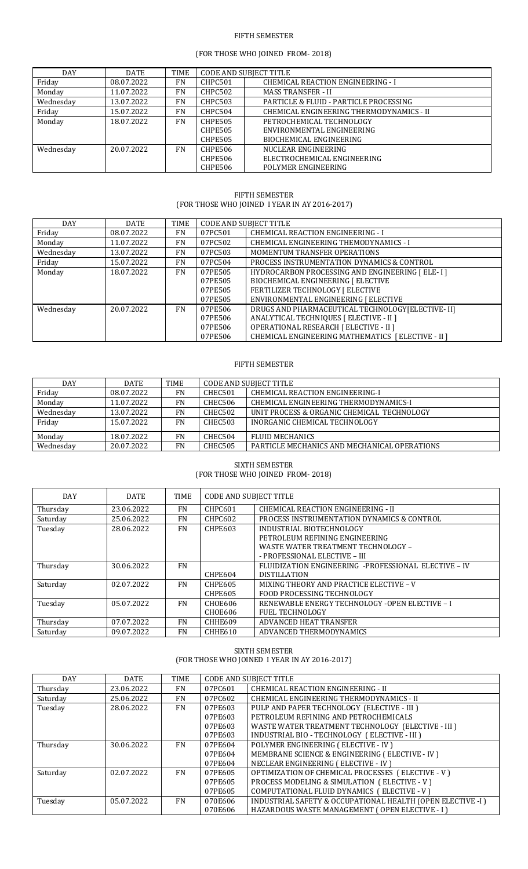## FIFTH SEMESTER

# (FOR THOSE WHO JOINED FROM- 2018)

| <b>DAY</b> | <b>DATE</b> | <b>TIME</b> |                | <b>CODE AND SUBJECT TITLE</b>            |
|------------|-------------|-------------|----------------|------------------------------------------|
| Friday     | 08.07.2022  | <b>FN</b>   | CHPC501        | <b>CHEMICAL REACTION ENGINEERING - I</b> |
| Monday     | 11.07.2022  | <b>FN</b>   | CHPC502        | <b>MASS TRANSFER - II</b>                |
| Wednesday  | 13.07.2022  | <b>FN</b>   | <b>CHPC503</b> | PARTICLE & FLUID - PARTICLE PROCESSING   |
| Friday     | 15.07.2022  | <b>FN</b>   | CHPC504        | CHEMICAL ENGINEERING THERMODYNAMICS - II |
| Monday     | 18.07.2022  | <b>FN</b>   | CHPE505        | PETROCHEMICAL TECHNOLOGY                 |
|            |             |             | CHPE505        | ENVIRONMENTAL ENGINEERING                |
|            |             |             | CHPE505        | BIOCHEMICAL ENGINEERING                  |
| Wednesday  | 20.07.2022  | <b>FN</b>   | CHPE506        | NUCLEAR ENGINEERING                      |
|            |             |             | CHPE506        | ELECTROCHEMICAL ENGINEERING              |
|            |             |             | CHPE506        | POLYMER ENGINEERING                      |

#### FIFTH SEMESTER (FOR THOSE WHO JOINED I YEAR IN AY 2016-2017)

| DAY       | <b>DATE</b> | TIME      |         | <b>CODE AND SUBJECT TITLE</b>                      |
|-----------|-------------|-----------|---------|----------------------------------------------------|
| Friday    | 08.07.2022  | FN        | 07PC501 | <b>CHEMICAL REACTION ENGINEERING - I</b>           |
| Monday    | 11.07.2022  | <b>FN</b> | 07PC502 | CHEMICAL ENGINEERING THEMODYNAMICS - I             |
| Wednesday | 13.07.2022  | <b>FN</b> | 07PC503 | MOMENTUM TRANSFER OPERATIONS                       |
| Friday    | 15.07.2022  | <b>FN</b> | 07PC504 | PROCESS INSTRUMENTATION DYNAMICS & CONTROL         |
| Monday    | 18.07.2022  | <b>FN</b> | 07PE505 | HYDROCARBON PROCESSING AND ENGINEERING [ELE-I]     |
|           |             |           | 07PE505 | BIOCHEMICAL ENGINEERING [ ELECTIVE                 |
|           |             |           | 07PE505 | FERTILIZER TECHNOLOGY   ELECTIVE                   |
|           |             |           | 07PE505 | ENVIRONMENTAL ENGINEERING [ ELECTIVE               |
| Wednesday | 20.07.2022  | <b>FN</b> | 07PE506 | DRUGS AND PHARMACEUTICAL TECHNOLOGY [ELECTIVE- II] |
|           |             |           | 07PE506 | ANALYTICAL TECHNIQUES [ ELECTIVE - II ]            |
|           |             |           | 07PE506 | OPERATIONAL RESEARCH [ ELECTIVE - II ]             |
|           |             |           | 07PE506 | CHEMICAL ENGINEERING MATHEMATICS [ELECTIVE - II ]  |

## FIFTH SEMESTER

| <b>DAY</b> | <b>DATE</b> | <b>TIME</b> | <b>CODE AND SUBJECT TITLE</b> |                                              |
|------------|-------------|-------------|-------------------------------|----------------------------------------------|
| Friday     | 08.07.2022  | FN          | CHEC501                       | CHEMICAL REACTION ENGINEERING-I              |
| Monday     | 11.07.2022  | FN          | CHEC506                       | CHEMICAL ENGINEERING THERMODYNAMICS-I        |
| Wednesday  | 13.07.2022  | <b>FN</b>   | CHEC502                       | UNIT PROCESS & ORGANIC CHEMICAL TECHNOLOGY   |
| Friday     | 15.07.2022  | <b>FN</b>   | <b>CHEC503</b>                | INORGANIC CHEMICAL TECHNOLOGY                |
| Monday     | 18.07.2022  | FN          | CHEC504                       | <b>FLUID MECHANICS</b>                       |
| Wednesday  | 20.07.2022  | FN          | <b>CHEC505</b>                | PARTICLE MECHANICS AND MECHANICAL OPERATIONS |

#### SIXTH SEMESTER (FOR THOSE WHO JOINED FROM- 2018)

| <b>DAY</b> | <b>DATE</b> | <b>TIME</b> | <b>CODE AND SUBJECT TITLE</b> |                                                      |
|------------|-------------|-------------|-------------------------------|------------------------------------------------------|
| Thursday   | 23.06.2022  | <b>FN</b>   | CHPC601                       | CHEMICAL REACTION ENGINEERING - II                   |
| Saturday   | 25.06.2022  | <b>FN</b>   | CHPC602                       | PROCESS INSTRUMENTATION DYNAMICS & CONTROL           |
| Tuesday    | 28.06.2022  | <b>FN</b>   | <b>CHPE603</b>                | INDUSTRIAL BIOTECHNOLOGY                             |
|            |             |             |                               | PETROLEUM REFINING ENGINEERING                       |
|            |             |             |                               | <b>WASTE WATER TREATMENT TECHNOLOGY -</b>            |
|            |             |             |                               | - PROFESSIONAL ELECTIVE - III                        |
| Thursday   | 30.06.2022  | <b>FN</b>   |                               | FLUIDIZATION ENGINEERING -PROFESSIONAL ELECTIVE - IV |
|            |             |             | CHPE604                       | <b>DISTILLATION</b>                                  |
| Saturday   | 02.07.2022  | FN          | CHPE605                       | MIXING THEORY AND PRACTICE ELECTIVE - V              |
|            |             |             | CHPE605                       | <b>FOOD PROCESSING TECHNOLOGY</b>                    |
| Tuesday    | 05.07.2022  | <b>FN</b>   | <b>CHOE606</b>                | RENEWABLE ENERGY TECHNOLOGY -OPEN ELECTIVE - I       |
|            |             |             | CHOE606                       | <b>FUEL TECHNOLOGY</b>                               |
| Thursday   | 07.07.2022  | <b>FN</b>   | CHHE609                       | ADVANCED HEAT TRANSFER                               |
| Saturday   | 09.07.2022  | <b>FN</b>   | CHHE610                       | ADVANCED THERMODYNAMICS                              |

# SIXTH SEMESTER (FOR THOSE WHO JOINED I YEAR IN AY 2016-2017)

| <b>DAY</b> | <b>DATE</b> | <b>TIME</b> |         | <b>CODE AND SUBJECT TITLE</b>                              |
|------------|-------------|-------------|---------|------------------------------------------------------------|
| Thursday   | 23.06.2022  | FN          | 07PC601 | CHEMICAL REACTION ENGINEERING - II                         |
| Saturday   | 25.06.2022  | FN          | 07PC602 | CHEMICAL ENGINEERING THERMODYNAMICS - II                   |
| Tuesday    | 28.06.2022  | FN          | 07PE603 | PULP AND PAPER TECHNOLOGY (ELECTIVE - III)                 |
|            |             |             | 07PE603 | PETROLEUM REFINING AND PETROCHEMICALS                      |
|            |             |             | 07PE603 | WASTE WATER TREATMENT TECHNOLOGY (ELECTIVE - III)          |
|            |             |             | 07PE603 | INDUSTRIAL BIO - TECHNOLOGY (ELECTIVE - III)               |
| Thursday   | 30.06.2022  | FN          | 07PE604 | POLYMER ENGINEERING (ELECTIVE - IV)                        |
|            |             |             | 07PE604 | MEMBRANE SCIENCE & ENGINEERING (ELECTIVE - IV)             |
|            |             |             | 07PE604 | NECLEAR ENGINEERING (ELECTIVE - IV)                        |
| Saturday   | 02.07.2022  | FN          | 07PE605 | OPTIMIZATION OF CHEMICAL PROCESSES (ELECTIVE - V)          |
|            |             |             | 07PE605 | PROCESS MODELING & SIMULATION (ELECTIVE - V)               |
|            |             |             | 07PE605 | COMPUTATIONAL FLUID DYNAMICS (ELECTIVE - V)                |
| Tuesday    | 05.07.2022  | FN          | 070E606 | INDUSTRIAL SAFETY & OCCUPATIONAL HEALTH (OPEN ELECTIVE -I) |
|            |             |             | 070E606 | HAZARDOUS WASTE MANAGEMENT (OPEN ELECTIVE - I )            |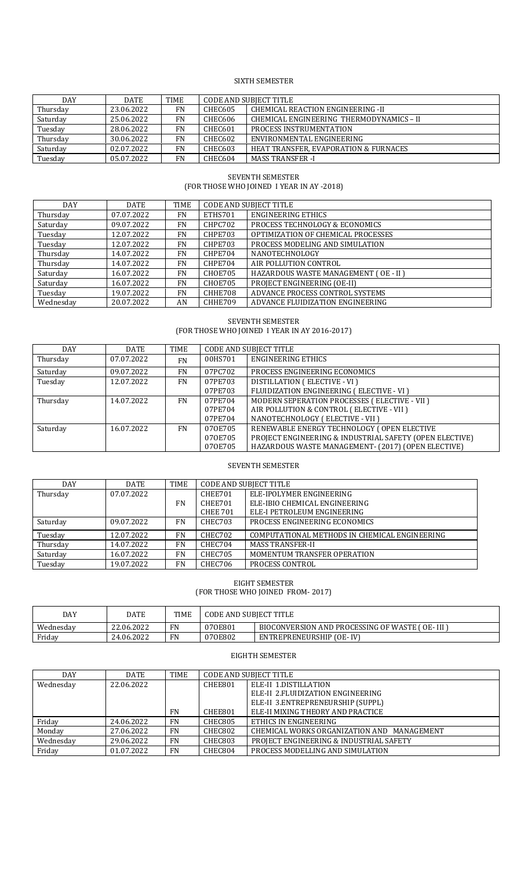## SIXTH SEMESTER

| <b>DAY</b> | <b>DATE</b> | TIME      | <b>CODE AND SUBJECT TITLE</b> |                                          |
|------------|-------------|-----------|-------------------------------|------------------------------------------|
| Thursday   | 23.06.2022  | FN        | CHEC605                       | CHEMICAL REACTION ENGINEERING -II        |
| Saturday   | 25.06.2022  | <b>FN</b> | CHEC606                       | CHEMICAL ENGINEERING THERMODYNAMICS - II |
| Tuesday    | 28.06.2022  | <b>FN</b> | CHEC601                       | PROCESS INSTRUMENTATION                  |
| Thursday   | 30.06.2022  | <b>FN</b> | <b>CHEC602</b>                | ENVIRONMENTAL ENGINEERING                |
| Saturday   | 02.07.2022  | FN.       | CHEC603                       | HEAT TRANSFER, EVAPORATION & FURNACES    |
| Tuesday    | 05.07.2022  | <b>FN</b> | CHEC604                       | <b>MASS TRANSFER -I</b>                  |

## SEVENTH SEMESTER (FOR THOSE WHO JOINED I YEAR IN AY -2018)

| <b>DAY</b> | <b>DATE</b> | <b>TIME</b> | <b>CODE AND SUBJECT TITLE</b> |                                       |
|------------|-------------|-------------|-------------------------------|---------------------------------------|
| Thursday   | 07.07.2022  | FN          | ETHS701                       | <b>ENGINEERING ETHICS</b>             |
| Saturday   | 09.07.2022  | FN          | CHPC702                       | PROCESS TECHNOLOGY & ECONOMICS        |
| Tuesday    | 12.07.2022  | FN          | CHPE703                       | OPTIMIZATION OF CHEMICAL PROCESSES    |
| Tuesday    | 12.07.2022  | FN          | CHPE703                       | PROCESS MODELING AND SIMULATION       |
| Thursday   | 14.07.2022  | <b>FN</b>   | CHPE704                       | <b>NANOTECHNOLOGY</b>                 |
| Thursday   | 14.07.2022  | <b>FN</b>   | CHPE704                       | AIR POLLUTION CONTROL                 |
| Saturday   | 16.07.2022  | <b>FN</b>   | CHOE705                       | HAZARDOUS WASTE MANAGEMENT (OE - II ) |
| Saturday   | 16.07.2022  | <b>FN</b>   | CHOE705                       | PROJECT ENGINEERING (OE-II)           |
| Tuesday    | 19.07.2022  | <b>FN</b>   | CHHE708                       | ADVANCE PROCESS CONTROL SYSTEMS       |
| Wednesday  | 20.07.2022  | AN          | CHHE709                       | ADVANCE FLUIDIZATION ENGINEERING      |

## SEVENTH SEMESTER (FOR THOSE WHO JOINED I YEAR IN AY 2016-2017)

| <b>DAY</b> | <b>DATE</b> | TIME      |         | <b>CODE AND SUBJECT TITLE</b>                           |
|------------|-------------|-----------|---------|---------------------------------------------------------|
| Thursday   | 07.07.2022  | <b>FN</b> | 00HS701 | <b>ENGINEERING ETHICS</b>                               |
| Saturday   | 09.07.2022  | <b>FN</b> | 07PC702 | PROCESS ENGINEERING ECONOMICS                           |
| Tuesday    | 12.07.2022  | FN        | 07PE703 | DISTILLATION (ELECTIVE - VI)                            |
|            |             |           | 07PE703 | FLUIDIZATION ENGINEERING (ELECTIVE - VI)                |
| Thursday   | 14.07.2022  | FN.       | 07PE704 | MODERN SEPERATION PROCESSES (ELECTIVE - VII )           |
|            |             |           | 07PE704 | AIR POLLUTION & CONTROL (ELECTIVE - VII )               |
|            |             |           | 07PE704 | NANOTECHNOLOGY (ELECTIVE - VII )                        |
| Saturday   | 16.07.2022  | FN.       | 070E705 | RENEWABLE ENERGY TECHNOLOGY (OPEN ELECTIVE              |
|            |             |           | 070E705 | PROJECT ENGINEERING & INDUSTRIAL SAFETY (OPEN ELECTIVE) |
|            |             |           | 070E705 | HAZARDOUS WASTE MANAGEMENT- (2017) (OPEN ELECTIVE)      |

# SEVENTH SEMESTER

| <b>DAY</b> | <b>DATE</b> | <b>TIME</b> | <b>CODE AND SUBJECT TITLE</b> |                                               |
|------------|-------------|-------------|-------------------------------|-----------------------------------------------|
| Thursday   | 07.07.2022  |             | CHEE701                       | ELE-IPOLYMER ENGINEERING                      |
|            |             | FN          | CHEE701                       | ELE-IBIO CHEMICAL ENGINEERING                 |
|            |             |             | <b>CHEE 701</b>               | ELE-I PETROLEUM ENGINEERING                   |
| Saturday   | 09.07.2022  | <b>FN</b>   | CHEC703                       | PROCESS ENGINEERING ECONOMICS                 |
| Tuesday    | 12.07.2022  | <b>FN</b>   | CHEC702                       | COMPUTATIONAL METHODS IN CHEMICAL ENGINEERING |
| Thursday   | 14.07.2022  | <b>FN</b>   | CHEC704                       | <b>MASS TRANSFER-II</b>                       |
| Saturday   | 16.07.2022  | <b>FN</b>   | CHEC705                       | MOMENTUM TRANSFER OPERATION                   |
| Tuesday    | 19.07.2022  | <b>FN</b>   | CHEC706                       | PROCESS CONTROL                               |

## EIGHT SEMESTER (FOR THOSE WHO JOINED FROM- 2017)

| DAY       | DATE       | <b>TIME</b> | <b>CODE AND SUBJECT TITLE</b> |                                                |
|-----------|------------|-------------|-------------------------------|------------------------------------------------|
| Wednesdav | 22.06.2022 | <b>FN</b>   | 070E801                       | BIOCONVERSION AND PROCESSING OF WASTE (OE-III) |
| Friday    | 24.06.2022 | <b>FN</b>   | 070E802                       | ENTREPRENEURSHIP (OE-IV)                       |

# EIGHTH SEMESTER

| <b>DAY</b> | <b>DATE</b> | TIME      |         | <b>CODE AND SUBJECT TITLE</b>              |  |
|------------|-------------|-----------|---------|--------------------------------------------|--|
| Wednesday  | 22.06.2022  |           | CHEE801 | ELE-II 1.DISTILLATION                      |  |
|            |             |           |         | ELE-II 2. FLUIDIZATION ENGINEERING         |  |
|            |             |           |         | ELE-II 3.ENTREPRENEURSHIP (SUPPL)          |  |
|            |             | <b>FN</b> | CHEE801 | ELE-II MIXING THEORY AND PRACTICE          |  |
| Friday     | 24.06.2022  | <b>FN</b> | CHEC805 | ETHICS IN ENGINEERING                      |  |
| Monday     | 27.06.2022  | <b>FN</b> | CHEC802 | CHEMICAL WORKS ORGANIZATION AND MANAGEMENT |  |
| Wednesday  | 29.06.2022  | <b>FN</b> | CHEC803 | PROJECT ENGINEERING & INDUSTRIAL SAFETY    |  |
| Friday     | 01.07.2022  | <b>FN</b> | CHEC804 | PROCESS MODELLING AND SIMULATION           |  |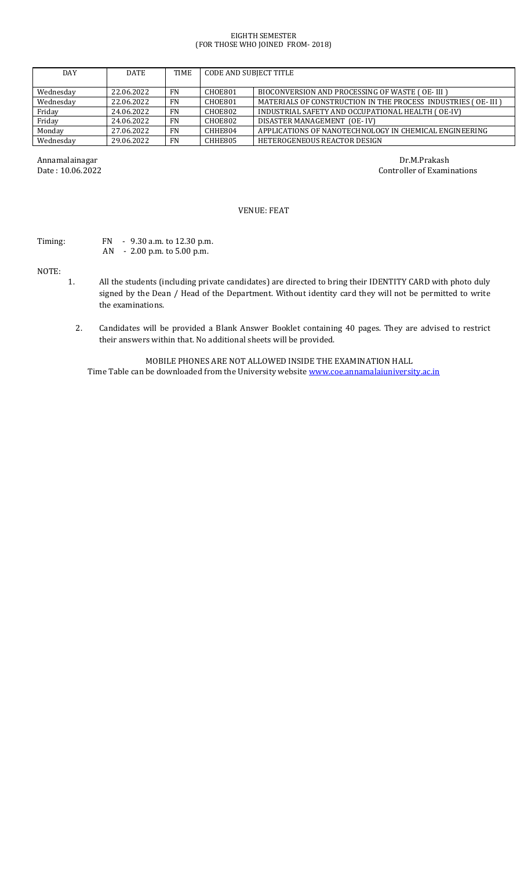#### EIGHTH SEMESTER (FOR THOSE WHO JOINED FROM- 2018)

| <b>DAY</b> | <b>DATE</b> | <b>TIME</b> | <b>CODE AND SUBJECT TITLE</b> |                                                               |
|------------|-------------|-------------|-------------------------------|---------------------------------------------------------------|
| Wednesday  | 22.06.2022  | <b>FN</b>   | CHOE801                       | BIOCONVERSION AND PROCESSING OF WASTE (OE-III)                |
| Wednesday  | 22.06.2022  | <b>FN</b>   | CHOE801                       | MATERIALS OF CONSTRUCTION IN THE PROCESS INDUSTRIES (OE- III) |
| Friday     | 24.06.2022  | <b>FN</b>   | CHOE802                       | INDUSTRIAL SAFETY AND OCCUPATIONAL HEALTH (OE-IV)             |
| Friday     | 24.06.2022  | <b>FN</b>   | CHOE802                       | DISASTER MANAGEMENT (OE-IV)                                   |
| Monday     | 27.06.2022  | <b>FN</b>   | CHHE804                       | APPLICATIONS OF NANOTECHNOLOGY IN CHEMICAL ENGINEERING        |
| Wednesday  | 29.06.2022  | <b>FN</b>   | CHHE805                       | HETEROGENEOUS REACTOR DESIGN                                  |

Annamalainagar Dr.M.Prakash Date : 10.06.2022 Controller of Examinations

## VENUE: FEAT

# Timing: FN - 9.30 a.m. to 12.30 p.m. AN - 2.00 p.m. to 5.00 p.m.

NOTE:

- 1. All the students (including private candidates) are directed to bring their IDENTITY CARD with photo duly signed by the Dean / Head of the Department. Without identity card they will not be permitted to write the examinations.
	- 2. Candidates will be provided a Blank Answer Booklet containing 40 pages. They are advised to restrict their answers within that. No additional sheets will be provided.

MOBILE PHONES ARE NOT ALLOWED INSIDE THE EXAMINATION HALL Time Table can be downloaded from the University website [www.coe.annamalaiuniversity.ac.in](http://www.coe.annamalaiuniversity.ac.in/)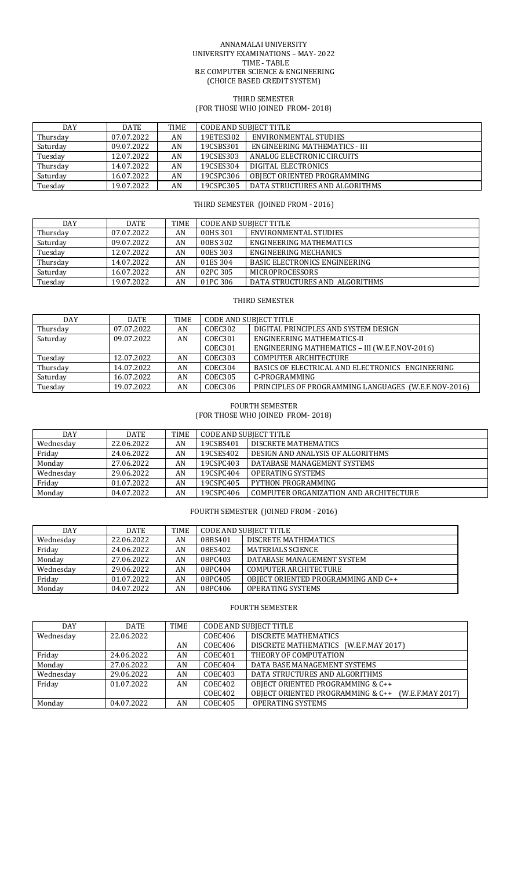#### ANNAMALAI UNIVERSITY UNIVERSITY EXAMINATIONS – MAY- 2022 TIME - TABLE B.E COMPUTER SCIENCE & ENGINEERING (CHOICE BASED CREDIT SYSTEM)

#### THIRD SEMESTER

(FOR THOSE WHO JOINED FROM- 2018)

| DAY      | <b>DATE</b> | TIME | CODE AND SUBIECT TITLE |                                |
|----------|-------------|------|------------------------|--------------------------------|
| Thursday | 07.07.2022  | AN   | 19ETES302              | ENVIRONMENTAL STUDIES          |
| Saturday | 09.07.2022  | AN   | 19CSBS301              | ENGINEERING MATHEMATICS - III  |
| Tuesday  | 12.07.2022  | AN   | 19CSES303              | ANALOG ELECTRONIC CIRCUITS     |
| Thursday | 14.07.2022  | AN   | 19CSES304              | DIGITAL ELECTRONICS            |
| Saturday | 16.07.2022  | AN   | 19CSPC306              | OBIECT ORIENTED PROGRAMMING    |
| Tuesday  | 19.07.2022  | AN   | 19CSPC305              | DATA STRUCTURES AND ALGORITHMS |

# THIRD SEMESTER (JOINED FROM - 2016)

| DAY      | <b>DATE</b> | TIME | <b>CODE AND SUBJECT TITLE</b> |                                      |
|----------|-------------|------|-------------------------------|--------------------------------------|
| Thursday | 07.07.2022  | AN   | 00HS 301                      | ENVIRONMENTAL STUDIES                |
| Saturday | 09.07.2022  | AN   | 00BS 302                      | ENGINEERING MATHEMATICS              |
| Tuesday  | 12.07.2022  | AN   | 00ES 303                      | <b>ENGINEERING MECHANICS</b>         |
| Thursday | 14.07.2022  | AN   | 01ES 304                      | <b>BASIC ELECTRONICS ENGINEERING</b> |
| Saturday | 16.07.2022  | AN   | 02PC 305                      | <b>MICROPROCESSORS</b>               |
| Tuesday  | 19.07.2022  | AN   | 01PC 306                      | DATA STRUCTURES AND ALGORITHMS       |

# THIRD SEMESTER

| <b>DAY</b> | <b>DATE</b> | <b>TIME</b> | <b>CODE AND SUBJECT TITLE</b> |                                                      |
|------------|-------------|-------------|-------------------------------|------------------------------------------------------|
| Thursday   | 07.07.2022  | AN          | COEC302                       | DIGITAL PRINCIPLES AND SYSTEM DESIGN                 |
| Saturday   | 09.07.2022  | AN          | COEC301                       | ENGINEERING MATHEMATICS-II                           |
|            |             |             | COEC301                       | ENGINEERING MATHEMATICS - III (W.E.F.NOV-2016)       |
| Tuesday    | 12.07.2022  | AN          | COEC303                       | <b>COMPUTER ARCHITECTURE</b>                         |
| Thursday   | 14.07.2022  | AN          | COEC304                       | BASICS OF ELECTRICAL AND ELECTRONICS ENGINEERING     |
| Saturday   | 16.07.2022  | AN          | COEC305                       | C-PROGRAMMING                                        |
| Tuesday    | 19.07.2022  | AN          | COEC306                       | PRINCIPLES OF PROGRAMMING LANGUAGES (W.E.F.NOV-2016) |

## FOURTH SEMESTER (FOR THOSE WHO JOINED FROM- 2018)

| DAY       | <b>DATE</b> | <b>TIME</b> | <b>CODE AND SUBJECT TITLE</b> |                                        |
|-----------|-------------|-------------|-------------------------------|----------------------------------------|
| Wednesday | 22.06.2022  | AN          | 19CSBS401                     | DISCRETE MATHEMATICS                   |
| Friday    | 24.06.2022  | AN          | 19CSES402                     | DESIGN AND ANALYSIS OF ALGORITHMS      |
| Monday    | 27.06.2022  | AN          | 19CSPC403                     | DATABASE MANAGEMENT SYSTEMS            |
| Wednesday | 29.06.2022  | AN          | 19CSPC404                     | <b>OPERATING SYSTEMS</b>               |
| Friday    | 01.07.2022  | AN          | 19CSPC405                     | PYTHON PROGRAMMING                     |
| Monday    | 04.07.2022  | AN          | 19CSPC406                     | COMPUTER ORGANIZATION AND ARCHITECTURE |

FOURTH SEMESTER (JOINED FROM - 2016)

| DAY       | <b>DATE</b> | TIME | <b>CODE AND SUBJECT TITLE</b> |                                     |  |
|-----------|-------------|------|-------------------------------|-------------------------------------|--|
| Wednesdav | 22.06.2022  | AN   | 08BS401                       | DISCRETE MATHEMATICS                |  |
| Friday    | 24.06.2022  | AN   | 08ES402                       | MATERIALS SCIENCE                   |  |
| Monday    | 27.06.2022  | AN   | 08PC403                       | DATABASE MANAGEMENT SYSTEM          |  |
| Wednesday | 29.06.2022  | AN   | 08PC404                       | <b>COMPUTER ARCHITECTURE</b>        |  |
| Friday    | 01.07.2022  | AN   | 08PC405                       | OBIECT ORIENTED PROGRAMMING AND C++ |  |
| Monday    | 04.07.2022  | AN   | 08PC406                       | <b>OPERATING SYSTEMS</b>            |  |

# FOURTH SEMESTER

| <b>DAY</b> | <b>DATE</b> | TIME | <b>CODE AND SUBJECT TITLE</b> |                                                       |
|------------|-------------|------|-------------------------------|-------------------------------------------------------|
| Wednesday  | 22.06.2022  |      | COEC406                       | DISCRETE MATHEMATICS                                  |
|            |             | AN   | COEC406                       | DISCRETE MATHEMATICS (W.E.F.MAY 2017)                 |
| Friday     | 24.06.2022  | AN   | COEC401                       | THEORY OF COMPUTATION                                 |
| Monday     | 27.06.2022  | AN   | COEC404                       | DATA BASE MANAGEMENT SYSTEMS                          |
| Wednesday  | 29.06.2022  | AN   | COEC403                       | DATA STRUCTURES AND ALGORITHMS                        |
| Friday     | 01.07.2022  | AN   | COEC402                       | OBJECT ORIENTED PROGRAMMING & C++                     |
|            |             |      | COEC402                       | OBJECT ORIENTED PROGRAMMING & C++<br>(W.E.F.MAY 2017) |
| Monday     | 04.07.2022  | AN   | COEC405                       | <b>OPERATING SYSTEMS</b>                              |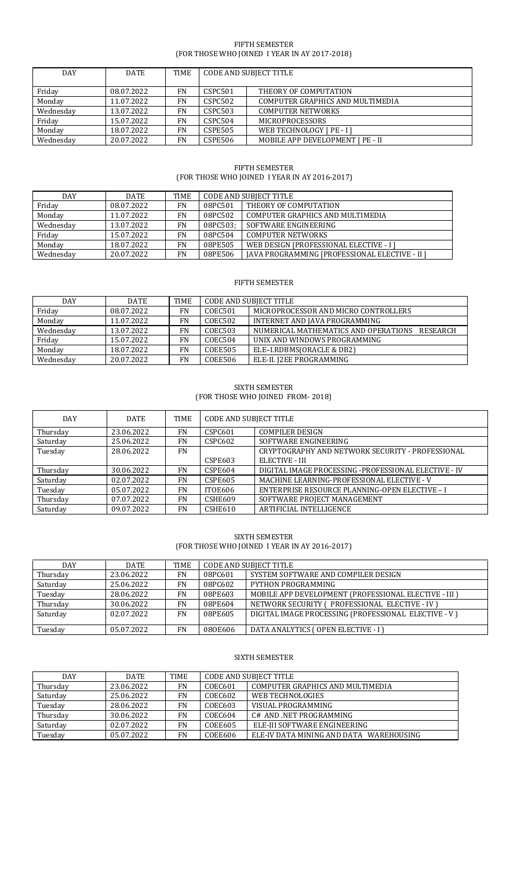## FIFTH SEMESTER (FOR THOSE WHO JOINED I YEAR IN AY 2017-2018)

| DAY       | <b>DATE</b> | <b>TIME</b> | CODE AND SUBJECT TITLE |                                  |
|-----------|-------------|-------------|------------------------|----------------------------------|
|           |             |             |                        |                                  |
| Friday    | 08.07.2022  | FN          | CSPC501                | THEORY OF COMPUTATION            |
| Monday    | 11.07.2022  | <b>FN</b>   | CSPC502                | COMPUTER GRAPHICS AND MULTIMEDIA |
| Wednesday | 13.07.2022  | FN          | <b>CSPC503</b>         | <b>COMPUTER NETWORKS</b>         |
| Friday    | 15.07.2022  | FN          | CSPC504                | <b>MICROPROCESSORS</b>           |
| Monday    | 18.07.2022  | FN          | <b>CSPE505</b>         | WEB TECHNOLOGY [ PE - I]         |
| Wednesday | 20.07.2022  | FN          | <b>CSPE506</b>         | MOBILE APP DEVELOPMENT [ PE - II |

## FIFTH SEMESTER (FOR THOSE WHO JOINED I YEAR IN AY 2016-2017)

| DAY       | <b>DATE</b> | TIME      | <b>CODE AND SUBJECT TITLE</b> |                                                       |
|-----------|-------------|-----------|-------------------------------|-------------------------------------------------------|
| Friday    | 08.07.2022  | <b>FN</b> | 08PC501                       | THEORY OF COMPUTATION                                 |
| Monday    | 11.07.2022  | <b>FN</b> | 08PC502                       | COMPUTER GRAPHICS AND MULTIMEDIA                      |
| Wednesday | 13.07.2022  | <b>FN</b> | 08PC503;                      | SOFTWARE ENGINEERING                                  |
| Friday    | 15.07.2022  | <b>FN</b> | 08PC504                       | <b>COMPUTER NETWORKS</b>                              |
| Monday    | 18.07.2022  | <b>FN</b> | 08PE505                       | WEB DESIGN [PROFESSIONAL ELECTIVE - I ]               |
| Wednesday | 20.07.2022  | <b>FN</b> | 08PE506                       | <b>IAVA PROGRAMMING IPROFESSIONAL ELECTIVE - II 1</b> |

# FIFTH SEMESTER

| DAY       | <b>DATE</b> | TIME      | <b>CODE AND SUBJECT TITLE</b> |                                                  |
|-----------|-------------|-----------|-------------------------------|--------------------------------------------------|
| Friday    | 08.07.2022  | FN        | COEC501                       | MICROPROCESSOR AND MICRO CONTROLLERS             |
| Monday    | 11.07.2022  | FN        | COEC502                       | INTERNET AND JAVA PROGRAMMING                    |
| Wednesdav | 13.07.2022  | FN        | COEC503                       | NUMERICAL MATHEMATICS AND OPERATIONS<br>RESEARCH |
| Friday    | 15.07.2022  | FN        | COEC504                       | UNIX AND WINDOWS PROGRAMMING                     |
| Monday    | 18.07.2022  | FN        | <b>COEE505</b>                | ELE-I.RDBMS(ORACLE & DB2)                        |
| Wednesday | 20.07.2022  | <b>FN</b> | <b>COEE506</b>                | ELE-II. J2EE PROGRAMMING                         |

## SIXTH SEMESTER (FOR THOSE WHO JOINED FROM- 2018)

| <b>DAY</b> | <b>DATE</b> | <b>TIME</b> | <b>CODE AND SUBJECT TITLE</b> |                                                      |
|------------|-------------|-------------|-------------------------------|------------------------------------------------------|
| Thursday   | 23.06.2022  | FN          | CSPC601                       | <b>COMPILER DESIGN</b>                               |
| Saturday   | 25.06.2022  | <b>FN</b>   | CSPC602                       | SOFTWARE ENGINEERING                                 |
| Tuesday    | 28.06.2022  | FN          |                               | CRYPTOGRAPHY AND NETWORK SECURITY - PROFESSIONAL     |
|            |             |             | CSPE603                       | ELECTIVE - III                                       |
| Thursday   | 30.06.2022  | <b>FN</b>   | CSPE604                       | DIGITAL IMAGE PROCESSING -PROFESSIONAL ELECTIVE - IV |
| Saturday   | 02.07.2022  | <b>FN</b>   | <b>CSPE605</b>                | MACHINE LEARNING-PROFESSIONAL ELECTIVE - V           |
| Tuesday    | 05.07.2022  | FN          | ITOE606                       | ENTERPRISE RESOURCE PLANNING-OPEN ELECTIVE - I       |
| Thursday   | 07.07.2022  | FN          | <b>CSHE609</b>                | SOFTWARE PROJECT MANAGEMENT                          |
| Saturday   | 09.07.2022  | <b>FN</b>   | CSHE610                       | ARTIFICIAL INTELLIGENCE                              |

## SIXTH SEMESTER (FOR THOSE WHO JOINED I YEAR IN AY 2016-2017)

| <b>DAY</b> | <b>DATE</b> | <b>TIME</b> | <b>CODE AND SUBJECT TITLE</b> |                                                      |
|------------|-------------|-------------|-------------------------------|------------------------------------------------------|
| Thursday   | 23.06.2022  | <b>FN</b>   | 08PC601                       | SYSTEM SOFTWARE AND COMPILER DESIGN                  |
| Saturday   | 25.06.2022  | <b>FN</b>   | 08PC602                       | PYTHON PROGRAMMING                                   |
| Tuesday    | 28.06.2022  | <b>FN</b>   | 08PE603                       | MOBILE APP DEVELOPMENT (PROFESSIONAL ELECTIVE - III) |
| Thursday   | 30.06.2022  | <b>FN</b>   | 08PE604                       | NETWORK SECURITY (PROFESSIONAL ELECTIVE - IV)        |
| Saturday   | 02.07.2022  | <b>FN</b>   | 08PE605                       | DIGITAL IMAGE PROCESSING (PROFESSIONAL ELECTIVE - V) |
| Tuesday    | 05.07.2022  | <b>FN</b>   | 080E606                       | DATA ANALYTICS (OPEN ELECTIVE - I)                   |

#### SIXTH SEMESTER

| DAY      | <b>DATE</b> | TIME | <b>CODE AND SUBJECT TITLE</b> |                                         |  |
|----------|-------------|------|-------------------------------|-----------------------------------------|--|
| Thursday | 23.06.2022  | FN   | COEC601                       | COMPUTER GRAPHICS AND MULTIMEDIA        |  |
| Saturday | 25.06.2022  | FN   | COEC602                       | WEB TECHNOLOGIES                        |  |
| Tuesday  | 28.06.2022  | FN   | COEC603                       | VISUAL PROGRAMMING                      |  |
| Thursday | 30.06.2022  | FN   | COEC604                       | C# AND NET PROGRAMMING                  |  |
| Saturday | 02.07.2022  | FN   | <b>COEE605</b>                | ELE-III SOFTWARE ENGINEERING            |  |
| Tuesday  | 05.07.2022  | FN   | COEE606                       | ELE-IV DATA MINING AND DATA WAREHOUSING |  |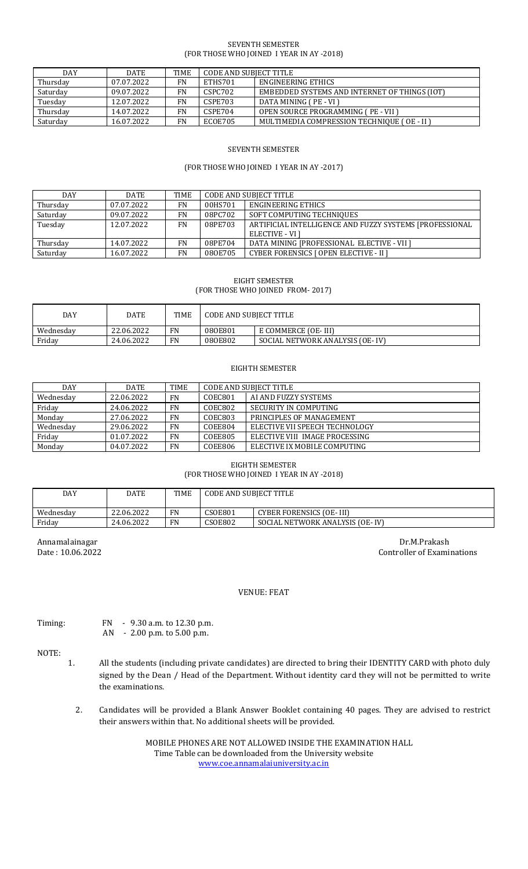#### SEVENTH SEMESTER (FOR THOSE WHO JOINED I YEAR IN AY -2018)

| <b>DAY</b> | <b>DATE</b> | <b>TIME</b> | CODE AND SUBIECT TITLE |                                               |
|------------|-------------|-------------|------------------------|-----------------------------------------------|
| Thursday   | 07.07.2022  | FN          | ETHS701                | ENGINEERING ETHICS                            |
| Saturday   | 09.07.2022  | FN          | CSPC702                | EMBEDDED SYSTEMS AND INTERNET OF THINGS (IOT) |
| Tuesday    | 12.07.2022  | FN          | CSPE703                | DATA MINING (PE - VI )                        |
| Thursday   | 14.07.2022  | FN          | CSPE704                | OPEN SOURCE PROGRAMMING (PE - VII )           |
| Saturday   | 16.07.2022  | FN          | ECOE705                | MULTIMEDIA COMPRESSION TECHNIOUE (OE - II )   |

## SEVENTH SEMESTER

#### (FOR THOSE WHO JOINED I YEAR IN AY -2017)

| <b>DAY</b> | <b>DATE</b> | <b>TIME</b> | CODE AND SUBJECT TITLE |                                                         |
|------------|-------------|-------------|------------------------|---------------------------------------------------------|
| Thursday   | 07.07.2022  | <b>FN</b>   | 00HS701                | ENGINEERING ETHICS                                      |
| Saturday   | 09.07.2022  | <b>FN</b>   | 08PC702                | SOFT COMPUTING TECHNIQUES                               |
| Tuesday    | 12.07.2022  | <b>FN</b>   | 08PE703                | ARTIFICIAL INTELLIGENCE AND FUZZY SYSTEMS [PROFESSIONAL |
|            |             |             |                        | ELECTIVE - VI 1                                         |
| Thursday   | 14.07.2022  | <b>FN</b>   | 08PE704                | DATA MINING [PROFESSIONAL ELECTIVE - VII ]              |
| Saturday   | 16.07.2022  | FN          | 080E705                | <b>CYBER FORENSICS [ OPEN ELECTIVE - II ]</b>           |

## EIGHT SEMESTER (FOR THOSE WHO JOINED FROM- 2017)

| DAY       | DATE       | <b>TIME</b> | CODE AND SUBJECT TITLE |                                 |
|-----------|------------|-------------|------------------------|---------------------------------|
| Wednesday | 22.06.2022 | FN          | 080E801                | E COMMERCE (OE- III)            |
| Friday    | 24.06.2022 | FN          | 080E802                | SOCIAL NETWORK ANALYSIS (OE-IV) |

#### EIGHTH SEMESTER

| <b>DAY</b> | <b>DATE</b> | <b>TIME</b> | <b>CODE AND SUBJECT TITLE</b> |                                |
|------------|-------------|-------------|-------------------------------|--------------------------------|
| Wednesday  | 22.06.2022  | <b>FN</b>   | COEC801                       | AI AND FUZZY SYSTEMS           |
| Friday     | 24.06.2022  | <b>FN</b>   | COEC802                       | SECURITY IN COMPUTING          |
| Monday     | 27.06.2022  | <b>FN</b>   | COEC803                       | PRINCIPLES OF MANAGEMENT       |
| Wednesday  | 29.06.2022  | <b>FN</b>   | COEE804                       | ELECTIVE VII SPEECH TECHNOLOGY |
| Friday     | 01.07.2022  | <b>FN</b>   | <b>COEE805</b>                | ELECTIVE VIII IMAGE PROCESSING |
| Monday     | 04.07.2022  | <b>FN</b>   | <b>COEE806</b>                | ELECTIVE IX MOBILE COMPUTING   |

## EIGHTH SEMESTER (FOR THOSE WHO JOINED I YEAR IN AY -2018)

| DAY       | DATE       | <b>TIME</b> | CODE AND SUBIECT TITLE |                                 |
|-----------|------------|-------------|------------------------|---------------------------------|
| Wednesday | 22.06.2022 | <b>FN</b>   | <b>CSOE801</b>         | <b>CYBER FORENSICS (OE-III)</b> |
| Fridav    | 24.06.2022 | <b>FN</b>   | <b>CSOE802</b>         | SOCIAL NETWORK ANALYSIS (OE-IV) |

Annamalainagar Dr.M.Prakash Date : 10.06.2022 Controller of Examinations

## VENUE: FEAT

Timing: FN - 9.30 a.m. to 12.30 p.m. AN - 2.00 p.m. to 5.00 p.m.

# NOTE:

- 1. All the students (including private candidates) are directed to bring their IDENTITY CARD with photo duly signed by the Dean / Head of the Department. Without identity card they will not be permitted to write the examinations.
	- 2. Candidates will be provided a Blank Answer Booklet containing 40 pages. They are advised to restrict their answers within that. No additional sheets will be provided.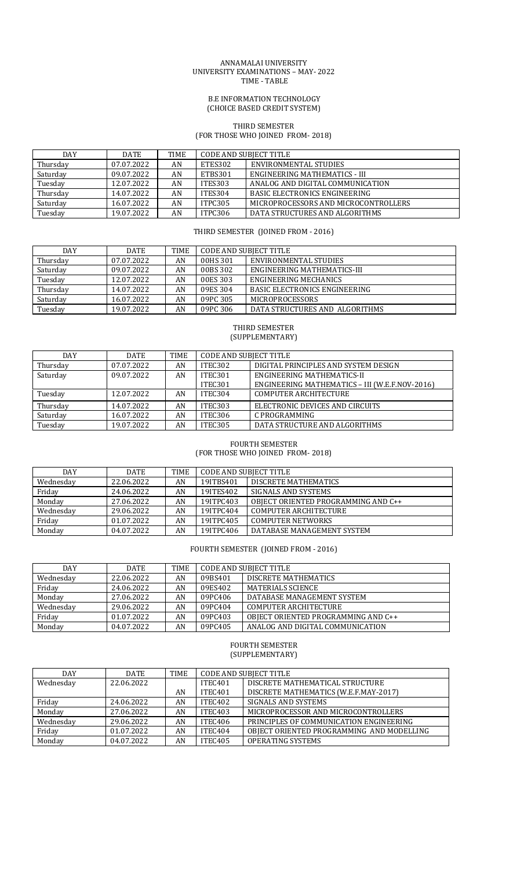#### ANNAMALAI UNIVERSITY UNIVERSITY EXAMINATIONS – MAY- 2022 TIME - TABLE

#### B.E INFORMATION TECHNOLOGY (CHOICE BASED CREDIT SYSTEM)

#### THIRD SEMESTER (FOR THOSE WHO JOINED FROM- 2018)

| <b>DAY</b> | DATE       | TIME | CODE AND SUBIECT TITLE |                                      |
|------------|------------|------|------------------------|--------------------------------------|
| Thursday   | 07.07.2022 | AN   | ETES302                | ENVIRONMENTAL STUDIES                |
| Saturday   | 09.07.2022 | AN   | ETBS301                | ENGINEERING MATHEMATICS - III        |
| Tuesday    | 12.07.2022 | AN   | ITES303                | ANALOG AND DIGITAL COMMUNICATION     |
| Thursday   | 14.07.2022 | AN   | ITES304                | <b>BASIC ELECTRONICS ENGINEERING</b> |
| Saturday   | 16.07.2022 | AN   | ITPC305                | MICROPROCESSORS AND MICROCONTROLLERS |
| Tuesday    | 19.07.2022 | AN   | ITPC306                | DATA STRUCTURES AND ALGORITHMS       |

## THIRD SEMESTER (JOINED FROM - 2016)

| DAY      | <b>DATE</b> | TIME | <b>CODE AND SUBJECT TITLE</b> |                                      |
|----------|-------------|------|-------------------------------|--------------------------------------|
| Thursday | 07.07.2022  | AN   | 00HS 301                      | ENVIRONMENTAL STUDIES                |
| Saturday | 09.07.2022  | AN   | 00BS 302                      | ENGINEERING MATHEMATICS-III          |
| Tuesday  | 12.07.2022  | AN   | 00ES 303                      | ENGINEERING MECHANICS                |
| Thursday | 14.07.2022  | AN   | 09ES 304                      | <b>BASIC ELECTRONICS ENGINEERING</b> |
| Saturday | 16.07.2022  | AN   | 09PC 305                      | <b>MICROPROCESSORS</b>               |
| Tuesday  | 19.07.2022  | AN   | 09PC 306                      | DATA STRUCTURES AND ALGORITHMS       |

#### THIRD SEMESTER (SUPPLEMENTARY)

| <b>DAY</b> | <b>DATE</b> | <b>TIME</b> | <b>CODE AND SUBJECT TITLE</b> |                                                |
|------------|-------------|-------------|-------------------------------|------------------------------------------------|
| Thursday   | 07.07.2022  | AN          | ITEC302                       | DIGITAL PRINCIPLES AND SYSTEM DESIGN           |
| Saturday   | 09.07.2022  | AN          | ITEC301                       | ENGINEERING MATHEMATICS-II                     |
|            |             |             | ITEC301                       | ENGINEERING MATHEMATICS - III (W.E.F.NOV-2016) |
| Tuesday    | 12.07.2022  | AN          | ITEC304                       | <b>COMPUTER ARCHITECTURE</b>                   |
| Thursday   | 14.07.2022  | AN          | ITEC303                       | ELECTRONIC DEVICES AND CIRCUITS                |
| Saturday   | 16.07.2022  | AN          | ITEC306                       | C PROGRAMMING                                  |
| Tuesday    | 19.07.2022  | AN          | ITEC305                       | DATA STRUCTURE AND ALGORITHMS                  |

## FOURTH SEMESTER (FOR THOSE WHO JOINED FROM- 2018)

| <b>DAY</b> | <b>DATE</b> | <b>TIME</b> | <b>CODE AND SUBJECT TITLE</b> |                                     |  |
|------------|-------------|-------------|-------------------------------|-------------------------------------|--|
| Wednesday  | 22.06.2022  | AN          | 19ITBS401                     | DISCRETE MATHEMATICS                |  |
| Friday     | 24.06.2022  | AN          | 19ITES402                     | SIGNALS AND SYSTEMS                 |  |
| Monday     | 27.06.2022  | AN          | 19ITPC403                     | OBIECT ORIENTED PROGRAMMING AND C++ |  |
| Wednesday  | 29.06.2022  | AN          | 19ITPC404                     | <b>COMPUTER ARCHITECTURE</b>        |  |
| Friday     | 01.07.2022  | AN          | 19ITPC405                     | <b>COMPUTER NETWORKS</b>            |  |
| Monday     | 04.07.2022  | AN          | 19ITPC406                     | DATABASE MANAGEMENT SYSTEM          |  |

# FOURTH SEMESTER (JOINED FROM - 2016)

| <b>DAY</b> | <b>DATE</b> | <b>TIME</b> | CODE AND SUBJECT TITLE |                                     |
|------------|-------------|-------------|------------------------|-------------------------------------|
| Wednesday  | 22.06.2022  | AN          | 09BS401                | DISCRETE MATHEMATICS                |
| Friday     | 24.06.2022  | AN          | 09ES402                | <b>MATERIALS SCIENCE</b>            |
| Monday     | 27.06.2022  | AN          | 09PC406                | DATABASE MANAGEMENT SYSTEM          |
| Wednesday  | 29.06.2022  | AN          | 09PC404                | <b>COMPUTER ARCHITECTURE</b>        |
| Friday     | 01.07.2022  | AN          | 09PC403                | OBJECT ORIENTED PROGRAMMING AND C++ |
| Monday     | 04.07.2022  | AN          | 09PC405                | ANALOG AND DIGITAL COMMUNICATION    |

#### FOURTH SEMESTER (SUPPLEMENTARY)

| <b>DAY</b> | <b>DATE</b> | <b>TIME</b> | <b>CODE AND SUBJECT TITLE</b> |                                           |
|------------|-------------|-------------|-------------------------------|-------------------------------------------|
| Wednesday  | 22.06.2022  |             | <b>ITEC401</b>                | DISCRETE MATHEMATICAL STRUCTURE           |
|            |             | AN          | ITEC <sub>401</sub>           | DISCRETE MATHEMATICS (W.E.F.MAY-2017)     |
| Friday     | 24.06.2022  | AN          | ITEC402                       | <b>SIGNALS AND SYSTEMS</b>                |
| Monday     | 27.06.2022  | AN          | ITEC403                       | MICROPROCESSOR AND MICROCONTROLLERS       |
| Wednesday  | 29.06.2022  | AN          | ITEC406                       | PRINCIPLES OF COMMUNICATION ENGINEERING   |
| Friday     | 01.07.2022  | AN          | ITEC404                       | OBJECT ORIENTED PROGRAMMING AND MODELLING |
| Monday     | 04.07.2022  | AN          | ITEC405                       | <b>OPERATING SYSTEMS</b>                  |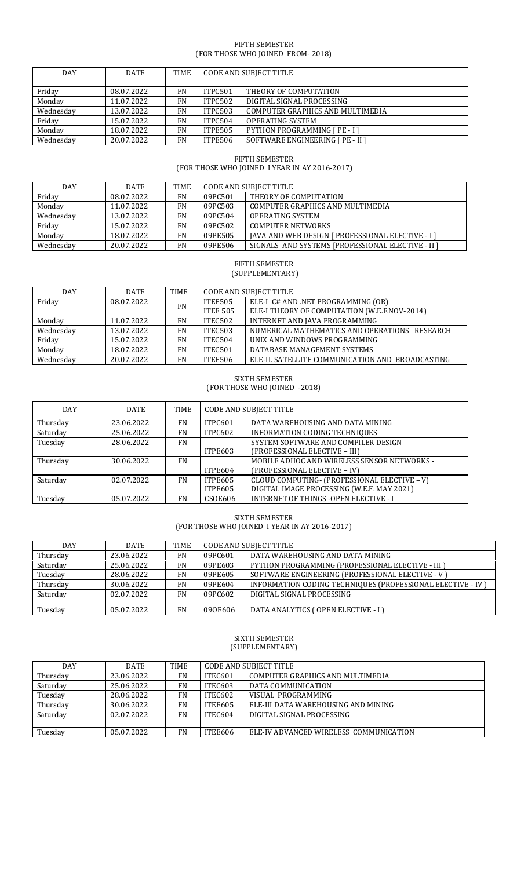## FIFTH SEMESTER (FOR THOSE WHO JOINED FROM- 2018)

| <b>DAY</b> | <b>DATE</b> | TIME      | <b>CODE AND SUBJECT TITLE</b> |                                      |
|------------|-------------|-----------|-------------------------------|--------------------------------------|
|            |             |           |                               |                                      |
| Friday     | 08.07.2022  | <b>FN</b> | ITPC501                       | THEORY OF COMPUTATION                |
| Monday     | 11.07.2022  | <b>FN</b> | ITPC502                       | DIGITAL SIGNAL PROCESSING            |
| Wednesday  | 13.07.2022  | <b>FN</b> | <b>ITPC503</b>                | COMPUTER GRAPHICS AND MULTIMEDIA     |
| Friday     | 15.07.2022  | FN        | ITPC504                       | <b>OPERATING SYSTEM</b>              |
| Monday     | 18.07.2022  | <b>FN</b> | <b>ITPE505</b>                | <b>PYTHON PROGRAMMING [ PE - I ]</b> |
| Wednesday  | 20.07.2022  | FN        | <b>ITPE506</b>                | SOFTWARE ENGINEERING [ PE - II ]     |

## FIFTH SEMESTER (FOR THOSE WHO JOINED I YEAR IN AY 2016-2017)

| DAY       | <b>DATE</b> | TIME | <b>CODE AND SUBJECT TITLE</b> |                                                          |
|-----------|-------------|------|-------------------------------|----------------------------------------------------------|
| Friday    | 08.07.2022  | FN   | 09PC501                       | THEORY OF COMPUTATION                                    |
| Monday    | 11.07.2022  | FN   | 09PC503                       | COMPUTER GRAPHICS AND MULTIMEDIA                         |
| Wednesday | 13.07.2022  | FN.  | 09PC504                       | OPERATING SYSTEM                                         |
| Friday    | 15.07.2022  | FN.  | 09PC502                       | <b>COMPUTER NETWORKS</b>                                 |
| Monday    | 18.07.2022  | FN   | 09PE505                       | <b>JAVA AND WEB DESIGN [ PROFESSIONAL ELECTIVE - I ]</b> |
| Wednesday | 20.07.2022  | FN   | 09PE506                       | SIGNALS AND SYSTEMS [PROFESSIONAL ELECTIVE - II ]        |

## FIFTH SEMESTER (SUPPLEMENTARY)

| <b>DAY</b> | DATE       | TIME      | <b>CODE AND SUBJECT TITLE</b> |                                                  |
|------------|------------|-----------|-------------------------------|--------------------------------------------------|
| Friday     | 08.07.2022 | <b>FN</b> | ITEE505                       | ELE-I C# AND .NET PROGRAMMING (OR)               |
|            |            |           | <b>ITEE 505</b>               | ELE-I THEORY OF COMPUTATION (W.E.F.NOV-2014)     |
| Monday     | 11.07.2022 | FN        | ITEC502                       | INTERNET AND JAVA PROGRAMMING                    |
| Wednesday  | 13.07.2022 | FN        | ITEC503                       | NUMERICAL MATHEMATICS AND OPERATIONS RESEARCH    |
| Friday     | 15.07.2022 | <b>FN</b> | ITEC504                       | UNIX AND WINDOWS PROGRAMMING                     |
| Monday     | 18.07.2022 | FN        | ITEC501                       | DATABASE MANAGEMENT SYSTEMS                      |
| Wednesday  | 20.07.2022 | FN        | ITEE506                       | ELE-II. SATELLITE COMMUNICATION AND BROADCASTING |

## SIXTH SEMESTER (FOR THOSE WHO JOINED -2018)

| <b>DAY</b> | <b>DATE</b> | TIME      | <b>CODE AND SUBJECT TITLE</b> |                                              |
|------------|-------------|-----------|-------------------------------|----------------------------------------------|
| Thursday   | 23.06.2022  | <b>FN</b> | ITPC601                       | DATA WAREHOUSING AND DATA MINING             |
| Saturday   | 25.06.2022  | <b>FN</b> | ITPC602                       | INFORMATION CODING TECHNIQUES                |
| Tuesday    | 28.06.2022  | FN.       |                               | SYSTEM SOFTWARE AND COMPILER DESIGN -        |
|            |             |           | ITPE603                       | (PROFESSIONAL ELECTIVE - III)                |
| Thursday   | 30.06.2022  | FN        |                               | MOBILE ADHOC AND WIRELESS SENSOR NETWORKS -  |
|            |             |           | ITPE604                       | (PROFESSIONAL ELECTIVE - IV)                 |
| Saturday   | 02.07.2022  | <b>FN</b> | ITPE605                       | CLOUD COMPUTING- (PROFESSIONAL ELECTIVE - V) |
|            |             |           | ITPE605                       | DIGITAL IMAGE PROCESSING (W.E.F. MAY 2021)   |
| Tuesday    | 05.07.2022  | <b>FN</b> | <b>CSOE606</b>                | <b>INTERNET OF THINGS -OPEN ELECTIVE - I</b> |

# SIXTH SEMESTER (FOR THOSE WHO JOINED I YEAR IN AY 2016-2017)

| <b>DAY</b> | <b>DATE</b> | <b>TIME</b> | CODE AND SUBJECT TITLE |                                                            |
|------------|-------------|-------------|------------------------|------------------------------------------------------------|
| Thursday   | 23.06.2022  | FN          | 09PC601                | DATA WAREHOUSING AND DATA MINING                           |
| Saturday   | 25.06.2022  | FN          | 09PE603                | PYTHON PROGRAMMING (PROFESSIONAL ELECTIVE - III )          |
| Tuesday    | 28.06.2022  | FN          | 09PE605                | SOFTWARE ENGINEERING (PROFESSIONAL ELECTIVE - V)           |
| Thursday   | 30.06.2022  | FN          | 09PE604                | INFORMATION CODING TECHNIQUES (PROFESSIONAL ELECTIVE - IV) |
| Saturday   | 02.07.2022  | <b>FN</b>   | 09PC602                | DIGITAL SIGNAL PROCESSING                                  |
|            |             |             |                        |                                                            |
| Tuesday    | 05.07.2022  | FN          | 090E606                | DATA ANALYTICS (OPEN ELECTIVE - I)                         |

## SIXTH SEMESTER (SUPPLEMENTARY)

| DAY      | DATE       | <b>TIME</b> | <b>CODE AND SUBJECT TITLE</b> |                                        |
|----------|------------|-------------|-------------------------------|----------------------------------------|
| Thursday | 23.06.2022 | <b>FN</b>   | ITEC601                       | COMPUTER GRAPHICS AND MULTIMEDIA       |
| Saturday | 25.06.2022 | FN          | ITEC603                       | DATA COMMUNICATION                     |
| Tuesday  | 28.06.2022 | FN          | ITEC602                       | VISUAL PROGRAMMING                     |
| Thursday | 30.06.2022 | FN          | <b>ITEE605</b>                | ELE-III DATA WAREHOUSING AND MINING    |
| Saturday | 02.07.2022 | FN          | ITEC604                       | DIGITAL SIGNAL PROCESSING              |
|          |            |             |                               |                                        |
| Tuesday  | 05.07.2022 | FN          | ITEE606                       | ELE-IV ADVANCED WIRELESS COMMUNICATION |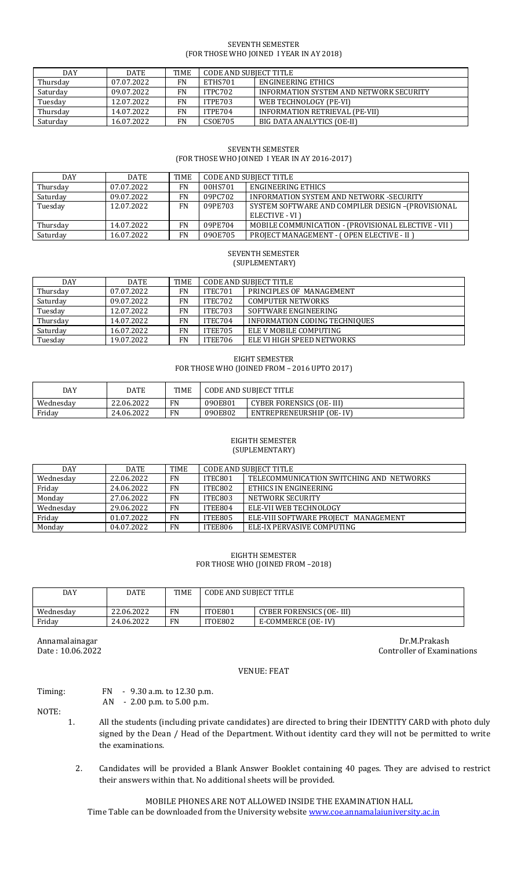#### SEVENTH SEMESTER (FOR THOSE WHO JOINED I YEAR IN AY 2018)

| <b>DAY</b> | <b>DATE</b> | <b>TIME</b> | CODE AND SUBJECT TITLE |                                         |
|------------|-------------|-------------|------------------------|-----------------------------------------|
| Thursday   | 07.07.2022  | FN          | ETHS701                | ENGINEERING ETHICS                      |
| Saturday   | 09.07.2022  | FN          | ITPC702                | INFORMATION SYSTEM AND NETWORK SECURITY |
| Tuesday    | 12.07.2022  | FN          | ITPE703                | WEB TECHNOLOGY (PE-VI)                  |
| Thursday   | 14.07.2022  | FN          | ITPE704                | INFORMATION RETRIEVAL (PE-VII)          |
| Saturday   | 16.07.2022  | FN          | CSOE705                | BIG DATA ANALYTICS (OE-II)              |

# SEVENTH SEMESTER (FOR THOSE WHO JOINED I YEAR IN AY 2016-2017)

| DAY      | <b>DATE</b> | TIME      | CODE AND SUBJECT TITLE |                                                      |
|----------|-------------|-----------|------------------------|------------------------------------------------------|
| Thursday | 07.07.2022  | <b>FN</b> | 00HS701                | ENGINEERING ETHICS                                   |
| Saturday | 09.07.2022  | FN        | 09PC702                | INFORMATION SYSTEM AND NETWORK -SECURITY             |
| Tuesday  | 12.07.2022  | <b>FN</b> | 09PE703                | SYSTEM SOFTWARE AND COMPILER DESIGN -(PROVISIONAL    |
|          |             |           |                        | ELECTIVE - VI)                                       |
| Thursday | 14.07.2022  | FN        | 09PE704                | MOBILE COMMUNICATION - (PROVISIONAL ELECTIVE - VII ) |
| Saturday | 16.07.2022  | FN        | 090E705                | PROJECT MANAGEMENT - (OPEN ELECTIVE - II)            |

#### SEVENTH SEMESTER (SUPLEMENTARY)

| DAY      | <b>DATE</b> | TIME      | <b>CODE AND SUBJECT TITLE</b> |                               |
|----------|-------------|-----------|-------------------------------|-------------------------------|
| Thursday | 07.07.2022  | <b>FN</b> | ITEC701                       | PRINCIPLES OF MANAGEMENT      |
| Saturday | 09.07.2022  | <b>FN</b> | ITEC702                       | <b>COMPUTER NETWORKS</b>      |
| Tuesday  | 12.07.2022  | <b>FN</b> | ITEC703                       | SOFTWARE ENGINEERING          |
| Thursday | 14.07.2022  | FN        | ITEC704                       | INFORMATION CODING TECHNIQUES |
| Saturday | 16.07.2022  | FN        | ITEE705                       | ELE V MOBILE COMPUTING        |
| Tuesday  | 19.07.2022  | <b>FN</b> | ITEE706                       | ELE VI HIGH SPEED NETWORKS    |

#### EIGHT SEMESTER

## FOR THOSE WHO (JOINED FROM – 2016 UPTO 2017)

| DAY       | DATE       | TIME      | CODE AND SUBIECT TITLE |                                 |
|-----------|------------|-----------|------------------------|---------------------------------|
| Wednesday | 22.06.2022 | FN        | 090E801                | <b>CYBER FORENSICS (OE-III)</b> |
| Fridav    | 24.06.2022 | <b>FN</b> | 090E802                | ENTREPRENEURSHIP (OE-IV)        |

#### EIGHTH SEMESTER (SUPLEMENTARY)

| <b>DAY</b> | <b>DATE</b> | TIME      | <b>CODE AND SUBJECT TITLE</b> |                                          |
|------------|-------------|-----------|-------------------------------|------------------------------------------|
| Wednesday  | 22.06.2022  | <b>FN</b> | ITEC801                       | TELECOMMUNICATION SWITCHING AND NETWORKS |
| Friday     | 24.06.2022  | <b>FN</b> | ITEC802                       | ETHICS IN ENGINEERING                    |
| Monday     | 27.06.2022  | <b>FN</b> | ITEC803                       | NETWORK SECURITY                         |
| Wednesdav  | 29.06.2022  | <b>FN</b> | ITEE804                       | ELE-VII WEB TECHNOLOGY                   |
| Friday     | 01.07.2022  | <b>FN</b> | ITEE805                       | ELE-VIII SOFTWARE PROJECT MANAGEMENT     |
| Monday     | 04.07.2022  | <b>FN</b> | ITEE806                       | ELE-IX PERVASIVE COMPUTING               |

#### EIGHTH SEMESTER FOR THOSE WHO (JOINED FROM –2018)

| DAY       | DATE       | <b>TIME</b> | <b>CODE AND SUBJECT TITLE</b> |                          |
|-----------|------------|-------------|-------------------------------|--------------------------|
|           |            |             |                               |                          |
| Wednesday | 22.06.2022 | <b>FN</b>   | ITOE801                       | CYBER FORENSICS (OE-III) |
| Fridav    | 24.06.2022 | <b>FN</b>   | ITOE802                       | E-COMMERCE (OE-IV)       |

Annamalainagar Dr.M.Prakash Date : 10.06.2022 Controller of Examinations

#### VENUE: FEAT

## Timing: FN - 9.30 a.m. to 12.30 p.m. AN - 2.00 p.m. to 5.00 p.m.

NOTE:

- 1. All the students (including private candidates) are directed to bring their IDENTITY CARD with photo duly signed by the Dean / Head of the Department. Without identity card they will not be permitted to write the examinations.
	- 2. Candidates will be provided a Blank Answer Booklet containing 40 pages. They are advised to restrict their answers within that. No additional sheets will be provided.

#### MOBILE PHONES ARE NOT ALLOWED INSIDE THE EXAMINATION HALL

Time Table can be downloaded from the University website [www.coe.annamalaiuniversity.ac.in](http://www.coe.annamalaiuniversity.ac.in/)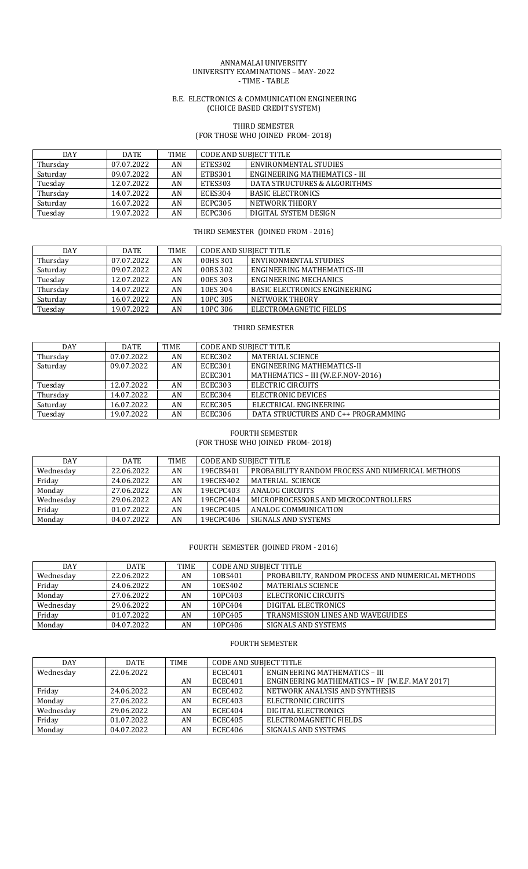#### ANNAMALAI UNIVERSITY UNIVERSITY EXAMINATIONS – MAY- 2022 - TIME - TABLE

#### B.E. ELECTRONICS & COMMUNICATION ENGINEERING (CHOICE BASED CREDIT SYSTEM)

# THIRD SEMESTER

# (FOR THOSE WHO JOINED FROM- 2018)

| DAY      | <b>DATE</b> | <b>TIME</b> | <b>CODE AND SUBJECT TITLE</b> |                               |  |
|----------|-------------|-------------|-------------------------------|-------------------------------|--|
| Thursday | 07.07.2022  | AN          | ETES302                       | ENVIRONMENTAL STUDIES         |  |
| Saturday | 09.07.2022  | AN          | ETBS301                       | ENGINEERING MATHEMATICS - III |  |
| Tuesday  | 12.07.2022  | AN          | ETES303                       | DATA STRUCTURES & ALGORITHMS  |  |
| Thursday | 14.07.2022  | AN          | ECES304                       | <b>BASIC ELECTRONICS</b>      |  |
| Saturday | 16.07.2022  | AN          | ECPC305                       | NETWORK THEORY                |  |
| Tuesday  | 19.07.2022  | AN          | ECPC306                       | DIGITAL SYSTEM DESIGN         |  |

## THIRD SEMESTER (JOINED FROM - 2016)

| DAY      | <b>DATE</b> | <b>TIME</b> | CODE AND SUBIECT TITLE |                                      |
|----------|-------------|-------------|------------------------|--------------------------------------|
| Thursday | 07.07.2022  | AN          | 00HS 301               | ENVIRONMENTAL STUDIES                |
| Saturday | 09.07.2022  | AN          | 00BS 302               | ENGINEERING MATHEMATICS-III          |
| Tuesday  | 12.07.2022  | AN          | 00ES 303               | ENGINEERING MECHANICS                |
| Thursday | 14.07.2022  | AN          | 10ES 304               | <b>BASIC ELECTRONICS ENGINEERING</b> |
| Saturday | 16.07.2022  | AN          | 10PC 305               | NETWORK THEORY                       |
| Tuesday  | 19.07.2022  | AN          | 10PC 306               | ELECTROMAGNETIC FIELDS               |

#### THIRD SEMESTER

| <b>DAY</b> | <b>DATE</b> | TIME | <b>CODE AND SUBJECT TITLE</b> |                                     |
|------------|-------------|------|-------------------------------|-------------------------------------|
| Thursday   | 07.07.2022  | AN   | ECEC302                       | MATERIAL SCIENCE                    |
| Saturday   | 09.07.2022  | AN   | ECEC301                       | ENGINEERING MATHEMATICS-II          |
|            |             |      | ECEC301                       | MATHEMATICS - III (W.E.F.NOV-2016)  |
| Tuesday    | 12.07.2022  | AN   | ECEC303                       | ELECTRIC CIRCUITS                   |
| Thursday   | 14.07.2022  | AN   | ECEC304                       | ELECTRONIC DEVICES                  |
| Saturday   | 16.07.2022  | AN   | ECEC305                       | ELECTRICAL ENGINEERING              |
| Tuesday    | 19.07.2022  | AN   | ECEC306                       | DATA STRUCTURES AND C++ PROGRAMMING |

#### FOURTH SEMESTER

(FOR THOSE WHO JOINED FROM- 2018)

| DAY       | <b>DATE</b> | <b>TIME</b> | CODE AND SUBJECT TITLE |                                                  |  |
|-----------|-------------|-------------|------------------------|--------------------------------------------------|--|
| Wednesdav | 22.06.2022  | AN          | 19ECBS401              | PROBABILITY RANDOM PROCESS AND NUMERICAL METHODS |  |
| Friday    | 24.06.2022  | AN          | 19ECES402              | MATERIAL SCIENCE                                 |  |
| Monday    | 27.06.2022  | AN          | 19ECPC403              | ANALOG CIRCUITS                                  |  |
| Wednesday | 29.06.2022  | AN          | 19ECPC404              | MICROPROCESSORS AND MICROCONTROLLERS             |  |
| Friday    | 01.07.2022  | AN          | 19ECPC405              | ANALOG COMMUNICATION                             |  |
| Monday    | 04.07.2022  | AN          | 19ECPC406              | SIGNALS AND SYSTEMS                              |  |

# FOURTH SEMESTER (JOINED FROM - 2016)

| <b>DAY</b> | <b>DATE</b> | <b>TIME</b> | <b>CODE AND SUBJECT TITLE</b> |                                                  |
|------------|-------------|-------------|-------------------------------|--------------------------------------------------|
| Wednesday  | 22.06.2022  | AN          | 10BS401                       | PROBABILTY, RANDOM PROCESS AND NUMERICAL METHODS |
| Friday     | 24.06.2022  | AN          | 10ES402                       | <b>MATERIALS SCIENCE</b>                         |
| Monday     | 27.06.2022  | AN          | 10PC403                       | ELECTRONIC CIRCUITS                              |
| Wednesday  | 29.06.2022  | AN          | 10PC404                       | DIGITAL ELECTRONICS                              |
| Friday     | 01.07.2022  | AN          | 10PC405                       | <b>TRANSMISSION LINES AND WAVEGUIDES</b>         |
| Monday     | 04.07.2022  | AN          | 10PC406                       | SIGNALS AND SYSTEMS                              |

# FOURTH SEMESTER

| <b>DAY</b> | <b>DATE</b> | TIME | <b>CODE AND SUBJECT TITLE</b> |                                                |
|------------|-------------|------|-------------------------------|------------------------------------------------|
| Wednesday  | 22.06.2022  |      | ECEC401                       | <b>ENGINEERING MATHEMATICS - III</b>           |
|            |             | AN   | ECEC401                       | ENGINEERING MATHEMATICS - IV (W.E.F. MAY 2017) |
| Friday     | 24.06.2022  | AN   | ECEC402                       | NETWORK ANALYSIS AND SYNTHESIS                 |
| Monday     | 27.06.2022  | AN   | ECEC403                       | ELECTRONIC CIRCUITS                            |
| Wednesday  | 29.06.2022  | AN   | ECEC404                       | DIGITAL ELECTRONICS                            |
| Friday     | 01.07.2022  | AN   | ECEC405                       | ELECTROMAGNETIC FIELDS                         |
| Monday     | 04.07.2022  | AN   | ECEC406                       | SIGNALS AND SYSTEMS                            |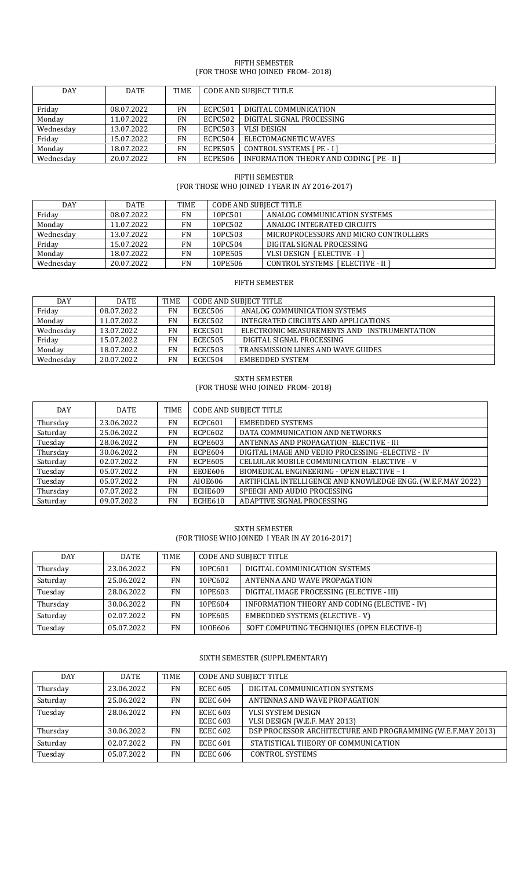#### FIFTH SEMESTER (FOR THOSE WHO JOINED FROM- 2018)

| <b>DAY</b> | <b>DATE</b> | TIME      | <b>CODE AND SUBJECT TITLE</b> |                                                  |  |
|------------|-------------|-----------|-------------------------------|--------------------------------------------------|--|
| Friday     | 08.07.2022  | <b>FN</b> | ECPC501                       | DIGITAL COMMUNICATION                            |  |
| Monday     | 11.07.2022  | <b>FN</b> | ECPC502                       | DIGITAL SIGNAL PROCESSING                        |  |
| Wednesday  | 13.07.2022  | FN        | ECPC503                       | <b>VLSI DESIGN</b>                               |  |
| Friday     | 15.07.2022  | FN        | ECPC504                       | ELECTOMAGNETIC WAVES                             |  |
| Monday     | 18.07.2022  | <b>FN</b> | <b>ECPE505</b>                | CONTROL SYSTEMS [ PE - I ]                       |  |
| Wednesday  | 20.07.2022  | <b>FN</b> | ECPE506                       | <b>INFORMATION THEORY AND CODING [ PE - II ]</b> |  |

# FIFTH SEMESTER (FOR THOSE WHO JOINED I YEAR IN AY 2016-2017)

| <b>DAY</b> | <b>DATE</b> | <b>TIME</b> | <b>CODE AND SUBJECT TITLE</b> |                                       |
|------------|-------------|-------------|-------------------------------|---------------------------------------|
| Friday     | 08.07.2022  | FN          | 10PC501                       | ANALOG COMMUNICATION SYSTEMS          |
| Monday     | 11.07.2022  | <b>FN</b>   | 10PC502                       | ANALOG INTEGRATED CIRCUITS            |
| Wednesday  | 13.07.2022  | <b>FN</b>   | 10PC503                       | MICROPROCESSORS AND MICRO CONTROLLERS |
| Friday     | 15.07.2022  | FN          | 10PC504                       | DIGITAL SIGNAL PROCESSING             |
| Monday     | 18.07.2022  | <b>FN</b>   | 10PE505                       | VLSI DESIGN [ ELECTIVE - I ]          |
| Wednesdav  | 20.07.2022  | <b>FN</b>   | 10PE506                       | CONTROL SYSTEMS [ ELECTIVE - II ]     |

# FIFTH SEMESTER

| DAY       | <b>DATE</b> | <b>TIME</b> | CODE AND SUBJECT TITLE |                                             |  |
|-----------|-------------|-------------|------------------------|---------------------------------------------|--|
| Friday    | 08.07.2022  | FN          | ECEC506                | ANALOG COMMUNICATION SYSTEMS                |  |
| Monday    | 11.07.2022  | FN          | ECEC502                | INTEGRATED CIRCUITS AND APPLICATIONS        |  |
| Wednesdav | 13.07.2022  | <b>FN</b>   | <b>ECEC501</b>         | ELECTRONIC MEASUREMENTS AND INSTRUMENTATION |  |
| Friday    | 15.07.2022  | FN          | <b>ECEC505</b>         | DIGITAL SIGNAL PROCESSING                   |  |
| Monday    | 18.07.2022  | FN          | <b>ECEC503</b>         | <b>TRANSMISSION LINES AND WAVE GUIDES</b>   |  |
| Wednesday | 20.07.2022  | FN          | <b>ECEC504</b>         | EMBEDDED SYSTEM                             |  |

#### SIXTH SEMESTER (FOR THOSE WHO JOINED FROM- 2018)

| <b>DAY</b> | <b>DATE</b> | TIME      | <b>CODE AND SUBJECT TITLE</b> |                                                              |
|------------|-------------|-----------|-------------------------------|--------------------------------------------------------------|
| Thursday   | 23.06.2022  | <b>FN</b> | <b>ECPC601</b>                | EMBEDDED SYSTEMS                                             |
| Saturday   | 25.06.2022  | <b>FN</b> | ECPC602                       | DATA COMMUNICATION AND NETWORKS                              |
| Tuesday    | 28.06.2022  | <b>FN</b> | ECPE603                       | ANTENNAS AND PROPAGATION - ELECTIVE - III                    |
| Thursday   | 30.06.2022  | <b>FN</b> | ECPE604                       | DIGITAL IMAGE AND VEDIO PROCESSING -ELECTIVE - IV            |
| Saturday   | 02.07.2022  | <b>FN</b> | ECPE605                       | CELLULAR MOBILE COMMUNICATION - ELECTIVE - V                 |
| Tuesday    | 05.07.2022  | <b>FN</b> | EEOE606                       | BIOMEDICAL ENGINEERING - OPEN ELECTIVE - I                   |
| Tuesday    | 05.07.2022  | <b>FN</b> | AI0E606                       | ARTIFICIAL INTELLIGENCE AND KNOWLEDGE ENGG. (W.E.F.MAY 2022) |
| Thursday   | 07.07.2022  | <b>FN</b> | ECHE609                       | SPEECH AND AUDIO PROCESSING                                  |
| Saturday   | 09.07.2022  | <b>FN</b> | ECHE610                       | ADAPTIVE SIGNAL PROCESSING                                   |

#### SIXTH SEMESTER (FOR THOSE WHO JOINED I YEAR IN AY 2016-2017)

| <b>DAY</b> | <b>DATE</b> | <b>TIME</b> | <b>CODE AND SUBJECT TITLE</b> |                                               |
|------------|-------------|-------------|-------------------------------|-----------------------------------------------|
| Thursday   | 23.06.2022  | <b>FN</b>   | 10PC601                       | DIGITAL COMMUNICATION SYSTEMS                 |
| Saturday   | 25.06.2022  | <b>FN</b>   | 10PC602                       | ANTENNA AND WAVE PROPAGATION                  |
| Tuesday    | 28.06.2022  | <b>FN</b>   | 10PE603                       | DIGITAL IMAGE PROCESSING (ELECTIVE - III)     |
| Thursday   | 30.06.2022  | <b>FN</b>   | 10PE604                       | INFORMATION THEORY AND CODING (ELECTIVE - IV) |
| Saturday   | 02.07.2022  | <b>FN</b>   | 10PE605                       | EMBEDDED SYSTEMS (ELECTIVE - V)               |
| Tuesday    | 05.07.2022  | <b>FN</b>   | 100E606                       | SOFT COMPUTING TECHNIQUES (OPEN ELECTIVE-I)   |

# SIXTH SEMESTER (SUPPLEMENTARY)

| <b>DAY</b> | <b>DATE</b> | TIME      | <b>CODE AND SUBJECT TITLE</b> |                                                             |
|------------|-------------|-----------|-------------------------------|-------------------------------------------------------------|
| Thursday   | 23.06.2022  | <b>FN</b> | <b>ECEC 605</b>               | DIGITAL COMMUNICATION SYSTEMS                               |
| Saturday   | 25.06.2022  | <b>FN</b> | <b>ECEC 604</b>               | ANTENNAS AND WAVE PROPAGATION                               |
| Tuesday    | 28.06.2022  | <b>FN</b> | <b>ECEC 603</b>               | VLSI SYSTEM DESIGN                                          |
|            |             |           | <b>ECEC 603</b>               | VLSI DESIGN (W.E.F. MAY 2013)                               |
| Thursday   | 30.06.2022  | <b>FN</b> | <b>ECEC 602</b>               | DSP PROCESSOR ARCHITECTURE AND PROGRAMMING (W.E.F.MAY 2013) |
| Saturday   | 02.07.2022  | <b>FN</b> | <b>ECEC 601</b>               | STATISTICAL THEORY OF COMMUNICATION                         |
| Tuesday    | 05.07.2022  | <b>FN</b> | <b>ECEC 606</b>               | <b>CONTROL SYSTEMS</b>                                      |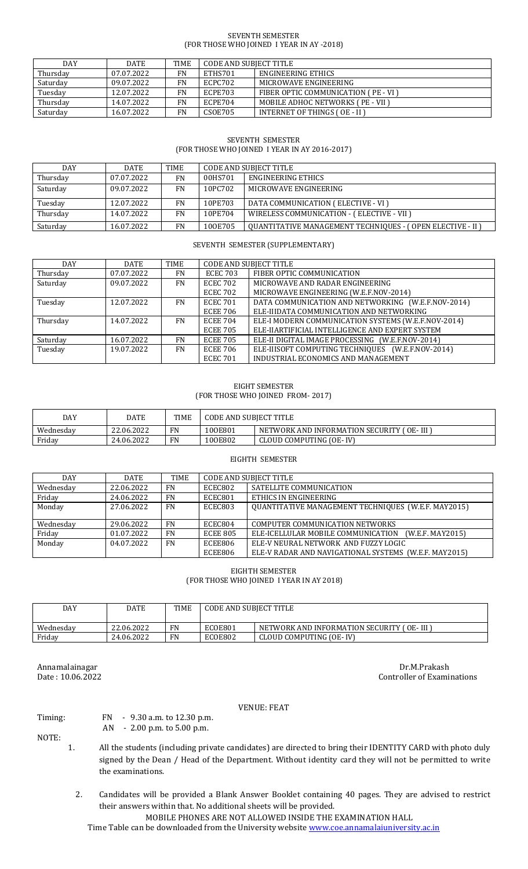#### SEVENTH SEMESTER (FOR THOSE WHO JOINED I YEAR IN AY -2018)

| <b>DAY</b> | <b>DATE</b> | <b>TIME</b> | CODE AND SUBJECT TITLE |                                              |  |
|------------|-------------|-------------|------------------------|----------------------------------------------|--|
| Thursday   | 07.07.2022  | FN          | ETHS701                | ENGINEERING ETHICS                           |  |
| Saturday   | 09.07.2022  | FN          | ECPC702                | MICROWAVE ENGINEERING                        |  |
| Tuesday    | 12.07.2022  | FN          | ECPE703                | <b>FIBER OPTIC COMMUNICATION ( PE - VI )</b> |  |
| Thursday   | 14.07.2022  | FN          | ECPE704                | <b>MOBILE ADHOC NETWORKS (PE - VII)</b>      |  |
| Saturday   | 16.07.2022  | FN          | <b>CSOE705</b>         | <b>INTERNET OF THINGS ( OE - II )</b>        |  |

## SEVENTH SEMESTER (FOR THOSE WHO JOINED I YEAR IN AY 2016-2017)

| <b>DAY</b> | DATE       | TIME      | <b>CODE AND SUBJECT TITLE</b> |                                                                  |
|------------|------------|-----------|-------------------------------|------------------------------------------------------------------|
| Thursday   | 07.07.2022 | FN.       | 00HS701                       | ENGINEERING ETHICS                                               |
| Saturday   | 09.07.2022 | <b>FN</b> | 10PC702                       | MICROWAVE ENGINEERING                                            |
| Tuesday    | 12.07.2022 | FN        | 10PE703                       | DATA COMMUNICATION (ELECTIVE - VI )                              |
| Thursday   | 14.07.2022 | <b>FN</b> | 10PE704                       | WIRELESS COMMUNICATION - (ELECTIVE - VII )                       |
| Saturday   | 16.07.2022 | FN        | 100E705                       | <b>OUANTITATIVE MANAGEMENT TECHNIQUES - (OPEN ELECTIVE - II)</b> |

# SEVENTH SEMESTER (SUPPLEMENTARY)

| DAY      | DATE       | TIME      |                 | <b>CODE AND SUBJECT TITLE</b>                       |
|----------|------------|-----------|-----------------|-----------------------------------------------------|
| Thursday | 07.07.2022 | <b>FN</b> | <b>ECEC 703</b> | FIBER OPTIC COMMUNICATION                           |
| Saturday | 09.07.2022 | <b>FN</b> | <b>ECEC 702</b> | MICROWAVE AND RADAR ENGINEERING                     |
|          |            |           | <b>ECEC 702</b> | MICROWAVE ENGINEERING (W.E.F.NOV-2014)              |
| Tuesday  | 12.07.2022 | FN        | <b>ECEC 701</b> | DATA COMMUNICATION AND NETWORKING (W.E.F.NOV-2014)  |
|          |            |           | <b>ECEE 706</b> | ELE-IIIDATA COMMUNICATION AND NETWORKING            |
| Thursday | 14.07.2022 | FN.       | <b>ECEE 704</b> | ELE-I MODERN COMMUNICATION SYSTEMS (W.E.F.NOV-2014) |
|          |            |           | <b>ECEE 705</b> | ELE-IIARTIFICIAL INTELLIGENCE AND EXPERT SYSTEM     |
| Saturday | 16.07.2022 | <b>FN</b> | <b>ECEE 705</b> | ELE-II DIGITAL IMAGE PROCESSING (W.E.F.NOV-2014)    |
| Tuesday  | 19.07.2022 | <b>FN</b> | <b>ECEE 706</b> | ELE-IIISOFT COMPUTING TECHNIQUES (W.E.F.NOV-2014)   |
|          |            |           | <b>ECEC 701</b> | INDUSTRIAL ECONOMICS AND MANAGEMENT                 |

#### EIGHT SEMESTER (FOR THOSE WHO JOINED FROM- 2017)

| DAY       | DATE       | <b>TIME</b> | CODE AND SUBJECT TITLE |                                               |  |
|-----------|------------|-------------|------------------------|-----------------------------------------------|--|
| Wednesdav | 22.06.2022 | FN          | 100E801                | NETWORK AND INFORMATION SECURITY (<br>OE-III) |  |
| Friday    | 24.06.2022 | <b>FN</b>   | 100E802                | CLOUD COMPUTING (OE-IV)                       |  |

## EIGHTH SEMESTER

| DAY       | <b>DATE</b> | <b>TIME</b> |                 | CODE AND SUBJECT TITLE                                 |
|-----------|-------------|-------------|-----------------|--------------------------------------------------------|
| Wednesday | 22.06.2022  | <b>FN</b>   | ECEC802         | SATELLITE COMMUNICATION                                |
| Friday    | 24.06.2022  | <b>FN</b>   | ECEC801         | ETHICS IN ENGINEERING                                  |
| Monday    | 27.06.2022  | <b>FN</b>   | <b>ECEC803</b>  | QUANTITATIVE MANAGEMENT TECHNIQUES (W.E.F. MAY2015)    |
|           |             |             |                 |                                                        |
| Wednesday | 29.06.2022  | FN          | ECEC804         | COMPUTER COMMUNICATION NETWORKS                        |
| Friday    | 01.07.2022  | FN          | <b>ECEE 805</b> | ELE-ICELLULAR MOBILE COMMUNICATION<br>(W.E.F. MAY2015) |
| Monday    | 04.07.2022  | <b>FN</b>   | ECEE806         | ELE-V NEURAL NETWORK AND FUZZY LOGIC                   |
|           |             |             | ECEE806         | ELE-V RADAR AND NAVIGATIONAL SYSTEMS (W.E.F. MAY2015)  |

#### EIGHTH SEMESTER (FOR THOSE WHO JOINED I YEAR IN AY 2018)

| DAY       | DATE       | <b>TIME</b> | <b>CODE AND SUBJECT TITLE</b> |                                               |  |
|-----------|------------|-------------|-------------------------------|-----------------------------------------------|--|
| Wednesdav | 22.06.2022 | FN          | ECOE801                       | NETWORK AND INFORMATION SECURITY<br>T OE- III |  |
| Friday    | 24.06.2022 | FN          | ECOE802                       | CLOUD COMPUTING (OE- IV)                      |  |

Annamalainagar Dr.M.Prakash Date : 10.06.2022 Controller of Examinations

## VENUE: FEAT

Timing: FN - 9.30 a.m. to 12.30 p.m.

AN - 2.00 p.m. to 5.00 p.m.

- NOTE:
- 1. All the students (including private candidates) are directed to bring their IDENTITY CARD with photo duly signed by the Dean / Head of the Department. Without identity card they will not be permitted to write the examinations.
	- 2. Candidates will be provided a Blank Answer Booklet containing 40 pages. They are advised to restrict their answers within that. No additional sheets will be provided.

MOBILE PHONES ARE NOT ALLOWED INSIDE THE EXAMINATION HALL

Time Table can be downloaded from the University website [www.coe.annamalaiuniversity.ac.in](http://www.coe.annamalaiuniversity.ac.in/)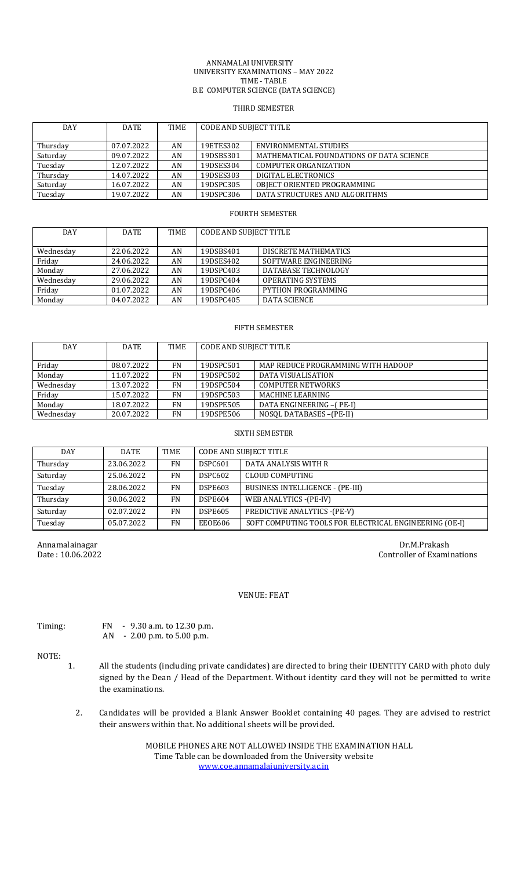#### ANNAMALAI UNIVERSITY UNIVERSITY EXAMINATIONS – MAY 2022 TIME - TABLE B.E COMPUTER SCIENCE (DATA SCIENCE)

#### THIRD SEMESTER

| DAY      | <b>DATE</b> | TIME | <b>CODE AND SUBJECT TITLE</b> |                                          |  |
|----------|-------------|------|-------------------------------|------------------------------------------|--|
|          |             |      |                               |                                          |  |
| Thursday | 07.07.2022  | AN   | 19ETES302                     | ENVIRONMENTAL STUDIES                    |  |
| Saturday | 09.07.2022  | AN   | 19DSBS301                     | MATHEMATICAL FOUNDATIONS OF DATA SCIENCE |  |
| Tuesday  | 12.07.2022  | AN   | 19DSES304                     | <b>COMPUTER ORGANIZATION</b>             |  |
| Thursday | 14.07.2022  | AN   | 19DSES303                     | DIGITAL ELECTRONICS                      |  |
| Saturday | 16.07.2022  | AN   | 19DSPC305                     | OBJECT ORIENTED PROGRAMMING              |  |
| Tuesday  | 19.07.2022  | AN   | 19DSPC306                     | DATA STRUCTURES AND ALGORITHMS           |  |

## FOURTH SEMESTER

| DAY       | <b>DATE</b> | <b>TIME</b> | <b>CODE AND SUBJECT TITLE</b> |                      |  |
|-----------|-------------|-------------|-------------------------------|----------------------|--|
| Wednesday | 22.06.2022  | AN          | 19DSBS401                     | DISCRETE MATHEMATICS |  |
| Friday    | 24.06.2022  | AN          | 19DSES402                     | SOFTWARE ENGINEERING |  |
| Monday    | 27.06.2022  | AN          | 19DSPC403                     | DATABASE TECHNOLOGY  |  |
| Wednesday | 29.06.2022  | AN          | 19DSPC404                     | OPERATING SYSTEMS    |  |
| Friday    | 01.07.2022  | AN          | 19DSPC406                     | PYTHON PROGRAMMING   |  |
| Monday    | 04.07.2022  | AN          | 19DSPC405                     | DATA SCIENCE         |  |

#### FIFTH SEMESTER

| <b>DAY</b> | <b>DATE</b> | TIME      | CODE AND SUBJECT TITLE |                                    |  |
|------------|-------------|-----------|------------------------|------------------------------------|--|
| Friday     | 08.07.2022  | <b>FN</b> | 19DSPC501              | MAP REDUCE PROGRAMMING WITH HADOOP |  |
| Monday     | 11.07.2022  | FN        | 19DSPC502              | DATA VISUALISATION                 |  |
| Wednesday  | 13.07.2022  | <b>FN</b> | 19DSPC504              | <b>COMPUTER NETWORKS</b>           |  |
| Friday     | 15.07.2022  | FN        | 19DSPC503              | MACHINE LEARNING                   |  |
| Monday     | 18.07.2022  | FN        | 19DSPE505              | DATA ENGINEERING -(PE-I)           |  |
| Wednesday  | 20.07.2022  | FN        | 19DSPE506              | NOSOL DATABASES - (PE-II)          |  |

## SIXTH SEMESTER

| <b>DAY</b> | DATE       | <b>TIME</b> | <b>CODE AND SUBJECT TITLE</b>            |                                                        |  |
|------------|------------|-------------|------------------------------------------|--------------------------------------------------------|--|
| Thursday   | 23.06.2022 | FN          | <b>DSPC601</b>                           | DATA ANALYSIS WITH R                                   |  |
| Saturday   | 25.06.2022 | FN          | <b>DSPC602</b>                           | CLOUD COMPUTING                                        |  |
| Tuesday    | 28.06.2022 | <b>FN</b>   | DSPE603                                  | BUSINESS INTELLIGENCE - (PE-III)                       |  |
| Thursday   | 30.06.2022 | FN          | DSPE604                                  | WEB ANALYTICS -(PE-IV)                                 |  |
| Saturday   | 02.07.2022 | FN          | PREDICTIVE ANALYTICS - (PE-V)<br>DSPE605 |                                                        |  |
| Tuesday    | 05.07.2022 | FN          | EEOE606                                  | SOFT COMPUTING TOOLS FOR ELECTRICAL ENGINEERING (OE-I) |  |

Annamalainagar Dr.M.Prakash Date : 10.06.2022 Controller of Examinations

## VENUE: FEAT

| Timing: | FN. | $-9.30$ a.m. to 12.30 p.m. |
|---------|-----|----------------------------|
|         | AN. | $-2.00$ p.m. to 5.00 p.m.  |

# NOTE:

- 1. All the students (including private candidates) are directed to bring their IDENTITY CARD with photo duly signed by the Dean / Head of the Department. Without identity card they will not be permitted to write the examinations.
	- 2. Candidates will be provided a Blank Answer Booklet containing 40 pages. They are advised to restrict their answers within that. No additional sheets will be provided.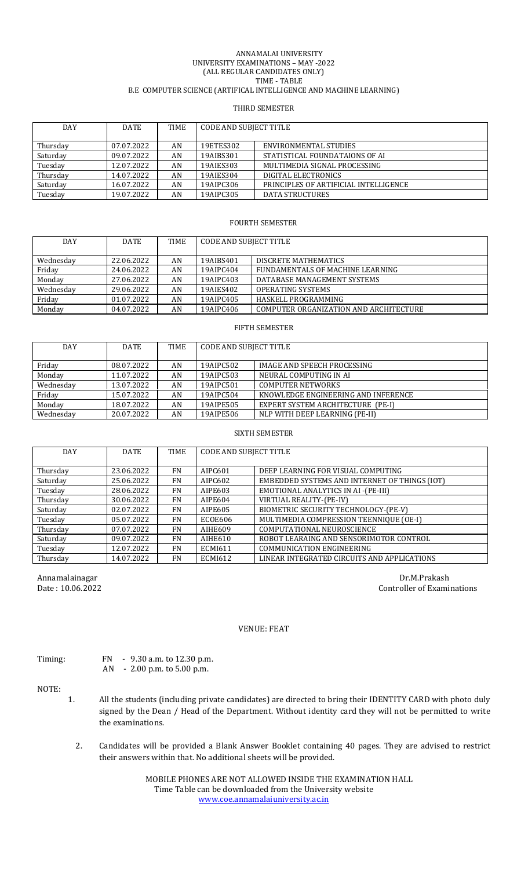#### ANNAMALAI UNIVERSITY UNIVERSITY EXAMINATIONS – MAY -2022 (ALL REGULAR CANDIDATES ONLY) TIME - TABLE B.E COMPUTER SCIENCE (ARTIFICAL INTELLIGENCE AND MACHINE LEARNING)

#### THIRD SEMESTER

| DAY      | <b>DATE</b> | TIME | CODE AND SUBJECT TITLE |                                       |  |
|----------|-------------|------|------------------------|---------------------------------------|--|
|          |             |      |                        |                                       |  |
| Thursday | 07.07.2022  | AN   | 19ETES302              | ENVIRONMENTAL STUDIES                 |  |
| Saturday | 09.07.2022  | AN   | 19AIBS301              | STATISTICAL FOUNDATAIONS OF AL        |  |
| Tuesday  | 12.07.2022  | AN   | 19AIES303              | MULTIMEDIA SIGNAL PROCESSING          |  |
| Thursday | 14.07.2022  | AN   | 19AIES304              | DIGITAL ELECTRONICS                   |  |
| Saturday | 16.07.2022  | AN   | 19AIPC306              | PRINCIPLES OF ARTIFICIAL INTELLIGENCE |  |
| Tuesday  | 19.07.2022  | AN   | 19AIPC305              | <b>DATA STRUCTURES</b>                |  |

#### FOURTH SEMESTER

| <b>DAY</b> | <b>DATE</b> | TIME | CODE AND SUBJECT TITLE |                                        |  |
|------------|-------------|------|------------------------|----------------------------------------|--|
|            |             |      |                        |                                        |  |
| Wednesday  | 22.06.2022  | AN   | 19AIBS401              | DISCRETE MATHEMATICS                   |  |
| Friday     | 24.06.2022  | AN   | 19AIPC404              | FUNDAMENTALS OF MACHINE LEARNING       |  |
| Monday     | 27.06.2022  | AN   | 19AIPC403              | DATABASE MANAGEMENT SYSTEMS            |  |
| Wednesday  | 29.06.2022  | AN   | 19AIES402              | <b>OPERATING SYSTEMS</b>               |  |
| Friday     | 01.07.2022  | AN   | 19AIPC405              | HASKELL PROGRAMMING                    |  |
| Monday     | 04.07.2022  | AN   | 19AIPC406              | COMPUTER ORGANIZATION AND ARCHITECTURE |  |

#### FIFTH SEMESTER

| <b>DAY</b> | <b>DATE</b> | TIME | <b>CODE AND SUBJECT TITLE</b> |                                     |  |
|------------|-------------|------|-------------------------------|-------------------------------------|--|
| Friday     | 08.07.2022  | AN   | 19AIPC502                     | IMAGE AND SPEECH PROCESSING         |  |
| Monday     | 11.07.2022  | AN   | 19AIPC503                     | NEURAL COMPUTING IN AI              |  |
| Wednesday  | 13.07.2022  | AN   | 19AIPC501                     | <b>COMPUTER NETWORKS</b>            |  |
| Friday     | 15.07.2022  | AN   | 19AIPC504                     | KNOWLEDGE ENGINEERING AND INFERENCE |  |
| Monday     | 18.07.2022  | AN   | 19AIPE505                     | EXPERT SYSTEM ARCHITECTURE (PE-I)   |  |
| Wednesday  | 20.07.2022  | AN   | 19AIPE506                     | NLP WITH DEEP LEARNING (PE-II)      |  |

#### SIXTH SEMESTER

| <b>DAY</b> | <b>DATE</b> | <b>TIME</b> | <b>CODE AND SUBJECT TITLE</b> |                                               |  |
|------------|-------------|-------------|-------------------------------|-----------------------------------------------|--|
| Thursday   | 23.06.2022  | <b>FN</b>   | AIPC601                       | DEEP LEARNING FOR VISUAL COMPUTING            |  |
| Saturday   | 25.06.2022  | <b>FN</b>   | AIPC602                       | EMBEDDED SYSTEMS AND INTERNET OF THINGS (IOT) |  |
| Tuesday    | 28.06.2022  | <b>FN</b>   | AIPE603                       | <b>EMOTIONAL ANALYTICS IN AI -(PE-III)</b>    |  |
| Thursday   | 30.06.2022  | <b>FN</b>   | AIPE604                       | VIRTUAL REALITY-(PE-IV)                       |  |
| Saturday   | 02.07.2022  | <b>FN</b>   | AIPE605                       | BIOMETRIC SECURITY TECHNOLOGY-(PE-V)          |  |
| Tuesday    | 05.07.2022  | <b>FN</b>   | ECOE606                       | MULTIMEDIA COMPRESSION TEENNIQUE (OE-I)       |  |
| Thursday   | 07.07.2022  | <b>FN</b>   | AIHE609                       | COMPUTATIONAL NEUROSCIENCE                    |  |
| Saturday   | 09.07.2022  | <b>FN</b>   | AIHE610                       | ROBOT LEARAING AND SENSORIMOTOR CONTROL       |  |
| Tuesday    | 12.07.2022  | <b>FN</b>   | <b>ECMI611</b>                | <b>COMMUNICATION ENGINEERING</b>              |  |
| Thursday   | 14.07.2022  | <b>FN</b>   | <b>ECMI612</b>                | LINEAR INTEGRATED CIRCUITS AND APPLICATIONS   |  |

Annamalainagar Dr.M.Prakash Dr.M.Prakash Dr.M.Prakash Dr.M.Prakash Dr.M.Prakash Dr.M.Prakash Dr.M.Prakash Dr.M Controller of Examinations

## VENUE: FEAT

Timing: FN - 9.30 a.m. to 12.30 p.m. AN - 2.00 p.m. to 5.00 p.m.

NOTE:

- 1. All the students (including private candidates) are directed to bring their IDENTITY CARD with photo duly signed by the Dean / Head of the Department. Without identity card they will not be permitted to write the examinations.
	- 2. Candidates will be provided a Blank Answer Booklet containing 40 pages. They are advised to restrict their answers within that. No additional sheets will be provided.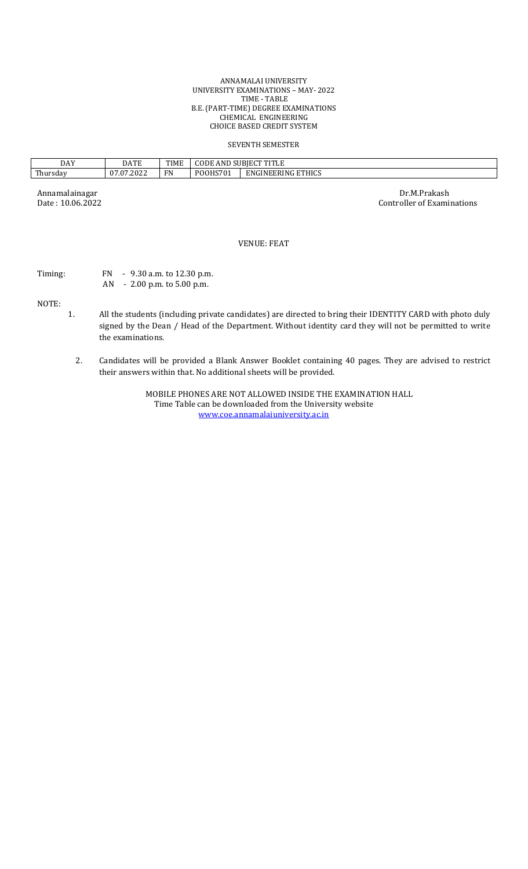#### ANNAMALAI UNIVERSITY UNIVERSITY EXAMINATIONS – MAY- 2022 TIME - TABLE B.E. (PART-TIME) DEGREE EXAMINATIONS CHEMICAL ENGINEERING CHOICE BASED CREDIT SYSTEM

#### SEVENTH SEMESTER

| <b>DAY</b>              | . A T L<br>DATE                   | <b>TIME</b> | SUBIECT TITLE<br>AND.<br>( ) I ) H<br>11 L.E |                                              |
|-------------------------|-----------------------------------|-------------|----------------------------------------------|----------------------------------------------|
| <b>TILE</b><br>rhursdav | /.07.2022<br>$\sim$<br>$\sqrt{ }$ | FN          | <b>POOHS701</b>                              | <b>ETHICS</b><br>GINEERING<br>F <sub>N</sub> |

Annamalainagar Dr.M.Prakash Dr.M.Prakash Dr.M.Prakash Dr.M.Prakash Dr.M.Prakash Dr.M.Prakash Dr.M.Prakash Dr.M.Prakash Dr.M.Prakash Date : 10.06.2022 Controller of Examinations

# VENUE: FEAT

Timing: FN - 9.30 a.m. to 12.30 p.m.

AN - 2.00 p.m. to 5.00 p.m.

NOTE:

- 1. All the students (including private candidates) are directed to bring their IDENTITY CARD with photo duly signed by the Dean / Head of the Department. Without identity card they will not be permitted to write the examinations.
	- 2. Candidates will be provided a Blank Answer Booklet containing 40 pages. They are advised to restrict their answers within that. No additional sheets will be provided.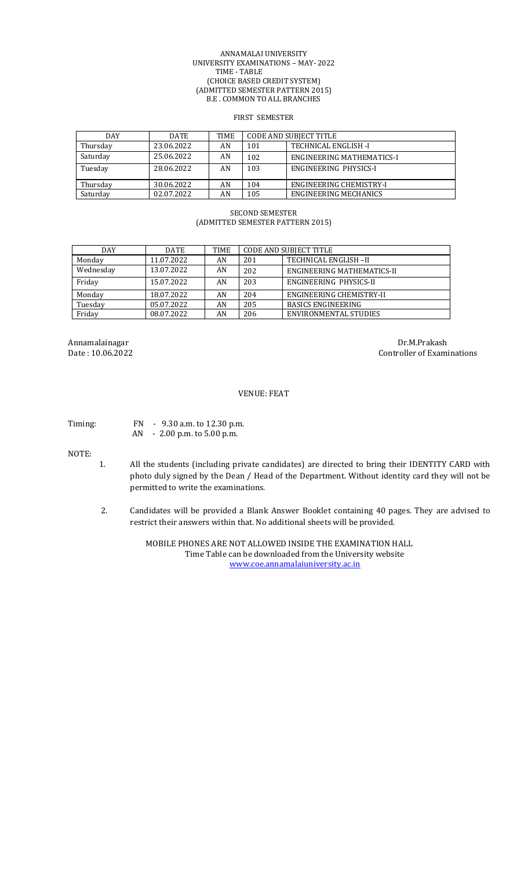#### ANNAMALAI UNIVERSITY UNIVERSITY EXAMINATIONS – MAY- 2022 TIME - TABLE (CHOICE BASED CREDIT SYSTEM) (ADMITTED SEMESTER PATTERN 2015) B.E . COMMON TO ALL BRANCHES

#### FIRST SEMESTER

| <b>DAY</b> | <b>DATE</b> | TIME |     | <b>CODE AND SUBJECT TITLE</b> |
|------------|-------------|------|-----|-------------------------------|
| Thursday   | 23.06.2022  | AN   | 101 | TECHNICAL ENGLISH -I          |
| Saturday   | 25.06.2022  | AN   | 102 | ENGINEERING MATHEMATICS-I     |
| Tuesday    | 28.06.2022  | AN   | 103 | ENGINEERING PHYSICS-I         |
|            |             |      |     |                               |
| Thursday   | 30.06.2022  | AN   | 104 | ENGINEERING CHEMISTRY-I       |
| Saturday   | 02.07.2022  | AN   | 105 | <b>ENGINEERING MECHANICS</b>  |

# SECOND SEMESTER (ADMITTED SEMESTER PATTERN 2015)

| <b>DAY</b> | DATE       | TIME | <b>CODE AND SUBJECT TITLE</b> |                              |
|------------|------------|------|-------------------------------|------------------------------|
| Monday     | 11.07.2022 | AN   | 201                           | TECHNICAL ENGLISH-II         |
| Wednesday  | 13.07.2022 | AN   | 202                           | ENGINEERING MATHEMATICS-II   |
| Friday     | 15.07.2022 | AN   | 203                           | ENGINEERING PHYSICS-II       |
| Monday     | 18.07.2022 | AN   | 204                           | ENGINEERING CHEMISTRY-II     |
| Tuesday    | 05.07.2022 | AN   | 205                           | <b>BASICS ENGINEERING</b>    |
| Friday     | 08.07.2022 | AN   | 206                           | <b>ENVIRONMENTAL STUDIES</b> |

Annamalainagar Dr.M.Prakash Date : 10.06.2022 Controller of Examinations

## VENUE: FEAT

Timing: FN - 9.30 a.m. to 12.30 p.m. AN - 2.00 p.m. to 5.00 p.m.

NOTE:

- 1. All the students (including private candidates) are directed to bring their IDENTITY CARD with photo duly signed by the Dean / Head of the Department. Without identity card they will not be permitted to write the examinations.
- 2. Candidates will be provided a Blank Answer Booklet containing 40 pages. They are advised to restrict their answers within that. No additional sheets will be provided.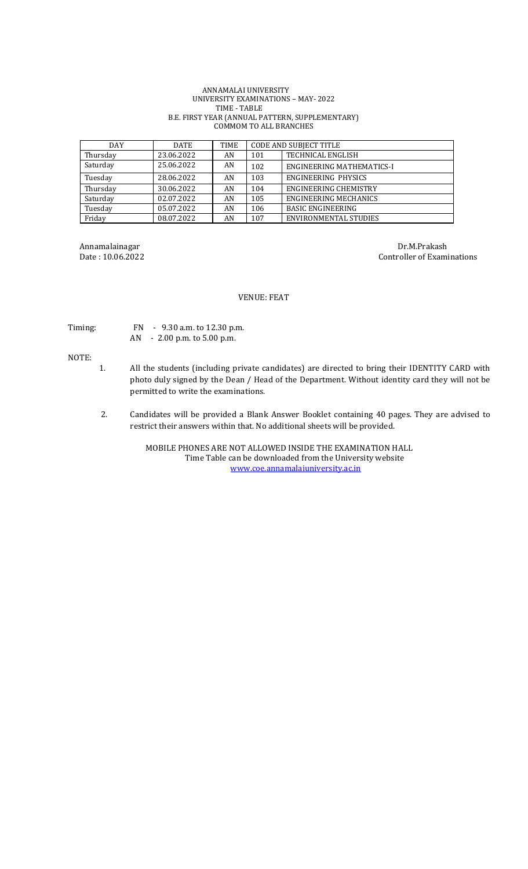#### ANNAMALAI UNIVERSITY UNIVERSITY EXAMINATIONS – MAY- 2022 TIME - TABLE B.E. FIRST YEAR (ANNUAL PATTERN, SUPPLEMENTARY) COMMOM TO ALL BRANCHES

| <b>DAY</b> | <b>DATE</b> | TIME | <b>CODE AND SUBJECT TITLE</b> |                                  |
|------------|-------------|------|-------------------------------|----------------------------------|
| Thursday   | 23.06.2022  | AN   | 101                           | <b>TECHNICAL ENGLISH</b>         |
| Saturday   | 25.06.2022  | AN   | 102                           | <b>ENGINEERING MATHEMATICS-I</b> |
| Tuesday    | 28.06.2022  | AN   | 103                           | <b>ENGINEERING PHYSICS</b>       |
| Thursday   | 30.06.2022  | AN   | 104                           | <b>ENGINEERING CHEMISTRY</b>     |
| Saturday   | 02.07.2022  | AN   | 105                           | ENGINEERING MECHANICS            |
| Tuesday    | 05.07.2022  | AN   | 106                           | <b>BASIC ENGINEERING</b>         |
| Friday     | 08.07.2022  | AN   | 107                           | ENVIRONMENTAL STUDIES            |

Annamalainagar Dr.M.Prakash Dr.M.Prakash Dr.M.Prakash Dr.M.Prakash Dr.M.Prakash Dr.M.Prakash Dr.M.Prakash Dr.M.Prakash Dr.M.Prakash Dr.M.Prakash Dr.M.Prakash Dr.M.Prakash Dr.M.Prakash Dr.M.Prakash Dr.M.Prakash Dr.M.Prakash Controller of Examinations

## VENUE: FEAT

Timing: FN - 9.30 a.m. to 12.30 p.m. AN - 2.00 p.m. to 5.00 p.m.

NOTE:

- 1. All the students (including private candidates) are directed to bring their IDENTITY CARD with photo duly signed by the Dean / Head of the Department. Without identity card they will not be permitted to write the examinations.
- 2. Candidates will be provided a Blank Answer Booklet containing 40 pages. They are advised to restrict their answers within that. No additional sheets will be provided.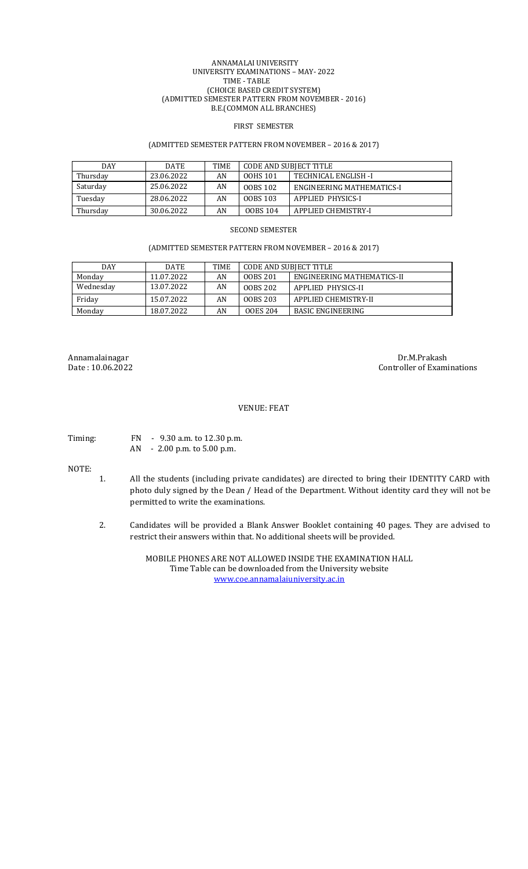#### ANNAMALAI UNIVERSITY UNIVERSITY EXAMINATIONS – MAY- 2022 TIME - TABLE (CHOICE BASED CREDIT SYSTEM) (ADMITTED SEMESTER PATTERN FROM NOVEMBER - 2016) B.E.(COMMON ALL BRANCHES)

#### FIRST SEMESTER

#### (ADMITTED SEMESTER PATTERN FROM NOVEMBER – 2016 & 2017)

| <b>DAY</b> | <b>DATE</b> | TIME | CODE AND SUBIECT TITLE |                           |
|------------|-------------|------|------------------------|---------------------------|
| Thursday   | 23.06.2022  | AN   | 00HS 101               | TECHNICAL ENGLISH -I      |
| Saturday   | 25.06.2022  | AN   | 00BS 102               | ENGINEERING MATHEMATICS-I |
| Tuesday    | 28.06.2022  | AN   | <b>OOBS 103</b>        | APPLIED PHYSICS-I         |
| Thursday   | 30.06.2022  | AN   | <b>OOBS 104</b>        | APPLIED CHEMISTRY-I       |

#### SECOND SEMESTER

#### (ADMITTED SEMESTER PATTERN FROM NOVEMBER – 2016 & 2017)

| <b>DAY</b> | DATE       | TIME | <b>CODE AND SUBJECT TITLE</b> |                            |
|------------|------------|------|-------------------------------|----------------------------|
| Monday     | 11.07.2022 | AN   | 00BS 201                      | ENGINEERING MATHEMATICS-II |
| Wednesday  | 13.07.2022 | AN   | 00BS 202                      | APPLIED PHYSICS-II         |
| Fridav     | 15.07.2022 | AN   | 00BS 203                      | APPLIED CHEMISTRY-II       |
| Monday     | 18.07.2022 | AN   | <b>OOES 204</b>               | <b>BASIC ENGINEERING</b>   |

Annamalainagar Dr.M.Prakash Date : 10.06.2022

Controller of Examinations

#### VENUE: FEAT

Timing: FN - 9.30 a.m. to 12.30 p.m. AN - 2.00 p.m. to 5.00 p.m.

NOTE:

- 1. All the students (including private candidates) are directed to bring their IDENTITY CARD with photo duly signed by the Dean / Head of the Department. Without identity card they will not be permitted to write the examinations.
- 2. Candidates will be provided a Blank Answer Booklet containing 40 pages. They are advised to restrict their answers within that. No additional sheets will be provided.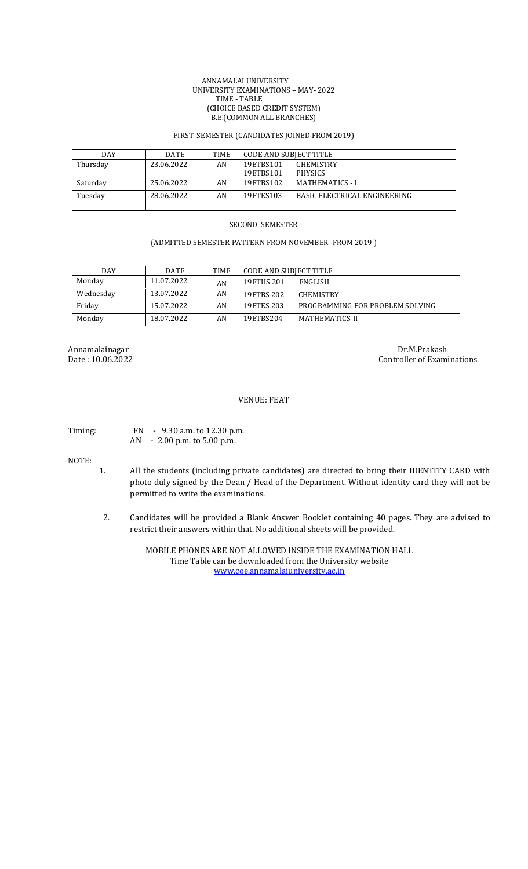#### ANNAMALAI UNIVERSITY UNIVERSITY EXAMINATIONS – MAY- 2022 TIME - TABLE (CHOICE BASED CREDIT SYSTEM) B.E.(COMMON ALL BRANCHES)

## FIRST SEMESTER (CANDIDATES JOINED FROM 2019)

| DAY      | <b>DATE</b> | TIME | CODE AND SUBIECT TITLE |                              |
|----------|-------------|------|------------------------|------------------------------|
| Thursday | 23.06.2022  | AN   | 19ETBS101              | <b>CHEMISTRY</b>             |
|          |             |      | 19ETBS101              | <b>PHYSICS</b>               |
| Saturday | 25.06.2022  | AN   | 19ETBS102              | <b>MATHEMATICS - I</b>       |
| Tuesday  | 28.06.2022  | AN   | 19ETES103              | BASIC ELECTRICAL ENGINEERING |
|          |             |      |                        |                              |

#### SECOND SEMESTER

## (ADMITTED SEMESTER PATTERN FROM NOVEMBER -FROM 2019 )

| <b>DAY</b> | <b>DATE</b> | TIME | <b>CODE AND SUBJECT TITLE</b> |                                 |
|------------|-------------|------|-------------------------------|---------------------------------|
| Monday     | 11.07.2022  | AN   | 19ETHS 201                    | <b>ENGLISH</b>                  |
| Wednesday  | 13.07.2022  | AN   | 19ETBS 202                    | <b>CHEMISTRY</b>                |
| Fridav     | 15.07.2022  | AN   | 19ETES 203                    | PROGRAMMING FOR PROBLEM SOLVING |
| Monday     | 18.07.2022  | AN   | 19ETBS204                     | MATHEMATICS-II                  |

Annamalainagar Dr.M.Prakash Date : 10.06.2022 Controller of Examinations

#### VENUE: FEAT

Timing: FN - 9.30 a.m. to 12.30 p.m. AN - 2.00 p.m. to 5.00 p.m.

NOTE:

- 1. All the students (including private candidates) are directed to bring their IDENTITY CARD with photo duly signed by the Dean / Head of the Department. Without identity card they will not be permitted to write the examinations.
- 2. Candidates will be provided a Blank Answer Booklet containing 40 pages. They are advised to restrict their answers within that. No additional sheets will be provided.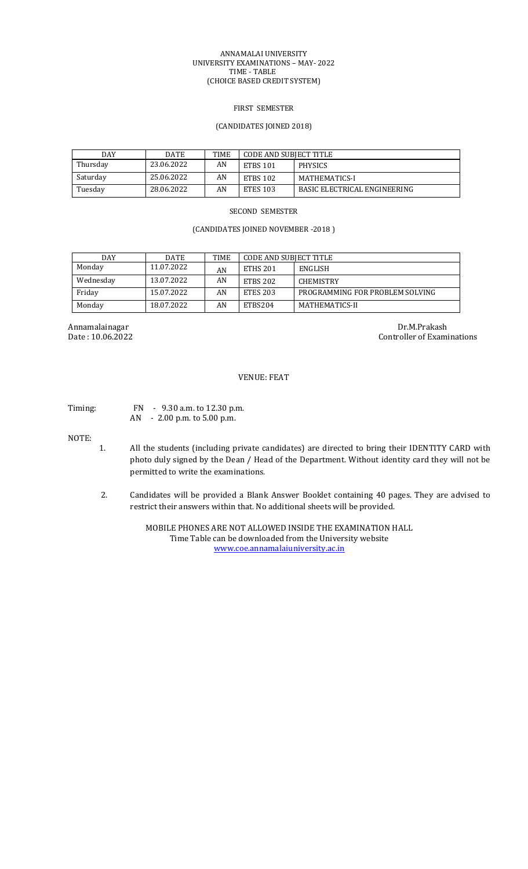#### ANNAMALAI UNIVERSITY UNIVERSITY EXAMINATIONS – MAY- 2022 TIME - TABLE (CHOICE BASED CREDIT SYSTEM)

#### FIRST SEMESTER

#### (CANDIDATES JOINED 2018)

| <b>DAY</b> | <b>DATE</b> | <b>TIME</b> | <b>CODE AND SUBJECT TITLE</b> |                              |
|------------|-------------|-------------|-------------------------------|------------------------------|
| Thursday   | 23.06.2022  | AN          | <b>ETBS 101</b>               | <b>PHYSICS</b>               |
| Saturday   | 25.06.2022  | AN          | <b>ETBS 102</b>               | MATHEMATICS-I                |
| Tuesday    | 28.06.2022  | AN          | <b>ETES 103</b>               | BASIC ELECTRICAL ENGINEERING |

#### SECOND SEMESTER

# (CANDIDATES JOINED NOVEMBER -2018 )

| <b>DAY</b> | <b>DATE</b> | <b>TIME</b> | <b>CODE AND SUBJECT TITLE</b> |                                 |
|------------|-------------|-------------|-------------------------------|---------------------------------|
| Monday     | 11.07.2022  | AN          | ETHS 201                      | <b>ENGLISH</b>                  |
| Wednesday  | 13.07.2022  | AN          | <b>ETBS 202</b>               | <b>CHEMISTRY</b>                |
| Fridav     | 15.07.2022  | AN          | <b>ETES 203</b>               | PROGRAMMING FOR PROBLEM SOLVING |
| Monday     | 18.07.2022  | AN          | ETBS204                       | MATHEMATICS-II                  |

Annamalainagar Dr.M.Prakash Date : 10.06.2022 Controller of Examinations

# VENUE: FEAT

Timing: FN - 9.30 a.m. to 12.30 p.m. AN - 2.00 p.m. to 5.00 p.m.

NOTE:

- 1. All the students (including private candidates) are directed to bring their IDENTITY CARD with photo duly signed by the Dean / Head of the Department. Without identity card they will not be permitted to write the examinations.
- 2. Candidates will be provided a Blank Answer Booklet containing 40 pages. They are advised to restrict their answers within that. No additional sheets will be provided.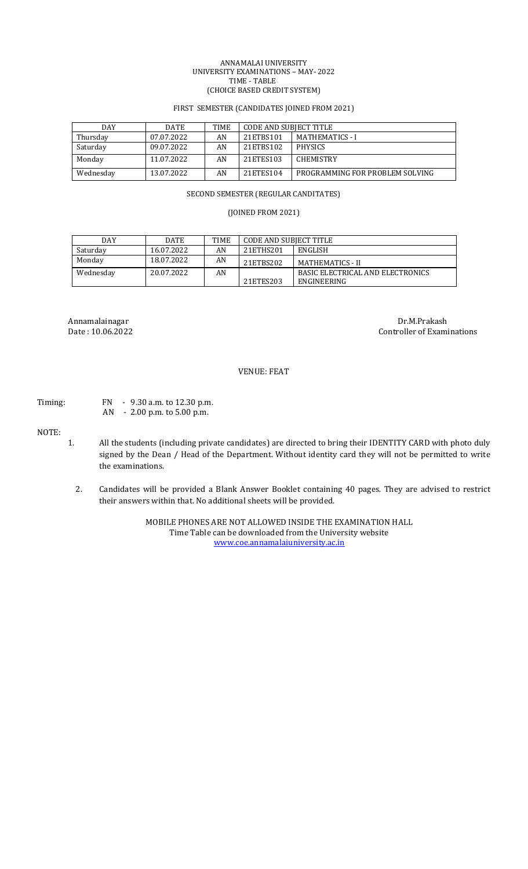#### ANNAMALAI UNIVERSITY UNIVERSITY EXAMINATIONS – MAY- 2022 TIME - TABLE (CHOICE BASED CREDIT SYSTEM)

## FIRST SEMESTER (CANDIDATES JOINED FROM 2021)

| DAY       | <b>DATE</b> | <b>TIME</b> | CODE AND SUBIECT TITLE |                                 |
|-----------|-------------|-------------|------------------------|---------------------------------|
| Thursday  | 07.07.2022  | AN          | 21ETBS101              | <b>MATHEMATICS - I</b>          |
| Saturday  | 09.07.2022  | AN          | 21ETBS102              | <b>PHYSICS</b>                  |
| Monday    | 11.07.2022  | AN          | 21ETES103              | <b>CHEMISTRY</b>                |
| Wednesday | 13.07.2022  | AN          | 21ETES104              | PROGRAMMING FOR PROBLEM SOLVING |

#### SECOND SEMESTER (REGULAR CANDITATES)

# (JOINED FROM 2021)

| <b>DAY</b> | <b>DATE</b> | TIME | CODE AND SUBIECT TITLE |                                  |
|------------|-------------|------|------------------------|----------------------------------|
| Saturday   | 16.07.2022  | AN   | 21ETHS201              | ENGLISH                          |
| Monday     | 18.07.2022  | AN   | 21ETBS202              | MATHEMATICS - II                 |
| Wednesday  | 20.07.2022  | AN   |                        | BASIC ELECTRICAL AND ELECTRONICS |
|            |             |      | 21ETES203              | ENGINEERING                      |

Annamalainagar Dr.M.Prakash Date : 10.06.2022 Controller of Exami Controller of Examinations

# VENUE: FEAT

# Timing: FN - 9.30 a.m. to 12.30 p.m.

AN - 2.00 p.m. to 5.00 p.m.

# NOTE:

- 1. All the students (including private candidates) are directed to bring their IDENTITY CARD with photo duly signed by the Dean / Head of the Department. Without identity card they will not be permitted to write the examinations.
	- 2. Candidates will be provided a Blank Answer Booklet containing 40 pages. They are advised to restrict their answers within that. No additional sheets will be provided.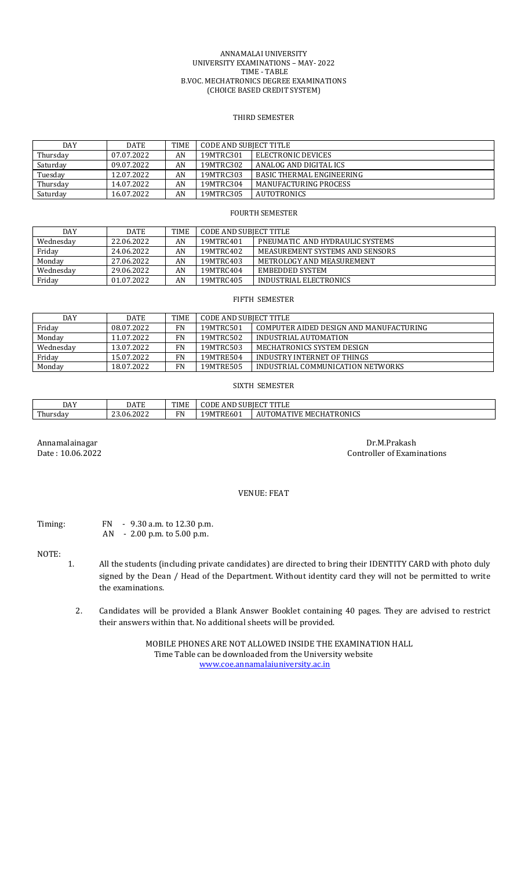#### ANNAMALAI UNIVERSITY UNIVERSITY EXAMINATIONS – MAY- 2022 TIME - TABLE B.VOC. MECHATRONICS DEGREE EXAMINATIONS (CHOICE BASED CREDIT SYSTEM)

# THIRD SEMESTER

| DAY      | <b>DATE</b> | <b>TIME</b> | CODE AND SUBIECT TITLE |                                  |  |
|----------|-------------|-------------|------------------------|----------------------------------|--|
| Thursday | 07.07.2022  | AN          | 19MTRC301              | ELECTRONIC DEVICES               |  |
| Saturday | 09.07.2022  | AN          | 19MTRC302              | ANALOG AND DIGITAL ICS           |  |
| Tuesday  | 12.07.2022  | AN          | 19MTRC303              | <b>BASIC THERMAL ENGINEERING</b> |  |
| Thursday | 14.07.2022  | AN          | 19MTRC304              | MANUFACTURING PROCESS            |  |
| Saturday | 16.07.2022  | AN          | 19MTRC305              | <b>AUTOTRONICS</b>               |  |

## FOURTH SEMESTER

| <b>DAY</b> | <b>DATE</b> | <b>TIME</b> | CODE AND SUBJECT TITLE |                                 |  |
|------------|-------------|-------------|------------------------|---------------------------------|--|
| Wednesdav  | 22.06.2022  | AN          | 19MTRC401              | PNEUMATIC AND HYDRAULIC SYSTEMS |  |
| Friday     | 24.06.2022  | AN          | 19MTRC402              | MEASUREMENT SYSTEMS AND SENSORS |  |
| Monday     | 27.06.2022  | AN          | 19MTRC403              | METROLOGY AND MEASUREMENT       |  |
| Wednesdav  | 29.06.2022  | AN          | 19MTRC404              | EMBEDDED SYSTEM                 |  |
| Friday     | 01.07.2022  | AN          | 19MTRC405              | INDUSTRIAL ELECTRONICS          |  |

## FIFTH SEMESTER

| DAY       | <b>DATE</b> | <b>TIME</b> | CODE AND SUBIECT TITLE |                                         |  |
|-----------|-------------|-------------|------------------------|-----------------------------------------|--|
| Friday    | 08.07.2022  | FN          | 19MTRC501              | COMPUTER AIDED DESIGN AND MANUFACTURING |  |
| Monday    | 11.07.2022  | FN          | 19MTRC502              | INDUSTRIAL AUTOMATION                   |  |
| Wednesday | 13.07.2022  | FN          | 19MTRC503              | MECHATRONICS SYSTEM DESIGN              |  |
| Friday    | 15.07.2022  | FN          | 19MTRE504              | INDUSTRY INTERNET OF THINGS             |  |
| Monday    | 18.07.2022  | FN          | 19MTRE505              | INDUSTRIAL COMMUNICATION NETWORKS       |  |

#### SIXTH SEMESTER

| DAY      | A T E                          | <b>THAI</b>                      | CODE              |                                     |  |
|----------|--------------------------------|----------------------------------|-------------------|-------------------------------------|--|
|          | DATE                           | L I IVI E                        | AND SUBJECT TITLF |                                     |  |
| Thursdav | 0.6000<br>$\sim$<br>23.06.2022 | $\mathbf{m}$<br>™ N<br><b>IV</b> | '9MTRE601         | : MECHATRONICS<br><b>AUTOMATIVE</b> |  |

Annamalainagar Dr.M.Prakash Date : 10.06.2022 Controller of Examinations

# VENUE: FEAT

## Timing: FN - 9.30 a.m. to 12.30 p.m. AN - 2.00 p.m. to 5.00 p.m.

#### NOTE:

- 1. All the students (including private candidates) are directed to bring their IDENTITY CARD with photo duly signed by the Dean / Head of the Department. Without identity card they will not be permitted to write the examinations.
	- 2. Candidates will be provided a Blank Answer Booklet containing 40 pages. They are advised to restrict their answers within that. No additional sheets will be provided.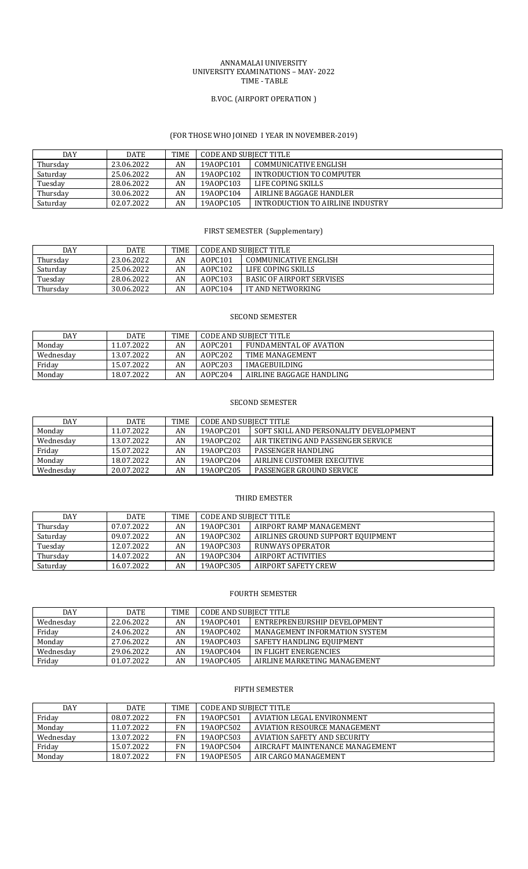## ANNAMALAI UNIVERSITY UNIVERSITY EXAMINATIONS – MAY- 2022 TIME - TABLE

## B.VOC. (AIRPORT OPERATION )

# (FOR THOSE WHO JOINED I YEAR IN NOVEMBER-2019)

| DAY      | <b>DATE</b> | <b>TIME</b> | CODE AND SUBJECT TITLE             |                                  |  |
|----------|-------------|-------------|------------------------------------|----------------------------------|--|
| Thursday | 23.06.2022  | AN          | COMMUNICATIVE ENGLISH<br>19A0PC101 |                                  |  |
| Saturday | 25.06.2022  | AN          | 19A0PC102                          | INTRODUCTION TO COMPUTER         |  |
| Tuesday  | 28.06.2022  | AN          | 19A0PC103                          | LIFE COPING SKILLS               |  |
| Thursday | 30.06.2022  | AN          | 19A0PC104                          | AIRLINE BAGGAGE HANDLER          |  |
| Saturday | 02.07.2022  | AN          | 19A0PC105                          | INTRODUCTION TO AIRLINE INDUSTRY |  |

# FIRST SEMESTER (Supplementary)

| DAY      | DATE       | <b>TIME</b> | <b>CODE AND SUBJECT TITLE</b>    |                                  |  |
|----------|------------|-------------|----------------------------------|----------------------------------|--|
| Thursdav | 23.06.2022 | AN          | COMMUNICATIVE ENGLISH<br>AOPC101 |                                  |  |
| Saturday | 25.06.2022 | AN          | A0PC102                          | LIFE COPING SKILLS               |  |
| Tuesday  | 28.06.2022 | AN          | A0PC103                          | <b>BASIC OF AIRPORT SERVISES</b> |  |
| Thursday | 30.06.2022 | AN          | A0PC104                          | IT AND NETWORKING                |  |

## SECOND SEMESTER

| DAY       | DATE       | <b>TIME</b> | CODE AND SUBIECT TITLE |                          |  |
|-----------|------------|-------------|------------------------|--------------------------|--|
| Monday    | 11.07.2022 | AN          | A0PC201                | FUNDAMENTAL OF AVATION   |  |
| Wednesdav | 13.07.2022 | AN          | AOPC202                | TIME MANAGEMENT          |  |
| Friday    | 15.07.2022 | AN          | AOPC203                | IMAGEBUILDING            |  |
| Monday    | 18.07.2022 | AN          | A0PC204                | AIRLINE BAGGAGE HANDLING |  |

#### SECOND SEMESTER

| <b>DAY</b> | <b>DATE</b> | TIME | CODE AND SUBIECT TITLE |                                        |  |
|------------|-------------|------|------------------------|----------------------------------------|--|
| Monday     | 11.07.2022  | AN   | 19A0PC201              | SOFT SKILL AND PERSONALITY DEVELOPMENT |  |
| Wednesday  | 13.07.2022  | AN   | 19A0PC202              | AIR TIKETING AND PASSENGER SERVICE     |  |
| Friday     | 15.07.2022  | AN   | 19A0PC203              | PASSENGER HANDLING                     |  |
| Monday     | 18.07.2022  | AN   | 19A0PC204              | AIRLINE CUSTOMER EXECUTIVE             |  |
| Wednesdav  | 20.07.2022  | AN   | 19A0PC205              | <b>PASSENGER GROUND SERVICE</b>        |  |

# THIRD EMESTER

| DAY      | <b>DATE</b> | <b>TIME</b> | CODE AND SUBIECT TITLE |                                   |  |
|----------|-------------|-------------|------------------------|-----------------------------------|--|
| Thursday | 07.07.2022  | AN          | 19A0PC301              | AIRPORT RAMP MANAGEMENT           |  |
| Saturday | 09.07.2022  | AN          | 19A0PC302              | AIRLINES GROUND SUPPORT EQUIPMENT |  |
| Tuesday  | 12.07.2022  | AN          | 19A0PC303              | RUNWAYS OPERATOR                  |  |
| Thursday | 14.07.2022  | AN          | 19A0PC304              | AIRPORT ACTIVITIES                |  |
| Saturday | 16.07.2022  | AN          | 19A0PC305              | AIRPORT SAFETY CREW               |  |

## FOURTH SEMESTER

| DAY       | <b>DATE</b> | <b>TIME</b> | CODE AND SUBIECT TITLE |                               |  |
|-----------|-------------|-------------|------------------------|-------------------------------|--|
| Wednesday | 22.06.2022  | AN          | 19A0PC401              | ENTREPRENEURSHIP DEVELOPMENT  |  |
| Friday    | 24.06.2022  | AN          | 19A0PC402              | MANAGEMENT INFORMATION SYSTEM |  |
| Monday    | 27.06.2022  | AN          | 19A0PC403              | SAFETY HANDLING EQUIPMENT     |  |
| Wednesdav | 29.06.2022  | AN          | 19A0PC404              | IN FLIGHT ENERGENCIES         |  |
| Friday    | 01.07.2022  | AN          | 19A0PC405              | AIRLINE MARKETING MANAGEMENT  |  |

#### FIFTH SEMESTER

| DAY       | <b>DATE</b> | <b>TIME</b> | CODE AND SUBIECT TITLE                  |                                 |  |
|-----------|-------------|-------------|-----------------------------------------|---------------------------------|--|
| Friday    | 08.07.2022  | FN          | 19A0PC501<br>AVIATION LEGAL ENVIRONMENT |                                 |  |
| Monday    | 11.07.2022  | FN          | 19A0PC502                               | AVIATION RESOURCE MANAGEMENT    |  |
| Wednesdav | 13.07.2022  | FN          | 19A0PC503                               | AVIATION SAFETY AND SECURITY    |  |
| Friday    | 15.07.2022  | FN          | 19A0PC504                               | AIRCRAFT MAINTENANCE MANAGEMENT |  |
| Monday    | 18.07.2022  | FN          | 19A0PE505                               | AIR CARGO MANAGEMENT            |  |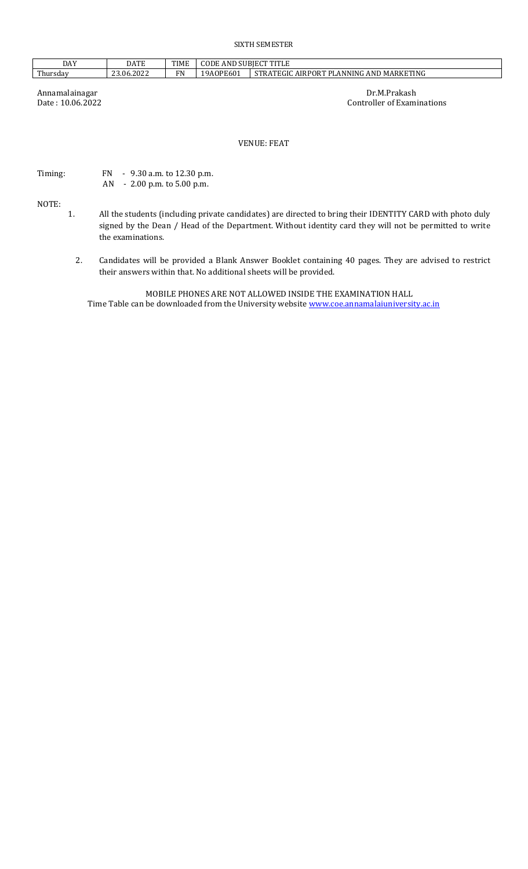# SIXTH SEMESTER

| <b>DAY</b>     | <b>DATE</b> | <b>TIME</b> | <b>COLLAND SUBJECT TIT'</b><br>CODE |                                                                |
|----------------|-------------|-------------|-------------------------------------|----------------------------------------------------------------|
| m1<br>rhursdav | 23.06.2022  | ПN          | 19A0PE601<br>$\cdot$ $\sim$ $\cdot$ | AND MARKETING<br>STRATEGIC<br>DI<br><b>AIRPORT</b><br>LANNING. |

Annamalainagar Dr.M.Prakash Date : 10.06.2022 Controller of Example 2014 Controller of Examinations

VENUE: FEAT

Timing: FN - 9.30 a.m. to 12.30 p.m. AN - 2.00 p.m. to 5.00 p.m.

NOTE:

- 1. All the students (including private candidates) are directed to bring their IDENTITY CARD with photo duly signed by the Dean / Head of the Department. Without identity card they will not be permitted to write the examinations.
	- 2. Candidates will be provided a Blank Answer Booklet containing 40 pages. They are advised to restrict their answers within that. No additional sheets will be provided.

MOBILE PHONES ARE NOT ALLOWED INSIDE THE EXAMINATION HALL Time Table can be downloaded from the University website [www.coe.annamalaiuniversity.ac.in](http://www.coe.annamalaiuniversity.ac.in/)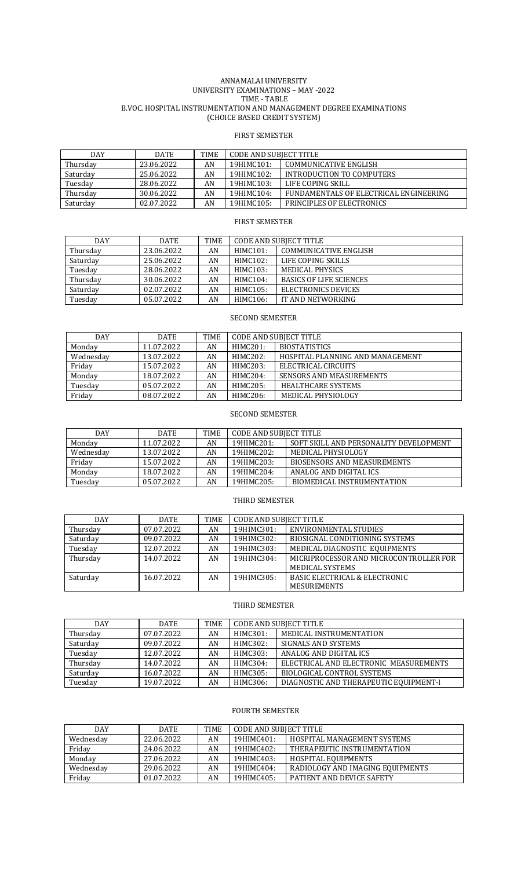#### ANNAMALAI UNIVERSITY UNIVERSITY EXAMINATIONS – MAY -2022 TIME - TABLE B.VOC. HOSPITAL INSTRUMENTATION AND MANAGEMENT DEGREE EXAMINATIONS (CHOICE BASED CREDIT SYSTEM)

## FIRST SEMESTER

| DAY      | <b>DATE</b> | <b>TIME</b> | CODE AND SUBIECT TITLE |                                        |
|----------|-------------|-------------|------------------------|----------------------------------------|
| Thursday | 23.06.2022  | AN          | 19HIMC101:             | COMMUNICATIVE ENGLISH                  |
| Saturday | 25.06.2022  | AN          | 19HIMC102:             | INTRODUCTION TO COMPUTERS              |
| Tuesday  | 28.06.2022  | AN          | 19HIMC103:             | LIFE COPING SKILL                      |
| Thursday | 30.06.2022  | AN          | 19HIMC104:             | FUNDAMENTALS OF ELECTRICAL ENGINEERING |
| Saturday | 02.07.2022  | AN          | 19HIMC105:             | <b>PRINCIPLES OF ELECTRONICS</b>       |

## FIRST SEMESTER

| <b>DAY</b> | <b>DATE</b> | TIME | CODE AND SUBJECT TITLE |                                |
|------------|-------------|------|------------------------|--------------------------------|
| Thursday   | 23.06.2022  | AN   | HIMC101:               | COMMUNICATIVE ENGLISH          |
| Saturday   | 25.06.2022  | AN   | HIMC102:               | LIFE COPING SKILLS             |
| Tuesday    | 28.06.2022  | AN   | HIMC103:               | MEDICAL PHYSICS                |
| Thursday   | 30.06.2022  | AN   | HIMC104:               | <b>BASICS OF LIFE SCIENCES</b> |
| Saturday   | 02.07.2022  | AN   | HIMC105:               | ELECTRONICS DEVICES            |
| Tuesday    | 05.07.2022  | AN   | HIMC106:               | IT AND NETWORKING              |

| DAY       | DATE       | TIME | <b>CODE AND SUBJECT TITLE</b> |                                  |
|-----------|------------|------|-------------------------------|----------------------------------|
| Monday    | 11.07.2022 | AN   | HIMC201:                      | <b>BIOSTATISTICS</b>             |
| Wednesday | 13.07.2022 | AN   | HIMC202:                      | HOSPITAL PLANNING AND MANAGEMENT |
| Friday    | 15.07.2022 | AN   | HIMC203:                      | ELECTRICAL CIRCUITS              |
| Monday    | 18.07.2022 | AN   | HIMC204:                      | <b>SENSORS AND MEASUREMENTS</b>  |
| Tuesday   | 05.07.2022 | AN   | HIMC205:                      | <b>HEALTHCARE SYSTEMS</b>        |
| Friday    | 08.07.2022 | AN   | HIMC206:                      | MEDICAL PHYSIOLOGY               |

SECOND SEMESTER

## SECOND SEMESTER

| <b>DAY</b> | <b>DATE</b> | TIME | CODE AND SUBIECT TITLE |                                        |  |
|------------|-------------|------|------------------------|----------------------------------------|--|
| Monday     | 11.07.2022  | AN   | 19HIMC201:             | SOFT SKILL AND PERSONALITY DEVELOPMENT |  |
| Wednesday  | 13.07.2022  | AN   | $19$ HIMC $202$ :      | MEDICAL PHYSIOLOGY                     |  |
| Friday     | 15.07.2022  | AN   | 19HIMC203:             | <b>BIOSENSORS AND MEASUREMENTS</b>     |  |
| Monday     | 18.07.2022  | AN   | 19HIMC204:             | ANALOG AND DIGITAL ICS                 |  |
| Tuesday    | 05.07.2022  | AN   | 19HIMC205:             | BIOMEDICAL INSTRUMENTATION             |  |

#### THIRD SEMESTER

| <b>DAY</b> | <b>DATE</b> | TIME | <b>CODE AND SUBJECT TITLE</b> |                                          |
|------------|-------------|------|-------------------------------|------------------------------------------|
| Thursday   | 07.07.2022  | AN   | 19HIMC301:                    | ENVIRONMENTAL STUDIES                    |
| Saturday   | 09.07.2022  | AN   | 19HIMC302:                    | BIOSIGNAL CONDITIONING SYSTEMS           |
| Tuesday    | 12.07.2022  | AN   | 19HIMC303:                    | MEDICAL DIAGNOSTIC EQUIPMENTS            |
| Thursday   | 14.07.2022  | AN   | 19HIMC304:                    | MICRIPROCESSOR AND MICROCONTROLLER FOR   |
|            |             |      |                               | MEDICAL SYSTEMS                          |
| Saturday   | 16.07.2022  | AN   | 19HIMC305:                    | <b>BASIC ELECTRICAL &amp; ELECTRONIC</b> |
|            |             |      |                               | <b>MESUREMENTS</b>                       |

## THIRD SEMESTER

| <b>DAY</b> | <b>DATE</b> | <b>TIME</b> | <b>CODE AND SUBJECT TITLE</b> |                                        |
|------------|-------------|-------------|-------------------------------|----------------------------------------|
| Thursday   | 07.07.2022  | AN          | HIMC301:                      | MEDICAL INSTRUMENTATION                |
| Saturday   | 09.07.2022  | AN          | HIMC302:                      | SIGNALS AND SYSTEMS                    |
| Tuesday    | 12.07.2022  | AN          | HIMC303:                      | ANALOG AND DIGITAL ICS                 |
| Thursday   | 14.07.2022  | AN          | HIMC304:                      | ELECTRICAL AND ELECTRONIC MEASUREMENTS |
| Saturday   | 16.07.2022  | AN          | HIMC305:                      | BIOLOGICAL CONTROL SYSTEMS             |
| Tuesday    | 19.07.2022  | AN          | HIMC306:                      | DIAGNOSTIC AND THERAPEUTIC EQUIPMENT-I |

## FOURTH SEMESTER

| <b>DAY</b> | <b>DATE</b> | TIME | <b>CODE AND SUBJECT TITLE</b> |                                  |  |
|------------|-------------|------|-------------------------------|----------------------------------|--|
| Wednesday  | 22.06.2022  | AN   | 19HIMC401:                    | HOSPITAL MANAGEMENT SYSTEMS      |  |
| Friday     | 24.06.2022  | AN   | 19HIMC402:                    | THERAPEUTIC INSTRUMENTATION      |  |
| Monday     | 27.06.2022  | AN   | 19HIMC403:                    | HOSPITAL EOUIPMENTS              |  |
| Wednesday  | 29.06.2022  | AN   | 19HIMC404:                    | RADIOLOGY AND IMAGING EQUIPMENTS |  |
| Friday     | 01.07.2022  | AN   | 19HIMC405:                    | PATIENT AND DEVICE SAFETY        |  |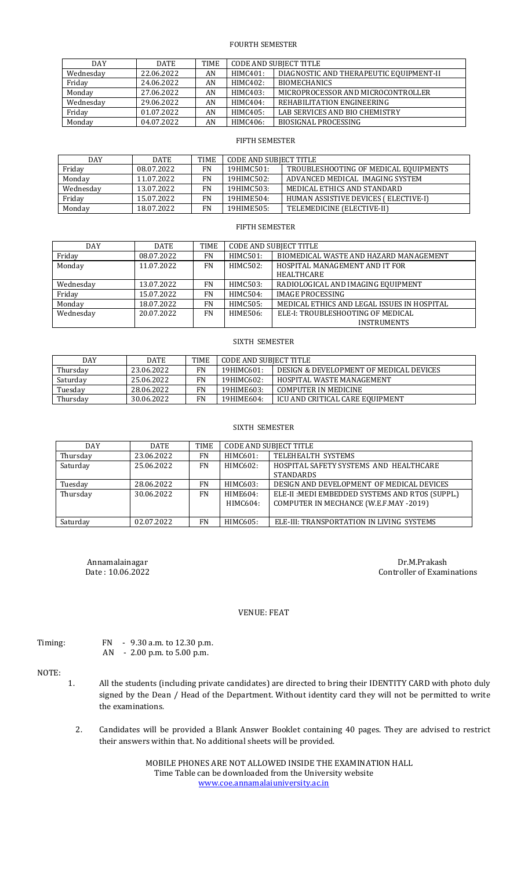## FOURTH SEMESTER

| <b>DAY</b> | <b>DATE</b> | TIME | CODE AND SUBJECT TITLE |                                         |
|------------|-------------|------|------------------------|-----------------------------------------|
| Wednesday  | 22.06.2022  | AN   | HIMC401:               | DIAGNOSTIC AND THERAPEUTIC EQUIPMENT-II |
| Friday     | 24.06.2022  | AN   | HIMC402:               | <b>BIOMECHANICS</b>                     |
| Monday     | 27.06.2022  | AN   | HIMC403:               | MICROPROCESSOR AND MICROCONTROLLER      |
| Wednesday  | 29.06.2022  | AN   | HIMC404:               | REHABILITATION ENGINEERING              |
| Friday     | 01.07.2022  | AN   | HIMC405:               | LAB SERVICES AND BIO CHEMISTRY          |
| Monday     | 04.07.2022  | AN   | HIMC406:               | <b>BIOSIGNAL PROCESSING</b>             |

#### FIFTH SEMESTER

| DAY       | <b>DATE</b> | TIME | CODE AND SUBJECT TITLE |                                       |  |
|-----------|-------------|------|------------------------|---------------------------------------|--|
| Friday    | 08.07.2022  | FN   | 19HIMC501:             | TROUBLESHOOTING OF MEDICAL EQUIPMENTS |  |
| Monday    | 11.07.2022  | FN   | 19HIMC502:             | ADVANCED MEDICAL IMAGING SYSTEM       |  |
| Wednesday | 13.07.2022  | FN   | 19HIMC503:             | MEDICAL ETHICS AND STANDARD           |  |
| Friday    | 15.07.2022  | FN   | 19HIME504:             | HUMAN ASSISTIVE DEVICES ( ELECTIVE-I) |  |
| Monday    | 18.07.2022  | FN   | 19HIME505:             | TELEMEDICINE (ELECTIVE-II)            |  |

#### FIFTH SEMESTER

| <b>DAY</b> | <b>DATE</b> | <b>TIME</b> | <b>CODE AND SUBJECT TITLE</b> |                                             |
|------------|-------------|-------------|-------------------------------|---------------------------------------------|
| Friday     | 08.07.2022  | FN          | HIMC501:                      | BIOMEDICAL WASTE AND HAZARD MANAGEMENT      |
| Monday     | 11.07.2022  | <b>FN</b>   | HIMC502:                      | HOSPITAL MANAGEMENT AND IT FOR              |
|            |             |             |                               | <b>HEALTHCARE</b>                           |
| Wednesday  | 13.07.2022  | FN          | HIMC503:                      | RADIOLOGICAL AND IMAGING EQUIPMENT          |
| Friday     | 15.07.2022  | FN          | HIMC504:                      | <b>IMAGE PROCESSING</b>                     |
| Monday     | 18.07.2022  | <b>FN</b>   | HIMC505:                      | MEDICAL ETHICS AND LEGAL ISSUES IN HOSPITAL |
| Wednesday  | 20.07.2022  | FN          | HIME506:                      | ELE-I: TROUBLESHOOTING OF MEDICAL           |
|            |             |             |                               | <b>INSTRUMENTS</b>                          |

#### SIXTH SEMESTER

| DAY      | <b>DATE</b> | <b>TIME</b> | CODE AND SUBIECT TITLE |                                         |
|----------|-------------|-------------|------------------------|-----------------------------------------|
| Thursday | 23.06.2022  | <b>FN</b>   | 19HIMC601:             | DESIGN & DEVELOPMENT OF MEDICAL DEVICES |
| Saturday | 25.06.2022  | FN          | 19HIMC602:             | HOSPITAL WASTE MANAGEMENT               |
| Tuesday  | 28.06.2022  | FN          | 19HIME603:             | COMPUTER IN MEDICINE                    |
| Thursdav | 30.06.2022  | FN          | 19HIME604:             | ICU AND CRITICAL CARE EOUIPMENT         |

# SIXTH SEMESTER

| DAY      | <b>DATE</b> | TIME |          | <b>CODE AND SUBJECT TITLE</b>                   |
|----------|-------------|------|----------|-------------------------------------------------|
| Thursday | 23.06.2022  | FN   | HIMC601: | TELEHEALTH SYSTEMS                              |
| Saturday | 25.06.2022  | FN   | HIMC602: | HOSPITAL SAFETY SYSTEMS AND HEALTHCARE          |
|          |             |      |          | <b>STANDARDS</b>                                |
| Tuesday  | 28.06.2022  | FN   | HIMC603: | DESIGN AND DEVELOPMENT OF MEDICAL DEVICES       |
| Thursday | 30.06.2022  | FN   | HIME604: | ELE-II: MEDI EMBEDDED SYSTEMS AND RTOS (SUPPL.) |
|          |             |      | HIMC604: | COMPUTER IN MECHANCE (W.E.F.MAY -2019)          |
|          |             |      |          |                                                 |
| Saturday | 02.07.2022  | FN   | HIMC605: | ELE-III: TRANSPORTATION IN LIVING SYSTEMS       |

Annamalainagar Dr.M.Prakash Date : 10.06.2022 Controller of Examinations

## VENUE: FEAT

| г | nır |  |
|---|-----|--|
|   |     |  |

FN - 9.30 a.m. to 12.30 p.m. AN - 2.00 p.m. to 5.00 p.m.

# NOTE:

- 1. All the students (including private candidates) are directed to bring their IDENTITY CARD with photo duly signed by the Dean / Head of the Department. Without identity card they will not be permitted to write the examinations.
	- 2. Candidates will be provided a Blank Answer Booklet containing 40 pages. They are advised to restrict their answers within that. No additional sheets will be provided.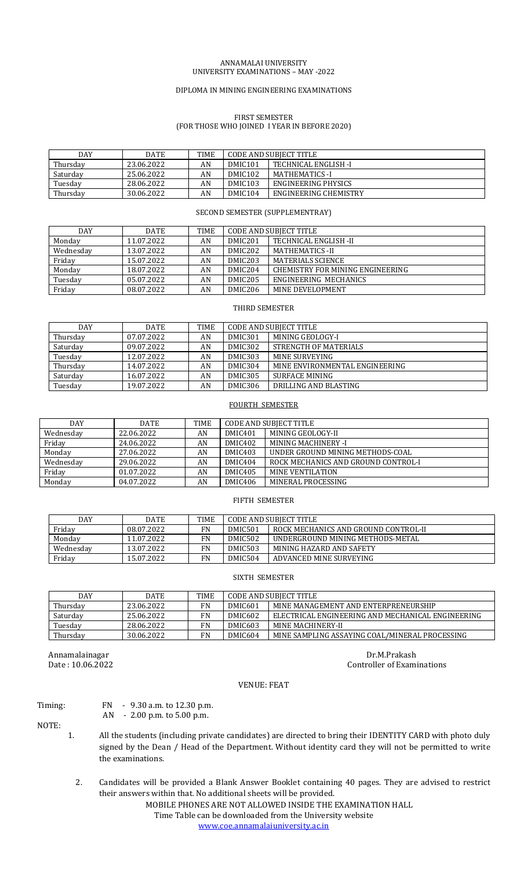#### ANNAMALAI UNIVERSITY UNIVERSITY EXAMINATIONS – MAY -2022

#### DIPLOMA IN MINING ENGINEERING EXAMINATIONS

## FIRST SEMESTER (FOR THOSE WHO JOINED I YEAR IN BEFORE 2020)

| DAY      | <b>DATE</b> | <b>TIME</b> | <b>CODE AND SUBJECT TITLE</b> |                            |
|----------|-------------|-------------|-------------------------------|----------------------------|
| Thursday | 23.06.2022  | AN          | DMIC <sub>101</sub>           | TECHNICAL ENGLISH -I       |
| Saturday | 25.06.2022  | AN          | DMIC <sub>102</sub>           | <b>MATHEMATICS - I</b>     |
| Tuesday  | 28.06.2022  | AN          | DMIC <sub>103</sub>           | <b>ENGINEERING PHYSICS</b> |
| Thursdav | 30.06.2022  | AN          | DMIC <sub>104</sub>           | ENGINEERING CHEMISTRY      |

## SECOND SEMESTER (SUPPLEMENTRAY)

| <b>DAY</b> | <b>DATE</b> | TIME | <b>CODE AND SUBJECT TITLE</b> |                                  |
|------------|-------------|------|-------------------------------|----------------------------------|
| Monday     | 11.07.2022  | AN   | DMIC <sub>201</sub>           | TECHNICAL ENGLISH -II            |
| Wednesdav  | 13.07.2022  | AN   | DMIC <sub>202</sub>           | <b>MATHEMATICS - II</b>          |
| Friday     | 15.07.2022  | AN   | DMIC203                       | <b>MATERIALS SCIENCE</b>         |
| Monday     | 18.07.2022  | AN   | DMIC <sub>204</sub>           | CHEMISTRY FOR MINING ENGINEERING |
| Tuesday    | 05.07.2022  | AN   | DMIC <sub>205</sub>           | ENGINEERING MECHANICS            |
| Friday     | 08.07.2022  | AN   | DMIC <sub>206</sub>           | MINE DEVELOPMENT                 |

## THIRD SEMESTER

| DAY      | DATE       | TIME | <b>CODE AND SUBJECT TITLE</b> |                                |
|----------|------------|------|-------------------------------|--------------------------------|
| Thursday | 07.07.2022 | AN   | DMIC301                       | MINING GEOLOGY-I               |
| Saturday | 09.07.2022 | AN   | DMIC302                       | STRENGTH OF MATERIALS          |
| Tuesday  | 12.07.2022 | AN   | DMIC303                       | MINE SURVEYING                 |
| Thursday | 14.07.2022 | AN   | DMIC304                       | MINE ENVIRONMENTAL ENGINEERING |
| Saturday | 16.07.2022 | AN   | DMIC305                       | SURFACE MINING                 |
| Tuesday  | 19.07.2022 | AN   | DMIC306                       | DRILLING AND BLASTING          |

#### FOURTH SEMESTER

| DAY       | <b>DATE</b> | TIME | CODE AND SUBJECT TITLE |                                     |
|-----------|-------------|------|------------------------|-------------------------------------|
| Wednesday | 22.06.2022  | AN   | DMIC401                | MINING GEOLOGY-II                   |
| Friday    | 24.06.2022  | AN   | DMIC402                | MINING MACHINERY -I                 |
| Monday    | 27.06.2022  | AN   | DMIC403                | UNDER GROUND MINING METHODS-COAL    |
| Wednesday | 29.06.2022  | AN   | DMIC404                | ROCK MECHANICS AND GROUND CONTROL-I |
| Friday    | 01.07.2022  | AN   | DMIC405                | MINE VENTILATION                    |
| Monday    | 04.07.2022  | AN   | DMIC406                | MINERAL PROCESSING                  |

#### FIFTH SEMESTER

| DAY       | <b>DATE</b> | <b>TIME</b> | CODE AND SUBIECT TITLE |                                      |
|-----------|-------------|-------------|------------------------|--------------------------------------|
| Friday    | 08.07.2022  | FN          | DMIC501                | ROCK MECHANICS AND GROUND CONTROL-II |
| Monday    | 11.07.2022  | FN          | DMIC502                | UNDERGROUND MINING METHODS-METAL     |
| Wednesdav | 13.07.2022  | FN          | DMIC503                | MINING HAZARD AND SAFETY             |
| Friday    | 15.07.2022  | FN          | DMIC504                | ADVANCED MINE SURVEYING              |

#### SIXTH SEMESTER

| <b>DAY</b> | <b>DATE</b> | <b>TIME</b> | <b>CODE AND SUBIECT TITLE</b> |                                                   |
|------------|-------------|-------------|-------------------------------|---------------------------------------------------|
| Thursdav   | 23.06.2022  | FN          | DMIC601                       | MINE MANAGEMENT AND ENTERPRENEURSHIP              |
| Saturday   | 25.06.2022  | FN          | DMIC602                       | ELECTRICAL ENGINEERING AND MECHANICAL ENGINEERING |
| Tuesday    | 28.06.2022  | FN          | DMIC603                       | MINE MACHINERY-II                                 |
| Thursday   | 30.06.2022  | FN          | DMIC604                       | MINE SAMPLING ASSAYING COAL/MINERAL PROCESSING    |

Annamalainagar Dr.M.Prakash Dr.M.Prakash Dr.M.Prakash Dr.M.Prakash Dr.M.Prakash Dr.M.Prakash Dr.M.Prakash Dr.M.Prakash Dr.M.Prakash Dr.M.Prakash Dr.M.Prakash Dr.M.Prakash Dr.M.Prakash Dr.M.Prakash Dr.M.Prakash Dr.M.Prakash

Controller of Examinations

# VENUE: FEAT

# Timing: FN - 9.30 a.m. to 12.30 p.m.

NOTE:

- AN 2.00 p.m. to 5.00 p.m.
- 1. All the students (including private candidates) are directed to bring their IDENTITY CARD with photo duly signed by the Dean / Head of the Department. Without identity card they will not be permitted to write the examinations.
	- 2. Candidates will be provided a Blank Answer Booklet containing 40 pages. They are advised to restrict their answers within that. No additional sheets will be provided.

MOBILE PHONES ARE NOT ALLOWED INSIDE THE EXAMINATION HALL Time Table can be downloaded from the University website